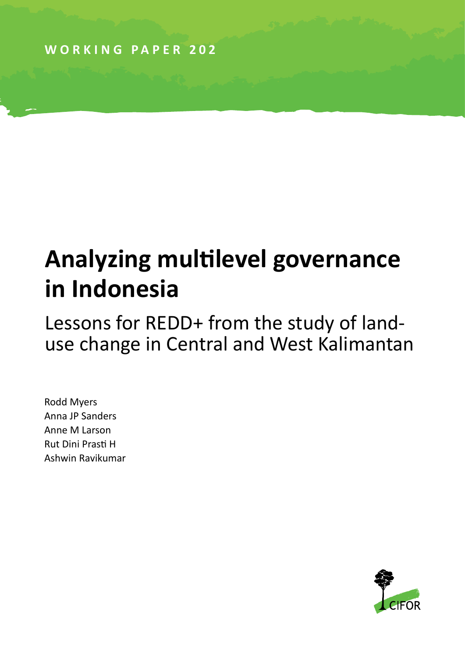# **Analyzing multilevel governance in Indonesia**

Lessons for REDD+ from the study of landuse change in Central and West Kalimantan

Rodd Myers Anna JP Sanders Anne M Larson Rut Dini Prasti H Ashwin Ravikumar

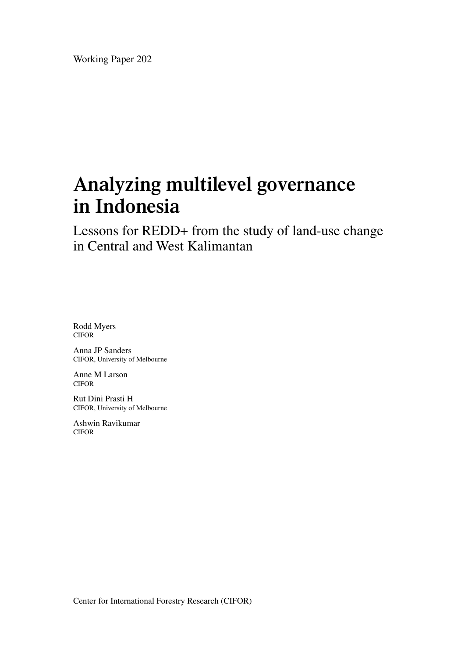Working Paper 202

# **Analyzing multilevel governance in Indonesia**

Lessons for REDD+ from the study of land-use change in Central and West Kalimantan

Rodd Myers CIFOR

Anna JP Sanders CIFOR, University of Melbourne

Anne M Larson CIFOR

Rut Dini Prasti H CIFOR, University of Melbourne

Ashwin Ravikumar CIFOR

Center for International Forestry Research (CIFOR)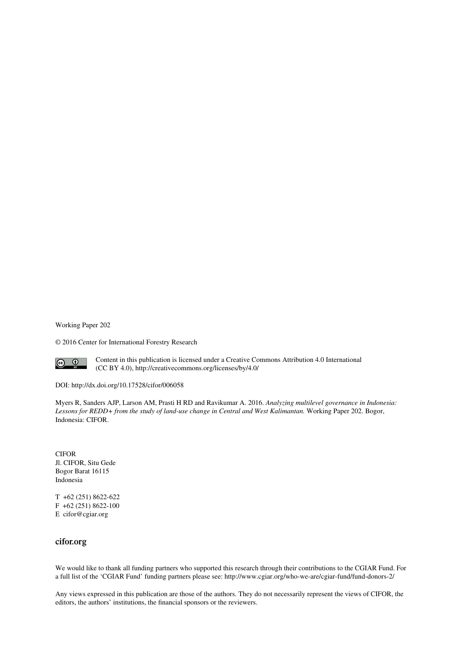Working Paper 202

© 2016 Center for International Forestry Research



Content in this publication is licensed under a Creative Commons Attribution 4.0 International (CC BY 4.0), http://creativecommons.org/licenses/by/4.0/

DOI: http://dx.doi.org/10.17528/cifor/006058

Myers R, Sanders AJP, Larson AM, Prasti H RD and Ravikumar A. 2016. *Analyzing multilevel governance in Indonesia: Lessons for REDD+ from the study of land-use change in Central and West Kalimantan.* Working Paper 202. Bogor, Indonesia: CIFOR.

CIFOR Jl. CIFOR, Situ Gede Bogor Barat 16115 Indonesia

T +62 (251) 8622-622 F +62 (251) 8622-100 E cifor@cgiar.org

#### **cifor.org**

We would like to thank all funding partners who supported this research through their contributions to the CGIAR Fund. For a full list of the 'CGIAR Fund' funding partners please see: http://www.cgiar.org/who-we-are/cgiar-fund/fund-donors-2/

Any views expressed in this publication are those of the authors. They do not necessarily represent the views of CIFOR, the editors, the authors' institutions, the financial sponsors or the reviewers.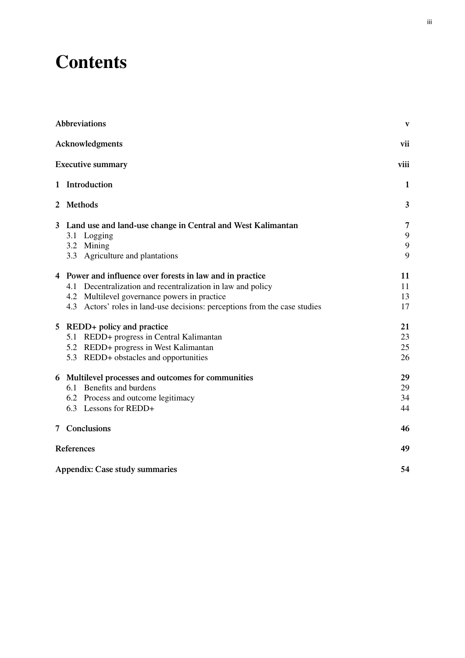# **Contents**

|                       | Abbreviations                                                              | $\mathbf{V}$ |
|-----------------------|----------------------------------------------------------------------------|--------------|
|                       | Acknowledgments                                                            | vii          |
|                       | <b>Executive summary</b>                                                   | viii         |
| 1 Introduction        | 1                                                                          |              |
| $\mathbf{2}^{\prime}$ | <b>Methods</b>                                                             | 3            |
| $\mathbf{3}$          | Land use and land-use change in Central and West Kalimantan                | 7            |
|                       | 3.1<br>Logging                                                             | 9            |
|                       | Mining<br>3.2                                                              | 9            |
|                       | 3.3 Agriculture and plantations                                            | 9            |
|                       | 4 Power and influence over forests in law and in practice                  | 11           |
|                       | Decentralization and recentralization in law and policy<br>4.1             | 11           |
|                       | Multilevel governance powers in practice<br>4.2                            | 13           |
|                       | 4.3 Actors' roles in land-use decisions: perceptions from the case studies | 17           |
| 5                     | REDD+ policy and practice                                                  | 21           |
|                       | REDD+ progress in Central Kalimantan<br>5.1                                | 23           |
|                       | REDD+ progress in West Kalimantan<br>5.2                                   | 25           |
|                       | 5.3 REDD+ obstacles and opportunities                                      | 26           |
|                       | 6 Multilevel processes and outcomes for communities                        | 29           |
|                       | 6.1 Benefits and burdens                                                   | 29           |
|                       | 6.2 Process and outcome legitimacy                                         | 34           |
|                       | 6.3 Lessons for REDD+                                                      | 44           |
|                       | 7 Conclusions                                                              | 46           |
|                       | References                                                                 | 49           |
|                       | Appendix: Case study summaries                                             | 54           |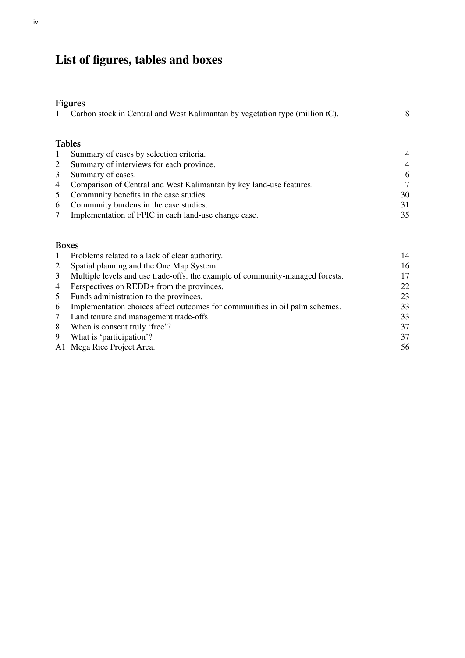## **List of figures, tables and boxes**

## **Figures**

| Carbon stock in Central and West Kalimantan by vegetation type (million tC). |  |
|------------------------------------------------------------------------------|--|
|                                                                              |  |

## **Tables**

| $\mathbf{1}$ | Summary of cases by selection criteria.                               | $\overline{4}$ |
|--------------|-----------------------------------------------------------------------|----------------|
| 2            | Summary of interviews for each province.                              | $\overline{4}$ |
| 3            | Summary of cases.                                                     | 6              |
|              | 4 Comparison of Central and West Kalimantan by key land-use features. | $\overline{7}$ |
|              | 5 Community benefits in the case studies.                             | 30             |
|              | 6 Community burdens in the case studies.                              | 31             |
|              | Implementation of FPIC in each land-use change case.                  | 35             |

## **Boxes**

|               | Problems related to a lack of clear authority.                                | 14 |
|---------------|-------------------------------------------------------------------------------|----|
| 2             | Spatial planning and the One Map System.                                      | 16 |
| 3             | Multiple levels and use trade-offs: the example of community-managed forests. | 17 |
| 4             | Perspectives on REDD+ from the provinces.                                     | 22 |
| $\mathcal{L}$ | Funds administration to the provinces.                                        | 23 |
| 6             | Implementation choices affect outcomes for communities in oil palm schemes.   | 33 |
| 7             | Land tenure and management trade-offs.                                        | 33 |
| 8             | When is consent truly 'free'?                                                 | 37 |
| 9             | What is 'participation'?                                                      | 37 |
|               | A1 Mega Rice Project Area.                                                    | 56 |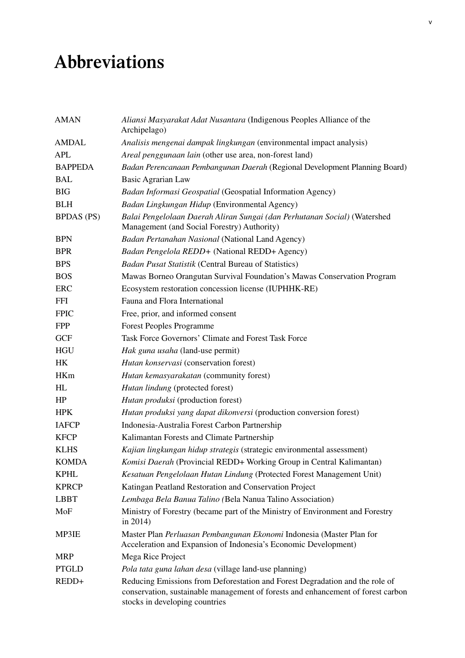# **Abbreviations**

| <b>AMAN</b>       | Aliansi Masyarakat Adat Nusantara (Indigenous Peoples Alliance of the<br>Archipelago)                                                                                                              |
|-------------------|----------------------------------------------------------------------------------------------------------------------------------------------------------------------------------------------------|
| <b>AMDAL</b>      | Analisis mengenai dampak lingkungan (environmental impact analysis)                                                                                                                                |
| <b>APL</b>        | Areal penggunaan lain (other use area, non-forest land)                                                                                                                                            |
| <b>BAPPEDA</b>    | Badan Perencanaan Pembangunan Daerah (Regional Development Planning Board)                                                                                                                         |
| <b>BAL</b>        | <b>Basic Agrarian Law</b>                                                                                                                                                                          |
| <b>BIG</b>        | Badan Informasi Geospatial (Geospatial Information Agency)                                                                                                                                         |
| <b>BLH</b>        | Badan Lingkungan Hidup (Environmental Agency)                                                                                                                                                      |
| <b>BPDAS</b> (PS) | Balai Pengelolaan Daerah Aliran Sungai (dan Perhutanan Social) (Watershed<br>Management (and Social Forestry) Authority)                                                                           |
| <b>BPN</b>        | Badan Pertanahan Nasional (National Land Agency)                                                                                                                                                   |
| <b>BPR</b>        | Badan Pengelola REDD+ (National REDD+ Agency)                                                                                                                                                      |
| <b>BPS</b>        | <b>Badan Pusat Statistik (Central Bureau of Statistics)</b>                                                                                                                                        |
| <b>BOS</b>        | Mawas Borneo Orangutan Survival Foundation's Mawas Conservation Program                                                                                                                            |
| <b>ERC</b>        | Ecosystem restoration concession license (IUPHHK-RE)                                                                                                                                               |
| <b>FFI</b>        | Fauna and Flora International                                                                                                                                                                      |
| <b>FPIC</b>       | Free, prior, and informed consent                                                                                                                                                                  |
| <b>FPP</b>        | <b>Forest Peoples Programme</b>                                                                                                                                                                    |
| $GCF$             | Task Force Governors' Climate and Forest Task Force                                                                                                                                                |
| <b>HGU</b>        | Hak guna usaha (land-use permit)                                                                                                                                                                   |
| HK                | Hutan konservasi (conservation forest)                                                                                                                                                             |
| <b>HKm</b>        | Hutan kemasyarakatan (community forest)                                                                                                                                                            |
| HL                | Hutan lindung (protected forest)                                                                                                                                                                   |
| HP                | Hutan produksi (production forest)                                                                                                                                                                 |
| <b>HPK</b>        | Hutan produksi yang dapat dikonversi (production conversion forest)                                                                                                                                |
| <b>IAFCP</b>      | Indonesia-Australia Forest Carbon Partnership                                                                                                                                                      |
| <b>KFCP</b>       | Kalimantan Forests and Climate Partnership                                                                                                                                                         |
| <b>KLHS</b>       | Kajian lingkungan hidup strategis (strategic environmental assessment)                                                                                                                             |
| <b>KOMDA</b>      | Komisi Daerah (Provincial REDD+ Working Group in Central Kalimantan)                                                                                                                               |
| <b>KPHL</b>       | Kesatuan Pengelolaan Hutan Lindung (Protected Forest Management Unit)                                                                                                                              |
| <b>KPRCP</b>      | Katingan Peatland Restoration and Conservation Project                                                                                                                                             |
| <b>LBBT</b>       | Lembaga Bela Banua Talino (Bela Nanua Talino Association)                                                                                                                                          |
| MoF               | Ministry of Forestry (became part of the Ministry of Environment and Forestry<br>in $2014$ )                                                                                                       |
| MP3IE             | Master Plan Perluasan Pembangunan Ekonomi Indonesia (Master Plan for<br>Acceleration and Expansion of Indonesia's Economic Development)                                                            |
| <b>MRP</b>        | Mega Rice Project                                                                                                                                                                                  |
| <b>PTGLD</b>      | Pola tata guna lahan desa (village land-use planning)                                                                                                                                              |
| REDD+             | Reducing Emissions from Deforestation and Forest Degradation and the role of<br>conservation, sustainable management of forests and enhancement of forest carbon<br>stocks in developing countries |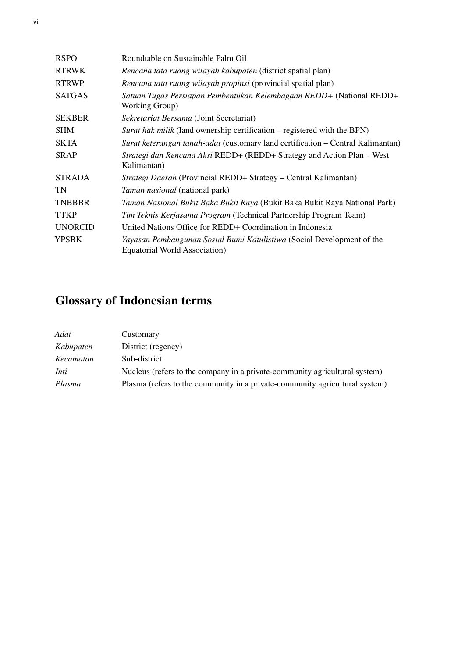| <b>RSPO</b>    | Roundtable on Sustainable Palm Oil                                                                      |
|----------------|---------------------------------------------------------------------------------------------------------|
| <b>RTRWK</b>   | Rencana tata ruang wilayah kabupaten (district spatial plan)                                            |
| <b>RTRWP</b>   | Rencana tata ruang wilayah propinsi (provincial spatial plan)                                           |
| <b>SATGAS</b>  | Satuan Tugas Persiapan Pembentukan Kelembagaan REDD+ (National REDD+<br>Working Group)                  |
| <b>SEKBER</b>  | Sekretariat Bersama (Joint Secretariat)                                                                 |
| <b>SHM</b>     | Surat hak milik (land ownership certification – registered with the BPN)                                |
| <b>SKTA</b>    | Surat keterangan tanah-adat (customary land certification – Central Kalimantan)                         |
| <b>SRAP</b>    | Strategi dan Rencana Aksi REDD+ (REDD+ Strategy and Action Plan - West<br>Kalimantan)                   |
| <b>STRADA</b>  | <i>Strategi Daerah</i> (Provincial REDD+ Strategy – Central Kalimantan)                                 |
| <b>TN</b>      | Taman nasional (national park)                                                                          |
| <b>TNBBBR</b>  | Taman Nasional Bukit Baka Bukit Raya (Bukit Baka Bukit Raya National Park)                              |
| <b>TTKP</b>    | Tim Teknis Kerjasama Program (Technical Partnership Program Team)                                       |
| <b>UNORCID</b> | United Nations Office for REDD+ Coordination in Indonesia                                               |
| <b>YPSBK</b>   | Yayasan Pembangunan Sosial Bumi Katulistiwa (Social Development of the<br>Equatorial World Association) |

## **Glossary of Indonesian terms**

| Adat      | Customary                                                                   |
|-----------|-----------------------------------------------------------------------------|
| Kabupaten | District (regency)                                                          |
| Kecamatan | Sub-district                                                                |
| Inti      | Nucleus (refers to the company in a private-community agricultural system)  |
| Plasma    | Plasma (refers to the community in a private-community agricultural system) |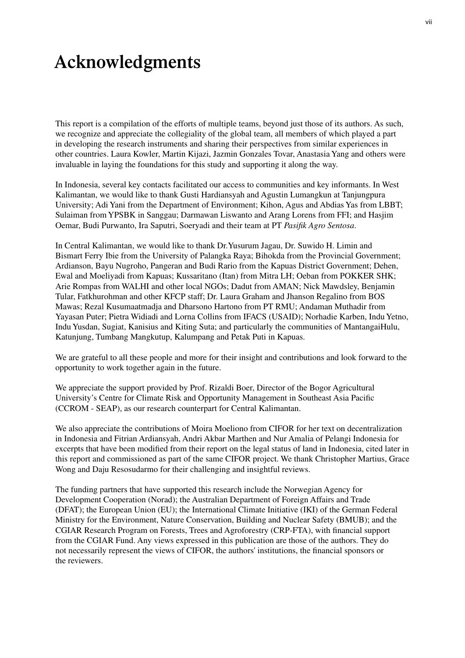## **Acknowledgments**

This report is a compilation of the efforts of multiple teams, beyond just those of its authors. As such, we recognize and appreciate the collegiality of the global team, all members of which played a part in developing the research instruments and sharing their perspectives from similar experiences in other countries. Laura Kowler, Martin Kijazi, Jazmin Gonzales Tovar, Anastasia Yang and others were invaluable in laying the foundations for this study and supporting it along the way.

In Indonesia, several key contacts facilitated our access to communities and key informants. In West Kalimantan, we would like to thank Gusti Hardiansyah and Agustin Lumangkun at Tanjungpura University; Adi Yani from the Department of Environment; Kihon, Agus and Abdias Yas from LBBT; Sulaiman from YPSBK in Sanggau; Darmawan Liswanto and Arang Lorens from FFI; and Hasjim Oemar, Budi Purwanto, Ira Saputri, Soeryadi and their team at PT *Pasifik Agro Sentosa*.

In Central Kalimantan, we would like to thank Dr.Yusurum Jagau, Dr. Suwido H. Limin and Bismart Ferry Ibie from the University of Palangka Raya; Bihokda from the Provincial Government; Ardianson, Bayu Nugroho, Pangeran and Budi Rario from the Kapuas District Government; Dehen, Ewal and Moeliyadi from Kapuas; Kussaritano (Itan) from Mitra LH; Oeban from POKKER SHK; Arie Rompas from WALHI and other local NGOs; Dadut from AMAN; Nick Mawdsley, Benjamin Tular, Fatkhurohman and other KFCP staff; Dr. Laura Graham and Jhanson Regalino from BOS Mawas; Rezal Kusumaatmadja and Dharsono Hartono from PT RMU; Andaman Muthadir from Yayasan Puter; Pietra Widiadi and Lorna Collins from IFACS (USAID); Norhadie Karben, Indu Yetno, Indu Yusdan, Sugiat, Kanisius and Kiting Suta; and particularly the communities of MantangaiHulu, Katunjung, Tumbang Mangkutup, Kalumpang and Petak Puti in Kapuas.

We are grateful to all these people and more for their insight and contributions and look forward to the opportunity to work together again in the future.

We appreciate the support provided by Prof. Rizaldi Boer, Director of the Bogor Agricultural University's Centre for Climate Risk and Opportunity Management in Southeast Asia Pacific (CCROM - SEAP), as our research counterpart for Central Kalimantan.

We also appreciate the contributions of Moira Moeliono from CIFOR for her text on decentralization in Indonesia and Fitrian Ardiansyah, Andri Akbar Marthen and Nur Amalia of Pelangi Indonesia for excerpts that have been modified from their report on the legal status of land in Indonesia, cited later in this report and commissioned as part of the same CIFOR project. We thank Christopher Martius, Grace Wong and Daju Resosudarmo for their challenging and insightful reviews.

The funding partners that have supported this research include the Norwegian Agency for Development Cooperation (Norad); the Australian Department of Foreign Affairs and Trade (DFAT); the European Union (EU); the International Climate Initiative (IKI) of the German Federal Ministry for the Environment, Nature Conservation, Building and Nuclear Safety (BMUB); and the CGIAR Research Program on Forests, Trees and Agroforestry (CRP-FTA), with financial support from the CGIAR Fund. Any views expressed in this publication are those of the authors. They do not necessarily represent the views of CIFOR, the authors' institutions, the financial sponsors or the reviewers.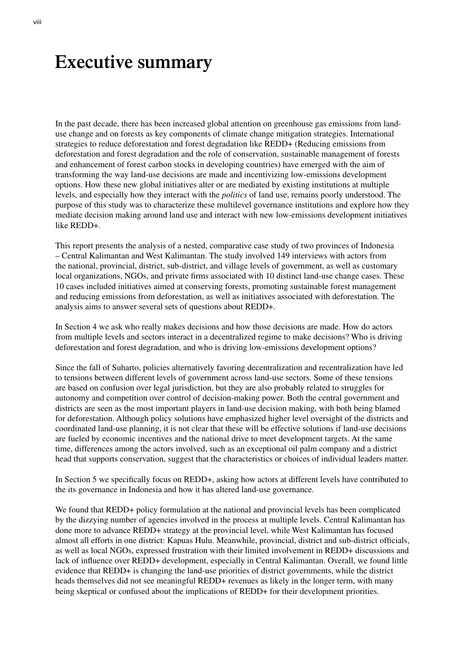## **Executive summary**

In the past decade, there has been increased global attention on greenhouse gas emissions from landuse change and on forests as key components of climate change mitigation strategies. International strategies to reduce deforestation and forest degradation like REDD+ (Reducing emissions from deforestation and forest degradation and the role of conservation, sustainable management of forests and enhancement of forest carbon stocks in developing countries) have emerged with the aim of transforming the way land-use decisions are made and incentivizing low-emissions development options. How these new global initiatives alter or are mediated by existing institutions at multiple levels, and especially how they interact with the *politics* of land use, remains poorly understood. The purpose of this study was to characterize these multilevel governance institutions and explore how they mediate decision making around land use and interact with new low-emissions development initiatives like REDD+.

This report presents the analysis of a nested, comparative case study of two provinces of Indonesia – Central Kalimantan and West Kalimantan. The study involved 149 interviews with actors from the national, provincial, district, sub-district, and village levels of government, as well as customary local organizations, NGOs, and private firms associated with 10 distinct land-use change cases. These 10 cases included initiatives aimed at conserving forests, promoting sustainable forest management and reducing emissions from deforestation, as well as initiatives associated with deforestation. The analysis aims to answer several sets of questions about REDD+.

In Section 4 we ask who really makes decisions and how those decisions are made. How do actors from multiple levels and sectors interact in a decentralized regime to make decisions? Who is driving deforestation and forest degradation, and who is driving low-emissions development options?

Since the fall of Suharto, policies alternatively favoring decentralization and recentralization have led to tensions between different levels of government across land-use sectors. Some of these tensions are based on confusion over legal jurisdiction, but they are also probably related to struggles for autonomy and competition over control of decision-making power. Both the central government and districts are seen as the most important players in land-use decision making, with both being blamed for deforestation. Although policy solutions have emphasized higher level oversight of the districts and coordinated land-use planning, it is not clear that these will be effective solutions if land-use decisions are fueled by economic incentives and the national drive to meet development targets. At the same time, differences among the actors involved, such as an exceptional oil palm company and a district head that supports conservation, suggest that the characteristics or choices of individual leaders matter.

In Section 5 we specifically focus on REDD+, asking how actors at different levels have contributed to the its governance in Indonesia and how it has altered land-use governance.

We found that REDD+ policy formulation at the national and provincial levels has been complicated by the dizzying number of agencies involved in the process at multiple levels. Central Kalimantan has done more to advance REDD+ strategy at the provincial level, while West Kalimantan has focused almost all efforts in one district: Kapuas Hulu. Meanwhile, provincial, district and sub-district officials, as well as local NGOs, expressed frustration with their limited involvement in REDD+ discussions and lack of influence over REDD+ development, especially in Central Kalimantan. Overall, we found little evidence that REDD+ is changing the land-use priorities of district governments, while the district heads themselves did not see meaningful REDD+ revenues as likely in the longer term, with many being skeptical or confused about the implications of REDD+ for their development priorities.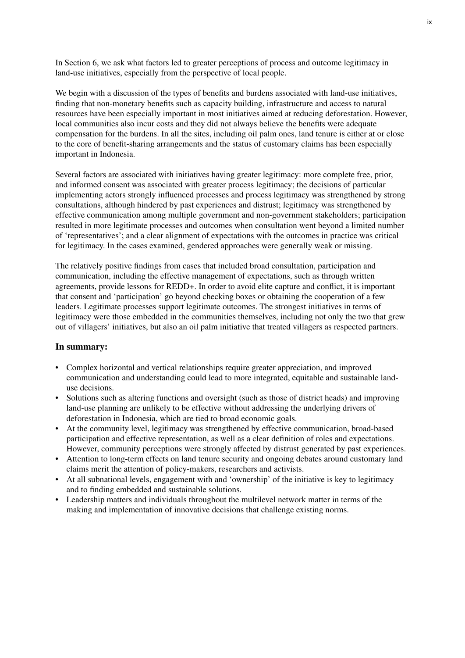In Section 6, we ask what factors led to greater perceptions of process and outcome legitimacy in land-use initiatives, especially from the perspective of local people.

We begin with a discussion of the types of benefits and burdens associated with land-use initiatives, finding that non-monetary benefits such as capacity building, infrastructure and access to natural resources have been especially important in most initiatives aimed at reducing deforestation. However, local communities also incur costs and they did not always believe the benefits were adequate compensation for the burdens. In all the sites, including oil palm ones, land tenure is either at or close to the core of benefit-sharing arrangements and the status of customary claims has been especially important in Indonesia.

Several factors are associated with initiatives having greater legitimacy: more complete free, prior, and informed consent was associated with greater process legitimacy; the decisions of particular implementing actors strongly influenced processes and process legitimacy was strengthened by strong consultations, although hindered by past experiences and distrust; legitimacy was strengthened by effective communication among multiple government and non-government stakeholders; participation resulted in more legitimate processes and outcomes when consultation went beyond a limited number of 'representatives'; and a clear alignment of expectations with the outcomes in practice was critical for legitimacy. In the cases examined, gendered approaches were generally weak or missing.

The relatively positive findings from cases that included broad consultation, participation and communication, including the effective management of expectations, such as through written agreements, provide lessons for REDD+. In order to avoid elite capture and conflict, it is important that consent and 'participation' go beyond checking boxes or obtaining the cooperation of a few leaders. Legitimate processes support legitimate outcomes. The strongest initiatives in terms of legitimacy were those embedded in the communities themselves, including not only the two that grew out of villagers' initiatives, but also an oil palm initiative that treated villagers as respected partners.

#### **In summary:**

- Complex horizontal and vertical relationships require greater appreciation, and improved communication and understanding could lead to more integrated, equitable and sustainable landuse decisions.
- Solutions such as altering functions and oversight (such as those of district heads) and improving land-use planning are unlikely to be effective without addressing the underlying drivers of deforestation in Indonesia, which are tied to broad economic goals.
- At the community level, legitimacy was strengthened by effective communication, broad-based participation and effective representation, as well as a clear definition of roles and expectations. However, community perceptions were strongly affected by distrust generated by past experiences.
- Attention to long-term effects on land tenure security and ongoing debates around customary land claims merit the attention of policy-makers, researchers and activists.
- At all subnational levels, engagement with and 'ownership' of the initiative is key to legitimacy and to finding embedded and sustainable solutions.
- Leadership matters and individuals throughout the multilevel network matter in terms of the making and implementation of innovative decisions that challenge existing norms.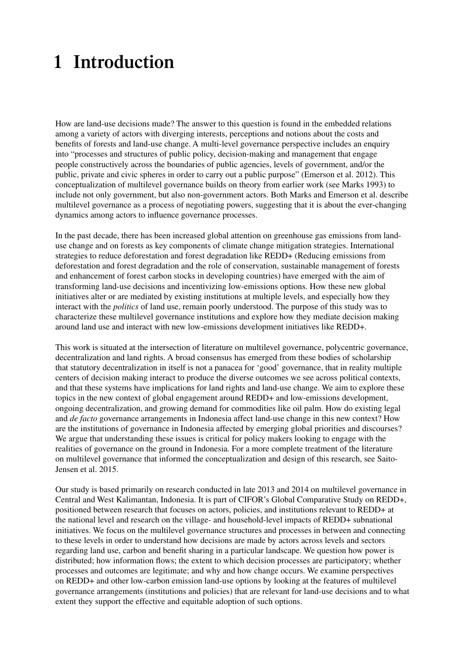# **1 Introduction**

How are land-use decisions made? The answer to this question is found in the embedded relations among a variety of actors with diverging interests, perceptions and notions about the costs and benefits of forests and land-use change. A multi-level governance perspective includes an enquiry into "processes and structures of public policy, decision-making and management that engage people constructively across the boundaries of public agencies, levels of government, and/or the public, private and civic spheres in order to carry out a public purpose" (Emerson et al. 2012). This conceptualization of multilevel governance builds on theory from earlier work (see Marks 1993) to include not only government, but also non-government actors. Both Marks and Emerson et al. describe multilevel governance as a process of negotiating powers, suggesting that it is about the ever-changing dynamics among actors to influence governance processes.

In the past decade, there has been increased global attention on greenhouse gas emissions from landuse change and on forests as key components of climate change mitigation strategies. International strategies to reduce deforestation and forest degradation like REDD+ (Reducing emissions from deforestation and forest degradation and the role of conservation, sustainable management of forests and enhancement of forest carbon stocks in developing countries) have emerged with the aim of transforming land-use decisions and incentivizing low-emissions options. How these new global initiatives alter or are mediated by existing institutions at multiple levels, and especially how they interact with the *politics* of land use, remain poorly understood. The purpose of this study was to characterize these multilevel governance institutions and explore how they mediate decision making around land use and interact with new low-emissions development initiatives like REDD+.

This work is situated at the intersection of literature on multilevel governance, polycentric governance, decentralization and land rights. A broad consensus has emerged from these bodies of scholarship that statutory decentralization in itself is not a panacea for 'good' governance, that in reality multiple centers of decision making interact to produce the diverse outcomes we see across political contexts, and that these systems have implications for land rights and land-use change. We aim to explore these topics in the new context of global engagement around REDD+ and low-emissions development, ongoing decentralization, and growing demand for commodities like oil palm. How do existing legal and *de facto* governance arrangements in Indonesia affect land-use change in this new context? How are the institutions of governance in Indonesia affected by emerging global priorities and discourses? We argue that understanding these issues is critical for policy makers looking to engage with the realities of governance on the ground in Indonesia. For a more complete treatment of the literature on multilevel governance that informed the conceptualization and design of this research, see Saito-Jensen et al. 2015.

Our study is based primarily on research conducted in late 2013 and 2014 on multilevel governance in Central and West Kalimantan, Indonesia. It is part of CIFOR's Global Comparative Study on REDD+, positioned between research that focuses on actors, policies, and institutions relevant to REDD+ at the national level and research on the village- and household-level impacts of REDD+ subnational initiatives. We focus on the multilevel governance structures and processes in between and connecting to these levels in order to understand how decisions are made by actors across levels and sectors regarding land use, carbon and benefit sharing in a particular landscape. We question how power is distributed; how information flows; the extent to which decision processes are participatory; whether processes and outcomes are legitimate; and why and how change occurs. We examine perspectives on REDD+ and other low-carbon emission land-use options by looking at the features of multilevel governance arrangements (institutions and policies) that are relevant for land-use decisions and to what extent they support the effective and equitable adoption of such options.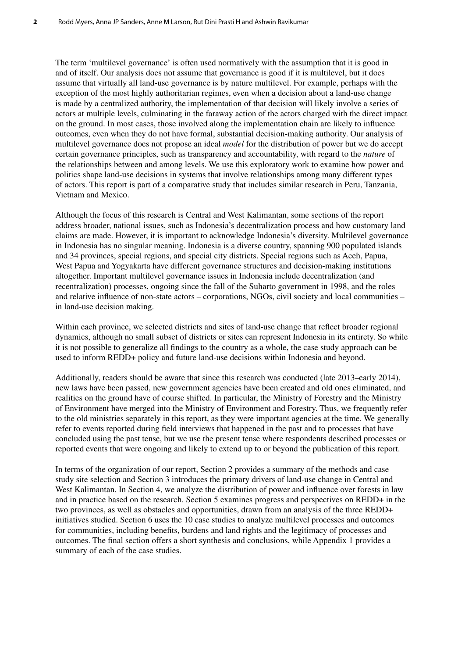The term 'multilevel governance' is often used normatively with the assumption that it is good in and of itself. Our analysis does not assume that governance is good if it is multilevel, but it does assume that virtually all land-use governance is by nature multilevel. For example, perhaps with the exception of the most highly authoritarian regimes, even when a decision about a land-use change is made by a centralized authority, the implementation of that decision will likely involve a series of actors at multiple levels, culminating in the faraway action of the actors charged with the direct impact on the ground. In most cases, those involved along the implementation chain are likely to influence outcomes, even when they do not have formal, substantial decision-making authority. Our analysis of multilevel governance does not propose an ideal *model* for the distribution of power but we do accept certain governance principles, such as transparency and accountability, with regard to the *nature* of the relationships between and among levels. We use this exploratory work to examine how power and politics shape land-use decisions in systems that involve relationships among many different types of actors. This report is part of a comparative study that includes similar research in Peru, Tanzania, Vietnam and Mexico.

Although the focus of this research is Central and West Kalimantan, some sections of the report address broader, national issues, such as Indonesia's decentralization process and how customary land claims are made. However, it is important to acknowledge Indonesia's diversity. Multilevel governance in Indonesia has no singular meaning. Indonesia is a diverse country, spanning 900 populated islands and 34 provinces, special regions, and special city districts. Special regions such as Aceh, Papua, West Papua and Yogyakarta have different governance structures and decision-making institutions altogether. Important multilevel governance issues in Indonesia include decentralization (and recentralization) processes, ongoing since the fall of the Suharto government in 1998, and the roles and relative influence of non-state actors – corporations, NGOs, civil society and local communities – in land-use decision making.

Within each province, we selected districts and sites of land-use change that reflect broader regional dynamics, although no small subset of districts or sites can represent Indonesia in its entirety. So while it is not possible to generalize all findings to the country as a whole, the case study approach can be used to inform REDD+ policy and future land-use decisions within Indonesia and beyond.

Additionally, readers should be aware that since this research was conducted (late 2013–early 2014), new laws have been passed, new government agencies have been created and old ones eliminated, and realities on the ground have of course shifted. In particular, the Ministry of Forestry and the Ministry of Environment have merged into the Ministry of Environment and Forestry. Thus, we frequently refer to the old ministries separately in this report, as they were important agencies at the time. We generally refer to events reported during field interviews that happened in the past and to processes that have concluded using the past tense, but we use the present tense where respondents described processes or reported events that were ongoing and likely to extend up to or beyond the publication of this report.

In terms of the organization of our report, Section 2 provides a summary of the methods and case study site selection and Section 3 introduces the primary drivers of land-use change in Central and West Kalimantan. In Section 4, we analyze the distribution of power and influence over forests in law and in practice based on the research. Section 5 examines progress and perspectives on REDD+ in the two provinces, as well as obstacles and opportunities, drawn from an analysis of the three REDD+ initiatives studied. Section 6 uses the 10 case studies to analyze multilevel processes and outcomes for communities, including benefits, burdens and land rights and the legitimacy of processes and outcomes. The final section offers a short synthesis and conclusions, while Appendix 1 provides a summary of each of the case studies.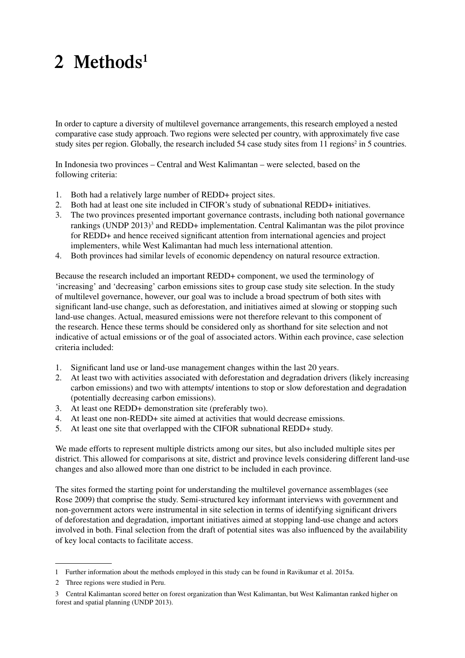# **2 Methods1**

In order to capture a diversity of multilevel governance arrangements, this research employed a nested comparative case study approach. Two regions were selected per country, with approximately five case study sites per region. Globally, the research included 54 case study sites from 11 regions<sup>2</sup> in 5 countries.

In Indonesia two provinces – Central and West Kalimantan – were selected, based on the following criteria:

- 1. Both had a relatively large number of REDD+ project sites.
- 2. Both had at least one site included in CIFOR's study of subnational REDD+ initiatives.
- 3. The two provinces presented important governance contrasts, including both national governance rankings (UNDP 2013)<sup>3</sup> and REDD+ implementation. Central Kalimantan was the pilot province for REDD+ and hence received significant attention from international agencies and project implementers, while West Kalimantan had much less international attention.
- 4. Both provinces had similar levels of economic dependency on natural resource extraction.

Because the research included an important REDD+ component, we used the terminology of 'increasing' and 'decreasing' carbon emissions sites to group case study site selection. In the study of multilevel governance, however, our goal was to include a broad spectrum of both sites with significant land-use change, such as deforestation, and initiatives aimed at slowing or stopping such land-use changes. Actual, measured emissions were not therefore relevant to this component of the research. Hence these terms should be considered only as shorthand for site selection and not indicative of actual emissions or of the goal of associated actors. Within each province, case selection criteria included:

- 1. Significant land use or land-use management changes within the last 20 years.
- 2. At least two with activities associated with deforestation and degradation drivers (likely increasing carbon emissions) and two with attempts/ intentions to stop or slow deforestation and degradation (potentially decreasing carbon emissions).
- 3. At least one REDD+ demonstration site (preferably two).
- 4. At least one non-REDD+ site aimed at activities that would decrease emissions.
- 5. At least one site that overlapped with the CIFOR subnational REDD+ study.

We made efforts to represent multiple districts among our sites, but also included multiple sites per district. This allowed for comparisons at site, district and province levels considering different land-use changes and also allowed more than one district to be included in each province.

The sites formed the starting point for understanding the multilevel governance assemblages (see Rose 2009) that comprise the study. Semi-structured key informant interviews with government and non-government actors were instrumental in site selection in terms of identifying significant drivers of deforestation and degradation, important initiatives aimed at stopping land-use change and actors involved in both. Final selection from the draft of potential sites was also influenced by the availability of key local contacts to facilitate access.

<sup>1</sup> Further information about the methods employed in this study can be found in Ravikumar et al. 2015a.

<sup>2</sup> Three regions were studied in Peru.

<sup>3</sup> Central Kalimantan scored better on forest organization than West Kalimantan, but West Kalimantan ranked higher on forest and spatial planning (UNDP 2013).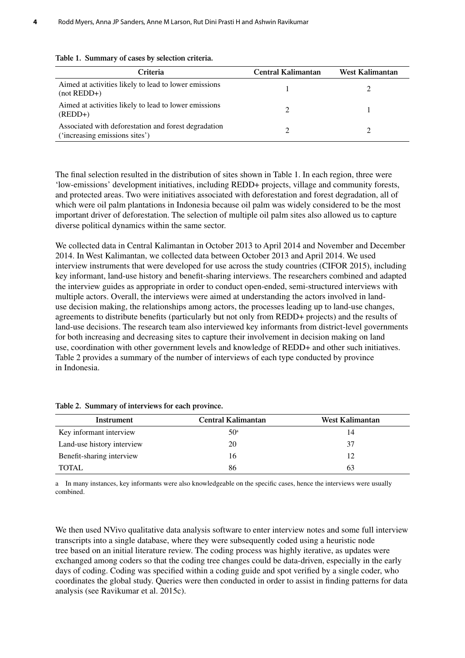| Criteria                                                                               | Central Kalimantan | West Kalimantan |
|----------------------------------------------------------------------------------------|--------------------|-----------------|
| Aimed at activities likely to lead to lower emissions<br>$(not$ REDD+ $)$              |                    |                 |
| Aimed at activities likely to lead to lower emissions<br>$(REDD+)$                     |                    |                 |
| Associated with deforestation and forest degradation<br>('increasing emissions sites') |                    |                 |

The final selection resulted in the distribution of sites shown in Table 1. In each region, three were 'low-emissions' development initiatives, including REDD+ projects, village and community forests, and protected areas. Two were initiatives associated with deforestation and forest degradation, all of which were oil palm plantations in Indonesia because oil palm was widely considered to be the most important driver of deforestation. The selection of multiple oil palm sites also allowed us to capture diverse political dynamics within the same sector.

We collected data in Central Kalimantan in October 2013 to April 2014 and November and December 2014. In West Kalimantan, we collected data between October 2013 and April 2014. We used interview instruments that were developed for use across the study countries (CIFOR 2015), including key informant, land-use history and benefit-sharing interviews. The researchers combined and adapted the interview guides as appropriate in order to conduct open-ended, semi-structured interviews with multiple actors. Overall, the interviews were aimed at understanding the actors involved in landuse decision making, the relationships among actors, the processes leading up to land-use changes, agreements to distribute benefits (particularly but not only from REDD+ projects) and the results of land-use decisions. The research team also interviewed key informants from district-level governments for both increasing and decreasing sites to capture their involvement in decision making on land use, coordination with other government levels and knowledge of REDD+ and other such initiatives. Table 2 provides a summary of the number of interviews of each type conducted by province in Indonesia.

| Instrument                 | Central Kalimantan | West Kalimantan |
|----------------------------|--------------------|-----------------|
| Key informant interview    | 50 <sup>a</sup>    | 14              |
| Land-use history interview | 20                 | 37              |
| Benefit-sharing interview  | 16                 | 12              |
| <b>TOTAL</b>               | 86                 | 63              |

**Table 2. Summary of interviews for each province.**

a In many instances, key informants were also knowledgeable on the specific cases, hence the interviews were usually combined.

We then used NVivo qualitative data analysis software to enter interview notes and some full interview transcripts into a single database, where they were subsequently coded using a heuristic node tree based on an initial literature review. The coding process was highly iterative, as updates were exchanged among coders so that the coding tree changes could be data-driven, especially in the early days of coding. Coding was specified within a coding guide and spot verified by a single coder, who coordinates the global study. Queries were then conducted in order to assist in finding patterns for data analysis (see Ravikumar et al. 2015c).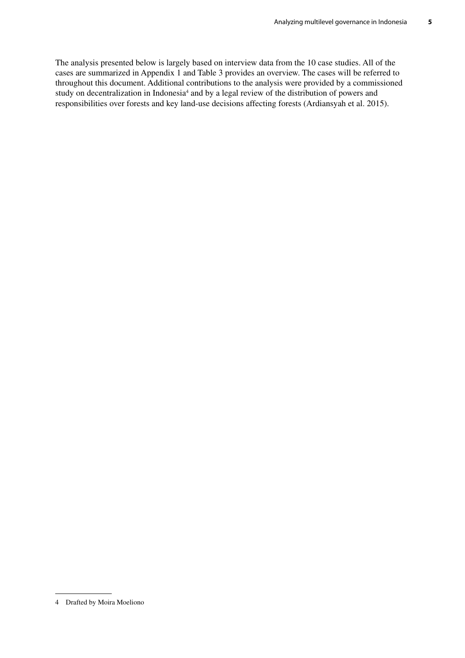The analysis presented below is largely based on interview data from the 10 case studies. All of the cases are summarized in Appendix 1 and Table 3 provides an overview. The cases will be referred to throughout this document. Additional contributions to the analysis were provided by a commissioned study on decentralization in Indonesia<sup>4</sup> and by a legal review of the distribution of powers and responsibilities over forests and key land-use decisions affecting forests (Ardiansyah et al. 2015).

<sup>4</sup> Drafted by Moira Moeliono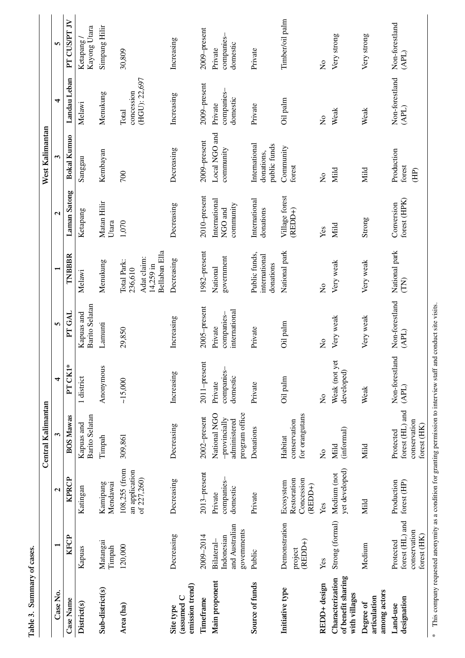|                    | 5                 | PT CUS/PT JV       | Kayong Utara<br>Ketapang            | Simpang Hilir        | 30,809                                                              | Increasing                                 | 2009-present    | Private        | companies-<br>domestic                          | Private                                     | Timber/oil palm                                     | $\tilde{z}$   | Very strong                                             | Very strong                               | Non-forestland<br>(APL)                                     |
|--------------------|-------------------|--------------------|-------------------------------------|----------------------|---------------------------------------------------------------------|--------------------------------------------|-----------------|----------------|-------------------------------------------------|---------------------------------------------|-----------------------------------------------------|---------------|---------------------------------------------------------|-------------------------------------------|-------------------------------------------------------------|
|                    | 4                 | Landau Leban       | Melawi                              | Menukung             | (HGU): 22,697<br>concession<br>Total                                | Increasing                                 | 2009-present    | Private        | companies-<br>domestic                          | Private                                     | Oil palm                                            | $\frac{1}{2}$ | Weak                                                    | Weak                                      | Non-forestland<br>(APL)                                     |
| West Kalimantan    |                   | <b>Bokal Kumuo</b> | Sanggau                             | Kembayan             | 700                                                                 | Decreasing                                 | 2009-present    | Local NGO and  | community                                       | International<br>public funds<br>donations, | Community<br>forest                                 | $\frac{1}{2}$ | Mild                                                    | Mild                                      | Production<br>forest<br>(HP)                                |
|                    | $\mathbf{\Omega}$ | Laman Satong       | Ketapang                            | Matan Hilir<br>Utara | 1,070                                                               | Decreasing                                 | 2010-present    | International  | community<br>NGO and                            | International<br>donations                  | Village forest<br>(REDD+)                           | Yes           | Mild                                                    | Strong                                    | forest (HPK)<br>Conversion                                  |
|                    |                   | TNBBBR             | Melawi                              | Menukung             | Bellaban Ella<br>Adat claim:<br>Total Park:<br>14,259 in<br>236,610 | Decreasing                                 | 1982-present    | National       | government                                      | Public funds,<br>international<br>donations | National park                                       | $\frac{1}{2}$ | Very weak                                               | Very weak                                 | National park<br>(TN)                                       |
|                    | 5                 | <b>LAD Td</b>      | Barito Selatan<br>Kapuas and        | Lamunti              | 29,850                                                              | Increasing                                 | 2005-present    | Private        | international<br>companies-                     | Private                                     | Oil palm                                            | $\frac{1}{2}$ | Very weak                                               | Very weak                                 | Non-forestland<br>(APL)                                     |
|                    | 4                 | PT CK1*            | 1 district                          | Anonymous            | $-15,000$                                                           | Increasing                                 | 2011-present    | Private        | companies-<br>domestic                          | Private                                     | Oil palm                                            | $\frac{1}{2}$ | Weak (not yet<br>developed)                             | Weak                                      | Non-forestland<br>(APL)                                     |
| Central Kalimantan |                   | <b>BOS Mawas</b>   | <b>Barito Selatan</b><br>Kapuas and | Timpah               | 309,861                                                             | Decreasing                                 | $2002$ -present | National NGO   | program office<br>-provincially<br>administered | Donations                                   | for orangutans<br>conservation<br>Habitat           | $\frac{1}{2}$ | (informal)<br>Mild                                      | Mild                                      | forest (HL) and<br>conservation<br>forest (HK)<br>Protected |
|                    | $\mathbf{\Omega}$ | <b>KPRCP</b>       | Katingan                            | Kamipang<br>Mendawai | 108,255 (from<br>an application<br>of 227,260)                      | Decreasing                                 | 2013-present    | Private        | companies-<br>domestic                          | Private                                     | Restoration<br>Concession<br>Ecosystem<br>$(REDD+)$ | Yes           | yet developed)<br>Medium (not                           | Mild                                      | Production<br>forest (HP)                                   |
|                    |                   | <b>KFCP</b>        | Kapuas                              | Matangai<br>Timpah   | 120,000                                                             | Decreasing                                 | 2009-2014       | Bilateral-     | and Australian<br>governments<br>Indonesian     | Public                                      | Demonstration<br>$(REDD+)$<br>project               | Yes           | Strong (formal)                                         | Medium                                    | forest (HL) and<br>conservation<br>forest (HK)<br>Protected |
|                    | Case No.          | Case Name          | District(s)                         | Sub-district(s)      | Area (ha)                                                           | emission trend)<br>(assumed C<br>Site type | Timeframe       | Main proponent |                                                 | Source of funds                             | Initiative type                                     | REDD+ design  | of benefit sharing<br>Characterization<br>with villages | among actors<br>articulation<br>Degree of | designation<br>Land-use                                     |

\* This company requested anonymity as a condition for granting permission to interview staff and conduct site visits. This company requested anonymity as a condition for granting permission to interview staff and conduct site visits.

Table 3. Summary of cases. **Table 3. Summary of cases.**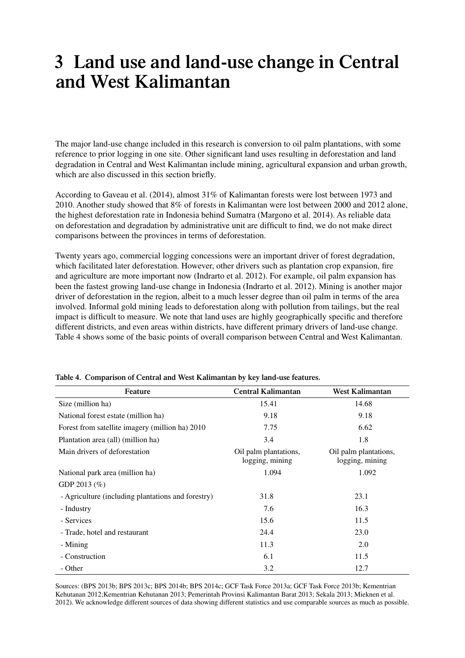# **3 Land use and land-use change in Central and West Kalimantan**

The major land-use change included in this research is conversion to oil palm plantations, with some reference to prior logging in one site. Other significant land uses resulting in deforestation and land degradation in Central and West Kalimantan include mining, agricultural expansion and urban growth, which are also discussed in this section briefly.

According to Gaveau et al. (2014), almost 31% of Kalimantan forests were lost between 1973 and 2010. Another study showed that 8% of forests in Kalimantan were lost between 2000 and 2012 alone, the highest deforestation rate in Indonesia behind Sumatra (Margono et al. 2014). As reliable data on deforestation and degradation by administrative unit are difficult to find, we do not make direct comparisons between the provinces in terms of deforestation.

Twenty years ago, commercial logging concessions were an important driver of forest degradation, which facilitated later deforestation. However, other drivers such as plantation crop expansion, fire and agriculture are more important now (Indrarto et al. 2012). For example, oil palm expansion has been the fastest growing land-use change in Indonesia (Indrarto et al. 2012). Mining is another major driver of deforestation in the region, albeit to a much lesser degree than oil palm in terms of the area involved. Informal gold mining leads to deforestation along with pollution from tailings, but the real impact is difficult to measure. We note that land uses are highly geographically specific and therefore different districts, and even areas within districts, have different primary drivers of land-use change. Table 4 shows some of the basic points of overall comparison between Central and West Kalimantan.

| Feature                                            | <b>Central Kalimantan</b>                | West Kalimantan                          |
|----------------------------------------------------|------------------------------------------|------------------------------------------|
| Size (million ha)                                  | 15.41                                    | 14.68                                    |
| National forest estate (million ha)                | 9.18                                     | 9.18                                     |
| Forest from satellite imagery (million ha) 2010    | 7.75                                     | 6.62                                     |
| Plantation area (all) (million ha)                 | 3.4                                      | 1.8                                      |
| Main drivers of deforestation                      | Oil palm plantations,<br>logging, mining | Oil palm plantations,<br>logging, mining |
| National park area (million ha)                    | 1.094                                    | 1.092                                    |
| GDP 2013 (%)                                       |                                          |                                          |
| - Agriculture (including plantations and forestry) | 31.8                                     | 23.1                                     |
| - Industry                                         | 7.6                                      | 16.3                                     |
| - Services                                         | 15.6                                     | 11.5                                     |
| - Trade, hotel and restaurant                      | 24.4                                     | 23.0                                     |
| - Mining                                           | 11.3                                     | 2.0                                      |
| - Construction                                     | 6.1                                      | 11.5                                     |
| - Other                                            | 3.2                                      | 12.7                                     |

**Table 4. Comparison of Central and West Kalimantan by key land-use features.**

Sources: (BPS 2013b; BPS 2013c; BPS 2014b; BPS 2014c; GCF Task Force 2013a; GCF Task Force 2013b; Kementrian Kehutanan 2012;Kementrian Kehutanan 2013; Pemerintah Provinsi Kalimantan Barat 2013; Sekala 2013; Mieknen et al. 2012). We acknowledge different sources of data showing different statistics and use comparable sources as much as possible.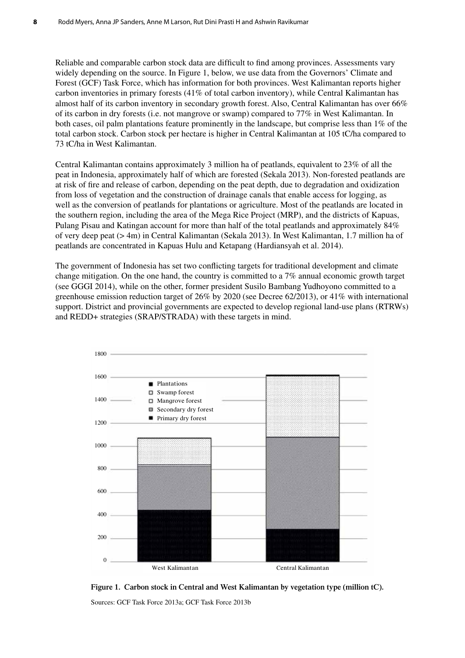Reliable and comparable carbon stock data are difficult to find among provinces. Assessments vary widely depending on the source. In Figure 1, below, we use data from the Governors' Climate and Forest (GCF) Task Force, which has information for both provinces. West Kalimantan reports higher carbon inventories in primary forests (41% of total carbon inventory), while Central Kalimantan has almost half of its carbon inventory in secondary growth forest. Also, Central Kalimantan has over 66% of its carbon in dry forests (i.e. not mangrove or swamp) compared to 77% in West Kalimantan. In both cases, oil palm plantations feature prominently in the landscape, but comprise less than 1% of the total carbon stock. Carbon stock per hectare is higher in Central Kalimantan at 105 tC/ha compared to 73 tC/ha in West Kalimantan.

Central Kalimantan contains approximately 3 million ha of peatlands, equivalent to 23% of all the peat in Indonesia, approximately half of which are forested (Sekala 2013). Non-forested peatlands are at risk of fire and release of carbon, depending on the peat depth, due to degradation and oxidization from loss of vegetation and the construction of drainage canals that enable access for logging, as well as the conversion of peatlands for plantations or agriculture. Most of the peatlands are located in the southern region, including the area of the Mega Rice Project (MRP), and the districts of Kapuas, Pulang Pisau and Katingan account for more than half of the total peatlands and approximately 84% of very deep peat (> 4m) in Central Kalimantan (Sekala 2013). In West Kalimantan, 1.7 million ha of peatlands are concentrated in Kapuas Hulu and Ketapang (Hardiansyah et al. 2014).

The government of Indonesia has set two conflicting targets for traditional development and climate change mitigation. On the one hand, the country is committed to a 7% annual economic growth target (see GGGI 2014), while on the other, former president Susilo Bambang Yudhoyono committed to a greenhouse emission reduction target of 26% by 2020 (see Decree 62/2013), or 41% with international support. District and provincial governments are expected to develop regional land-use plans (RTRWs) and REDD+ strategies (SRAP/STRADA) with these targets in mind.



**Figure 1. Carbon stock in Central and West Kalimantan by vegetation type (million tC).** Sources: GCF Task Force 2013a; GCF Task Force 2013b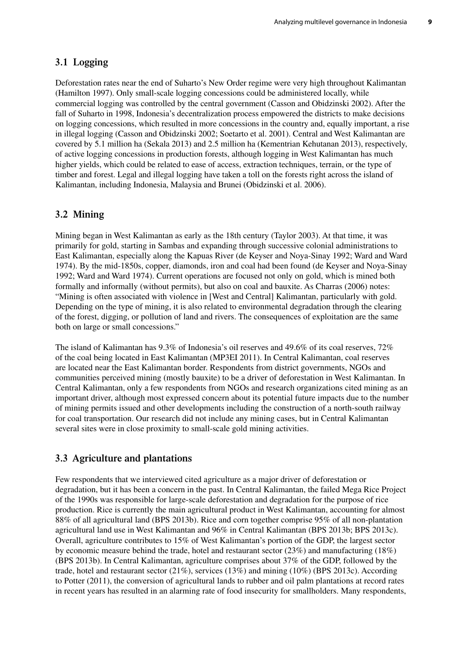## **3.1 Logging**

Deforestation rates near the end of Suharto's New Order regime were very high throughout Kalimantan (Hamilton 1997). Only small-scale logging concessions could be administered locally, while commercial logging was controlled by the central government (Casson and Obidzinski 2002). After the fall of Suharto in 1998, Indonesia's decentralization process empowered the districts to make decisions on logging concessions, which resulted in more concessions in the country and, equally important, a rise in illegal logging (Casson and Obidzinski 2002; Soetarto et al. 2001). Central and West Kalimantan are covered by 5.1 million ha (Sekala 2013) and 2.5 million ha (Kementrian Kehutanan 2013), respectively, of active logging concessions in production forests, although logging in West Kalimantan has much higher yields, which could be related to ease of access, extraction techniques, terrain, or the type of timber and forest. Legal and illegal logging have taken a toll on the forests right across the island of Kalimantan, including Indonesia, Malaysia and Brunei (Obidzinski et al. 2006).

### **3.2 Mining**

Mining began in West Kalimantan as early as the 18th century (Taylor 2003). At that time, it was primarily for gold, starting in Sambas and expanding through successive colonial administrations to East Kalimantan, especially along the Kapuas River (de Keyser and Noya-Sinay 1992; Ward and Ward 1974). By the mid-1850s, copper, diamonds, iron and coal had been found (de Keyser and Noya-Sinay 1992; Ward and Ward 1974). Current operations are focused not only on gold, which is mined both formally and informally (without permits), but also on coal and bauxite. As Charras (2006) notes: "Mining is often associated with violence in [West and Central] Kalimantan, particularly with gold. Depending on the type of mining, it is also related to environmental degradation through the clearing of the forest, digging, or pollution of land and rivers. The consequences of exploitation are the same both on large or small concessions."

The island of Kalimantan has 9.3% of Indonesia's oil reserves and 49.6% of its coal reserves, 72% of the coal being located in East Kalimantan (MP3EI 2011). In Central Kalimantan, coal reserves are located near the East Kalimantan border. Respondents from district governments, NGOs and communities perceived mining (mostly bauxite) to be a driver of deforestation in West Kalimantan. In Central Kalimantan, only a few respondents from NGOs and research organizations cited mining as an important driver, although most expressed concern about its potential future impacts due to the number of mining permits issued and other developments including the construction of a north-south railway for coal transportation. Our research did not include any mining cases, but in Central Kalimantan several sites were in close proximity to small-scale gold mining activities.

## **3.3 Agriculture and plantations**

Few respondents that we interviewed cited agriculture as a major driver of deforestation or degradation, but it has been a concern in the past. In Central Kalimantan, the failed Mega Rice Project of the 1990s was responsible for large-scale deforestation and degradation for the purpose of rice production. Rice is currently the main agricultural product in West Kalimantan, accounting for almost 88% of all agricultural land (BPS 2013b). Rice and corn together comprise 95% of all non-plantation agricultural land use in West Kalimantan and 96% in Central Kalimantan (BPS 2013b; BPS 2013c). Overall, agriculture contributes to 15% of West Kalimantan's portion of the GDP, the largest sector by economic measure behind the trade, hotel and restaurant sector (23%) and manufacturing (18%) (BPS 2013b). In Central Kalimantan, agriculture comprises about 37% of the GDP, followed by the trade, hotel and restaurant sector (21%), services (13%) and mining (10%) (BPS 2013c). According to Potter (2011), the conversion of agricultural lands to rubber and oil palm plantations at record rates in recent years has resulted in an alarming rate of food insecurity for smallholders. Many respondents,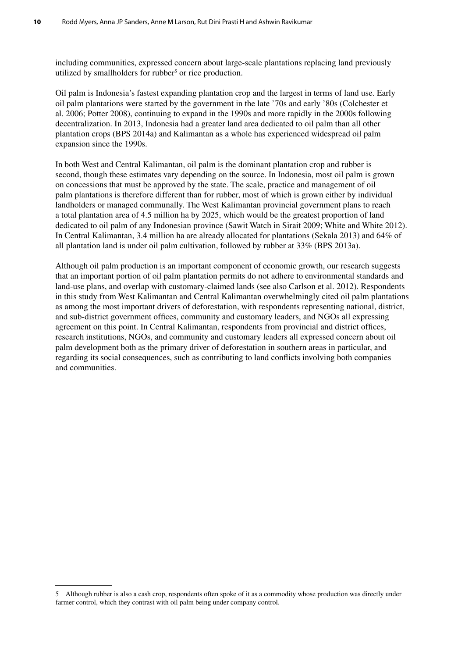including communities, expressed concern about large-scale plantations replacing land previously utilized by smallholders for rubber<sup>5</sup> or rice production.

Oil palm is Indonesia's fastest expanding plantation crop and the largest in terms of land use. Early oil palm plantations were started by the government in the late '70s and early '80s (Colchester et al. 2006; Potter 2008), continuing to expand in the 1990s and more rapidly in the 2000s following decentralization. In 2013, Indonesia had a greater land area dedicated to oil palm than all other plantation crops (BPS 2014a) and Kalimantan as a whole has experienced widespread oil palm expansion since the 1990s.

In both West and Central Kalimantan, oil palm is the dominant plantation crop and rubber is second, though these estimates vary depending on the source. In Indonesia, most oil palm is grown on concessions that must be approved by the state. The scale, practice and management of oil palm plantations is therefore different than for rubber, most of which is grown either by individual landholders or managed communally. The West Kalimantan provincial government plans to reach a total plantation area of 4.5 million ha by 2025, which would be the greatest proportion of land dedicated to oil palm of any Indonesian province (Sawit Watch in Sirait 2009; White and White 2012). In Central Kalimantan, 3.4 million ha are already allocated for plantations (Sekala 2013) and 64% of all plantation land is under oil palm cultivation, followed by rubber at 33% (BPS 2013a).

Although oil palm production is an important component of economic growth, our research suggests that an important portion of oil palm plantation permits do not adhere to environmental standards and land-use plans, and overlap with customary-claimed lands (see also Carlson et al. 2012). Respondents in this study from West Kalimantan and Central Kalimantan overwhelmingly cited oil palm plantations as among the most important drivers of deforestation, with respondents representing national, district, and sub-district government offices, community and customary leaders, and NGOs all expressing agreement on this point. In Central Kalimantan, respondents from provincial and district offices, research institutions, NGOs, and community and customary leaders all expressed concern about oil palm development both as the primary driver of deforestation in southern areas in particular, and regarding its social consequences, such as contributing to land conflicts involving both companies and communities.

<sup>5</sup> Although rubber is also a cash crop, respondents often spoke of it as a commodity whose production was directly under farmer control, which they contrast with oil palm being under company control.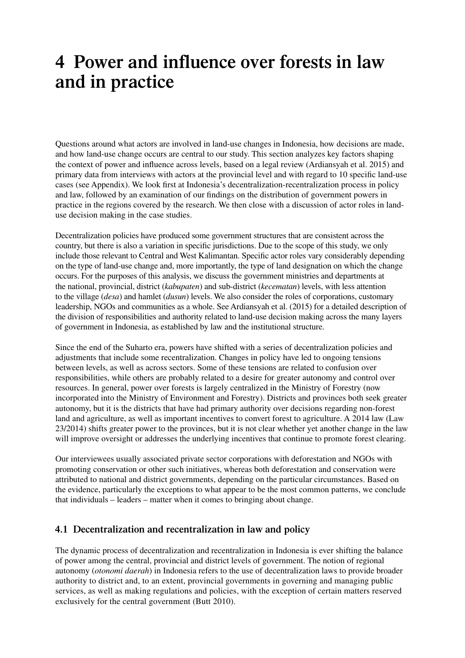# **4 Power and influence over forests in law and in practice**

Questions around what actors are involved in land-use changes in Indonesia, how decisions are made, and how land-use change occurs are central to our study. This section analyzes key factors shaping the context of power and influence across levels, based on a legal review (Ardiansyah et al. 2015) and primary data from interviews with actors at the provincial level and with regard to 10 specific land-use cases (see Appendix). We look first at Indonesia's decentralization-recentralization process in policy and law, followed by an examination of our findings on the distribution of government powers in practice in the regions covered by the research. We then close with a discussion of actor roles in landuse decision making in the case studies.

Decentralization policies have produced some government structures that are consistent across the country, but there is also a variation in specific jurisdictions. Due to the scope of this study, we only include those relevant to Central and West Kalimantan. Specific actor roles vary considerably depending on the type of land-use change and, more importantly, the type of land designation on which the change occurs. For the purposes of this analysis, we discuss the government ministries and departments at the national, provincial, district (*kabupaten*) and sub-district (*kecematan*) levels, with less attention to the village (*desa*) and hamlet (*dusun*) levels. We also consider the roles of corporations, customary leadership, NGOs and communities as a whole. See Ardiansyah et al. (2015) for a detailed description of the division of responsibilities and authority related to land-use decision making across the many layers of government in Indonesia, as established by law and the institutional structure.

Since the end of the Suharto era, powers have shifted with a series of decentralization policies and adjustments that include some recentralization. Changes in policy have led to ongoing tensions between levels, as well as across sectors. Some of these tensions are related to confusion over responsibilities, while others are probably related to a desire for greater autonomy and control over resources. In general, power over forests is largely centralized in the Ministry of Forestry (now incorporated into the Ministry of Environment and Forestry). Districts and provinces both seek greater autonomy, but it is the districts that have had primary authority over decisions regarding non-forest land and agriculture, as well as important incentives to convert forest to agriculture. A 2014 law (Law 23/2014) shifts greater power to the provinces, but it is not clear whether yet another change in the law will improve oversight or addresses the underlying incentives that continue to promote forest clearing.

Our interviewees usually associated private sector corporations with deforestation and NGOs with promoting conservation or other such initiatives, whereas both deforestation and conservation were attributed to national and district governments, depending on the particular circumstances. Based on the evidence, particularly the exceptions to what appear to be the most common patterns, we conclude that individuals – leaders – matter when it comes to bringing about change.

### **4.1 Decentralization and recentralization in law and policy**

The dynamic process of decentralization and recentralization in Indonesia is ever shifting the balance of power among the central, provincial and district levels of government. The notion of regional autonomy (*otonomi daerah*) in Indonesia refers to the use of decentralization laws to provide broader authority to district and, to an extent, provincial governments in governing and managing public services, as well as making regulations and policies, with the exception of certain matters reserved exclusively for the central government (Butt 2010).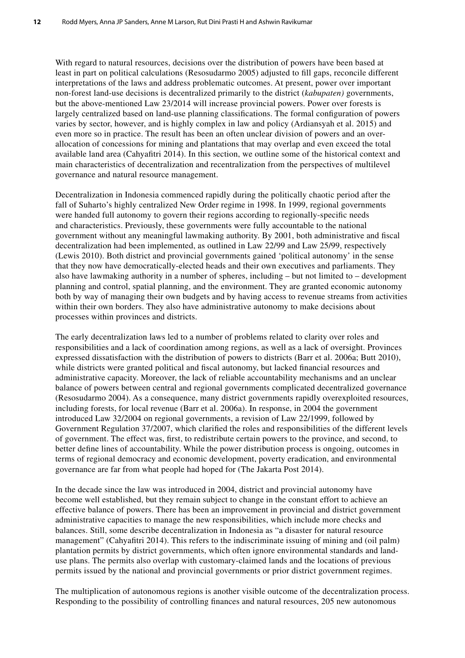With regard to natural resources, decisions over the distribution of powers have been based at least in part on political calculations (Resosudarmo 2005) adjusted to fill gaps, reconcile different interpretations of the laws and address problematic outcomes. At present, power over important non-forest land-use decisions is decentralized primarily to the district (*kabupaten)* governments, but the above-mentioned Law 23/2014 will increase provincial powers. Power over forests is largely centralized based on land-use planning classifications. The formal configuration of powers varies by sector, however, and is highly complex in law and policy (Ardiansyah et al. 2015) and even more so in practice. The result has been an often unclear division of powers and an overallocation of concessions for mining and plantations that may overlap and even exceed the total available land area (Cahyafitri 2014). In this section, we outline some of the historical context and main characteristics of decentralization and recentralization from the perspectives of multilevel governance and natural resource management.

Decentralization in Indonesia commenced rapidly during the politically chaotic period after the fall of Suharto's highly centralized New Order regime in 1998. In 1999, regional governments were handed full autonomy to govern their regions according to regionally-specific needs and characteristics. Previously, these governments were fully accountable to the national government without any meaningful lawmaking authority. By 2001, both administrative and fiscal decentralization had been implemented, as outlined in Law 22/99 and Law 25/99, respectively (Lewis 2010). Both district and provincial governments gained 'political autonomy' in the sense that they now have democratically-elected heads and their own executives and parliaments. They also have lawmaking authority in a number of spheres, including – but not limited to – development planning and control, spatial planning, and the environment. They are granted economic autonomy both by way of managing their own budgets and by having access to revenue streams from activities within their own borders. They also have administrative autonomy to make decisions about processes within provinces and districts.

The early decentralization laws led to a number of problems related to clarity over roles and responsibilities and a lack of coordination among regions, as well as a lack of oversight. Provinces expressed dissatisfaction with the distribution of powers to districts (Barr et al. 2006a; Butt 2010), while districts were granted political and fiscal autonomy, but lacked financial resources and administrative capacity. Moreover, the lack of reliable accountability mechanisms and an unclear balance of powers between central and regional governments complicated decentralized governance (Resosudarmo 2004). As a consequence, many district governments rapidly overexploited resources, including forests, for local revenue (Barr et al. 2006a). In response, in 2004 the government introduced Law 32/2004 on regional governments, a revision of Law 22/1999, followed by Government Regulation 37/2007, which clarified the roles and responsibilities of the different levels of government. The effect was, first, to redistribute certain powers to the province, and second, to better define lines of accountability. While the power distribution process is ongoing, outcomes in terms of regional democracy and economic development, poverty eradication, and environmental governance are far from what people had hoped for (The Jakarta Post 2014).

In the decade since the law was introduced in 2004, district and provincial autonomy have become well established, but they remain subject to change in the constant effort to achieve an effective balance of powers. There has been an improvement in provincial and district government administrative capacities to manage the new responsibilities, which include more checks and balances. Still, some describe decentralization in Indonesia as "a disaster for natural resource management" (Cahyafitri 2014). This refers to the indiscriminate issuing of mining and (oil palm) plantation permits by district governments, which often ignore environmental standards and landuse plans. The permits also overlap with customary-claimed lands and the locations of previous permits issued by the national and provincial governments or prior district government regimes.

The multiplication of autonomous regions is another visible outcome of the decentralization process. Responding to the possibility of controlling finances and natural resources, 205 new autonomous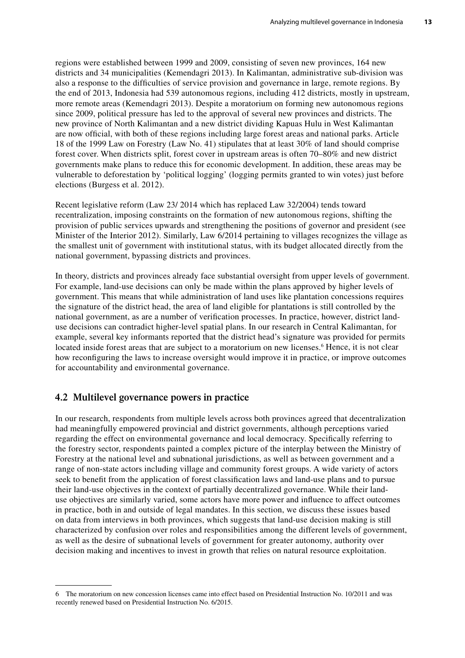regions were established between 1999 and 2009, consisting of seven new provinces, 164 new districts and 34 municipalities (Kemendagri 2013). In Kalimantan, administrative sub-division was also a response to the difficulties of service provision and governance in large, remote regions. By the end of 2013, Indonesia had 539 autonomous regions, including 412 districts, mostly in upstream, more remote areas (Kemendagri 2013). Despite a moratorium on forming new autonomous regions since 2009, political pressure has led to the approval of several new provinces and districts. The new province of North Kalimantan and a new district dividing Kapuas Hulu in West Kalimantan are now official, with both of these regions including large forest areas and national parks. Article 18 of the 1999 Law on Forestry (Law No. 41) stipulates that at least 30% of land should comprise forest cover. When districts split, forest cover in upstream areas is often 70–80% and new district governments make plans to reduce this for economic development. In addition, these areas may be vulnerable to deforestation by 'political logging' (logging permits granted to win votes) just before elections (Burgess et al. 2012).

Recent legislative reform (Law 23/ 2014 which has replaced Law 32/2004) tends toward recentralization, imposing constraints on the formation of new autonomous regions, shifting the provision of public services upwards and strengthening the positions of governor and president (see Minister of the Interior 2012). Similarly, Law 6/2014 pertaining to villages recognizes the village as the smallest unit of government with institutional status, with its budget allocated directly from the national government, bypassing districts and provinces.

In theory, districts and provinces already face substantial oversight from upper levels of government. For example, land-use decisions can only be made within the plans approved by higher levels of government. This means that while administration of land uses like plantation concessions requires the signature of the district head, the area of land eligible for plantations is still controlled by the national government, as are a number of verification processes. In practice, however, district landuse decisions can contradict higher-level spatial plans. In our research in Central Kalimantan, for example, several key informants reported that the district head's signature was provided for permits located inside forest areas that are subject to a moratorium on new licenses.<sup>6</sup> Hence, it is not clear how reconfiguring the laws to increase oversight would improve it in practice, or improve outcomes for accountability and environmental governance.

### **4.2 Multilevel governance powers in practice**

In our research, respondents from multiple levels across both provinces agreed that decentralization had meaningfully empowered provincial and district governments, although perceptions varied regarding the effect on environmental governance and local democracy. Specifically referring to the forestry sector, respondents painted a complex picture of the interplay between the Ministry of Forestry at the national level and subnational jurisdictions, as well as between government and a range of non-state actors including village and community forest groups. A wide variety of actors seek to benefit from the application of forest classification laws and land-use plans and to pursue their land-use objectives in the context of partially decentralized governance. While their landuse objectives are similarly varied, some actors have more power and influence to affect outcomes in practice, both in and outside of legal mandates. In this section, we discuss these issues based on data from interviews in both provinces, which suggests that land-use decision making is still characterized by confusion over roles and responsibilities among the different levels of government, as well as the desire of subnational levels of government for greater autonomy, authority over decision making and incentives to invest in growth that relies on natural resource exploitation.

<sup>6</sup> The moratorium on new concession licenses came into effect based on Presidential Instruction No. 10/2011 and was recently renewed based on Presidential Instruction No. 6/2015.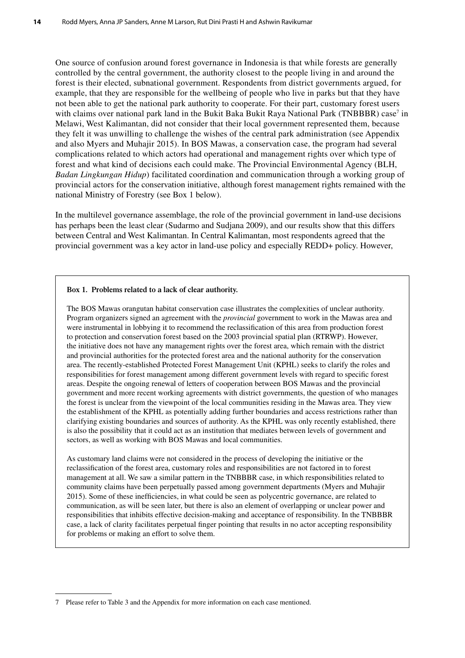One source of confusion around forest governance in Indonesia is that while forests are generally controlled by the central government, the authority closest to the people living in and around the forest is their elected, subnational government. Respondents from district governments argued, for example, that they are responsible for the wellbeing of people who live in parks but that they have not been able to get the national park authority to cooperate. For their part, customary forest users with claims over national park land in the Bukit Baka Bukit Raya National Park (TNBBBR) case<sup>7</sup> in Melawi, West Kalimantan, did not consider that their local government represented them, because they felt it was unwilling to challenge the wishes of the central park administration (see Appendix and also Myers and Muhajir 2015). In BOS Mawas, a conservation case, the program had several complications related to which actors had operational and management rights over which type of forest and what kind of decisions each could make. The Provincial Environmental Agency (BLH, *Badan Lingkungan Hidup*) facilitated coordination and communication through a working group of provincial actors for the conservation initiative, although forest management rights remained with the national Ministry of Forestry (see Box 1 below).

In the multilevel governance assemblage, the role of the provincial government in land-use decisions has perhaps been the least clear (Sudarmo and Sudjana 2009), and our results show that this differs between Central and West Kalimantan. In Central Kalimantan, most respondents agreed that the provincial government was a key actor in land-use policy and especially REDD+ policy. However,

#### **Box 1. Problems related to a lack of clear authority.**

The BOS Mawas orangutan habitat conservation case illustrates the complexities of unclear authority. Program organizers signed an agreement with the *provincial* government to work in the Mawas area and were instrumental in lobbying it to recommend the reclassification of this area from production forest to protection and conservation forest based on the 2003 provincial spatial plan (RTRWP). However, the initiative does not have any management rights over the forest area, which remain with the district and provincial authorities for the protected forest area and the national authority for the conservation area. The recently-established Protected Forest Management Unit (KPHL) seeks to clarify the roles and responsibilities for forest management among different government levels with regard to specific forest areas. Despite the ongoing renewal of letters of cooperation between BOS Mawas and the provincial government and more recent working agreements with district governments, the question of who manages the forest is unclear from the viewpoint of the local communities residing in the Mawas area. They view the establishment of the KPHL as potentially adding further boundaries and access restrictions rather than clarifying existing boundaries and sources of authority. As the KPHL was only recently established, there is also the possibility that it could act as an institution that mediates between levels of government and sectors, as well as working with BOS Mawas and local communities.

As customary land claims were not considered in the process of developing the initiative or the reclassification of the forest area, customary roles and responsibilities are not factored in to forest management at all. We saw a similar pattern in the TNBBBR case, in which responsibilities related to community claims have been perpetually passed among government departments (Myers and Muhajir 2015). Some of these inefficiencies, in what could be seen as polycentric governance, are related to communication, as will be seen later, but there is also an element of overlapping or unclear power and responsibilities that inhibits effective decision-making and acceptance of responsibility. In the TNBBBR case, a lack of clarity facilitates perpetual finger pointing that results in no actor accepting responsibility for problems or making an effort to solve them.

<sup>7</sup> Please refer to Table 3 and the Appendix for more information on each case mentioned.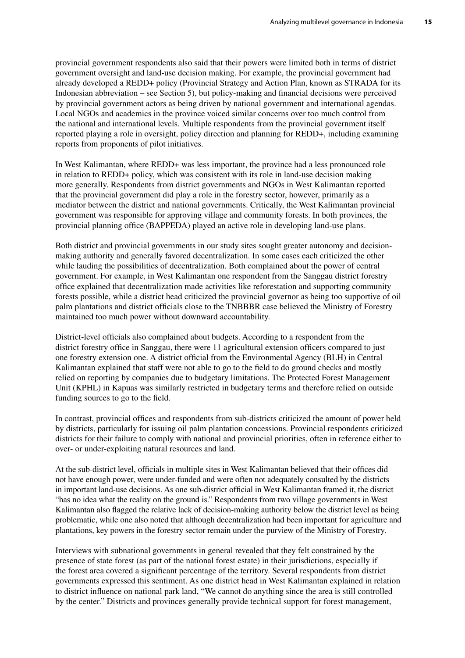provincial government respondents also said that their powers were limited both in terms of district government oversight and land-use decision making. For example, the provincial government had already developed a REDD+ policy (Provincial Strategy and Action Plan, known as STRADA for its Indonesian abbreviation – see Section 5), but policy-making and financial decisions were perceived by provincial government actors as being driven by national government and international agendas. Local NGOs and academics in the province voiced similar concerns over too much control from the national and international levels. Multiple respondents from the provincial government itself reported playing a role in oversight, policy direction and planning for REDD+, including examining reports from proponents of pilot initiatives.

In West Kalimantan, where REDD+ was less important, the province had a less pronounced role in relation to REDD+ policy, which was consistent with its role in land-use decision making more generally. Respondents from district governments and NGOs in West Kalimantan reported that the provincial government did play a role in the forestry sector, however, primarily as a mediator between the district and national governments. Critically, the West Kalimantan provincial government was responsible for approving village and community forests. In both provinces, the provincial planning office (BAPPEDA) played an active role in developing land-use plans.

Both district and provincial governments in our study sites sought greater autonomy and decisionmaking authority and generally favored decentralization. In some cases each criticized the other while lauding the possibilities of decentralization. Both complained about the power of central government. For example, in West Kalimantan one respondent from the Sanggau district forestry office explained that decentralization made activities like reforestation and supporting community forests possible, while a district head criticized the provincial governor as being too supportive of oil palm plantations and district officials close to the TNBBBR case believed the Ministry of Forestry maintained too much power without downward accountability.

District-level officials also complained about budgets. According to a respondent from the district forestry office in Sanggau, there were 11 agricultural extension officers compared to just one forestry extension one. A district official from the Environmental Agency (BLH) in Central Kalimantan explained that staff were not able to go to the field to do ground checks and mostly relied on reporting by companies due to budgetary limitations. The Protected Forest Management Unit (KPHL) in Kapuas was similarly restricted in budgetary terms and therefore relied on outside funding sources to go to the field.

In contrast, provincial offices and respondents from sub-districts criticized the amount of power held by districts, particularly for issuing oil palm plantation concessions. Provincial respondents criticized districts for their failure to comply with national and provincial priorities, often in reference either to over- or under-exploiting natural resources and land.

At the sub-district level, officials in multiple sites in West Kalimantan believed that their offices did not have enough power, were under-funded and were often not adequately consulted by the districts in important land-use decisions. As one sub-district official in West Kalimantan framed it, the district "has no idea what the reality on the ground is." Respondents from two village governments in West Kalimantan also flagged the relative lack of decision-making authority below the district level as being problematic, while one also noted that although decentralization had been important for agriculture and plantations, key powers in the forestry sector remain under the purview of the Ministry of Forestry.

Interviews with subnational governments in general revealed that they felt constrained by the presence of state forest (as part of the national forest estate) in their jurisdictions, especially if the forest area covered a significant percentage of the territory. Several respondents from district governments expressed this sentiment. As one district head in West Kalimantan explained in relation to district influence on national park land, "We cannot do anything since the area is still controlled by the center." Districts and provinces generally provide technical support for forest management,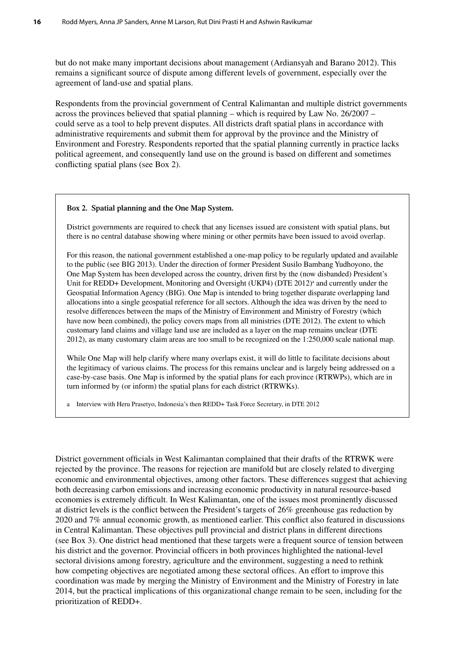but do not make many important decisions about management (Ardiansyah and Barano 2012). This remains a significant source of dispute among different levels of government, especially over the agreement of land-use and spatial plans.

Respondents from the provincial government of Central Kalimantan and multiple district governments across the provinces believed that spatial planning – which is required by Law No. 26/2007 – could serve as a tool to help prevent disputes. All districts draft spatial plans in accordance with administrative requirements and submit them for approval by the province and the Ministry of Environment and Forestry. Respondents reported that the spatial planning currently in practice lacks political agreement, and consequently land use on the ground is based on different and sometimes conflicting spatial plans (see Box 2).

#### **Box 2. Spatial planning and the One Map System.**

District governments are required to check that any licenses issued are consistent with spatial plans, but there is no central database showing where mining or other permits have been issued to avoid overlap.

For this reason, the national government established a one-map policy to be regularly updated and available to the public (see BIG 2013). Under the direction of former President Susilo Bambang Yudhoyono, the One Map System has been developed across the country, driven first by the (now disbanded) President's Unit for REDD+ Development, Monitoring and Oversight (UKP4) (DTE 2012)<sup>a</sup> and currently under the Geospatial Information Agency (BIG). One Map is intended to bring together disparate overlapping land allocations into a single geospatial reference for all sectors. Although the idea was driven by the need to resolve differences between the maps of the Ministry of Environment and Ministry of Forestry (which have now been combined), the policy covers maps from all ministries (DTE 2012). The extent to which customary land claims and village land use are included as a layer on the map remains unclear (DTE 2012), as many customary claim areas are too small to be recognized on the 1:250,000 scale national map.

While One Map will help clarify where many overlaps exist, it will do little to facilitate decisions about the legitimacy of various claims. The process for this remains unclear and is largely being addressed on a case-by-case basis. One Map is informed by the spatial plans for each province (RTRWPs), which are in turn informed by (or inform) the spatial plans for each district (RTRWKs).

a Interview with Heru Prasetyo, Indonesia's then REDD+ Task Force Secretary, in DTE 2012

District government officials in West Kalimantan complained that their drafts of the RTRWK were rejected by the province. The reasons for rejection are manifold but are closely related to diverging economic and environmental objectives, among other factors. These differences suggest that achieving both decreasing carbon emissions and increasing economic productivity in natural resource-based economies is extremely difficult. In West Kalimantan, one of the issues most prominently discussed at district levels is the conflict between the President's targets of 26% greenhouse gas reduction by 2020 and 7% annual economic growth, as mentioned earlier. This conflict also featured in discussions in Central Kalimantan. These objectives pull provincial and district plans in different directions (see Box 3). One district head mentioned that these targets were a frequent source of tension between his district and the governor. Provincial officers in both provinces highlighted the national-level sectoral divisions among forestry, agriculture and the environment, suggesting a need to rethink how competing objectives are negotiated among these sectoral offices. An effort to improve this coordination was made by merging the Ministry of Environment and the Ministry of Forestry in late 2014, but the practical implications of this organizational change remain to be seen, including for the prioritization of REDD+.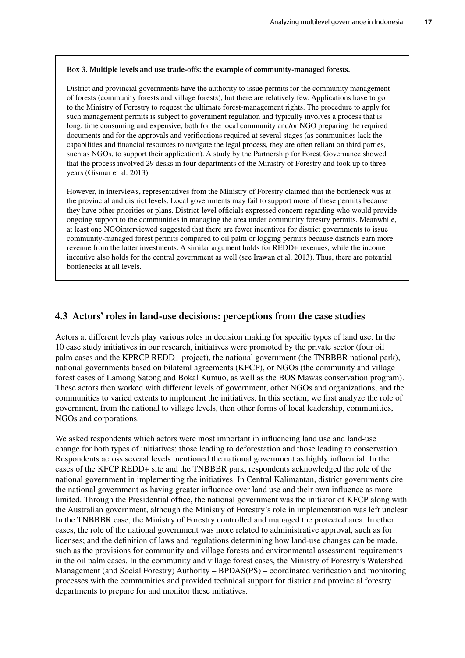#### **Box 3. Multiple levels and use trade-offs: the example of community-managed forests.**

District and provincial governments have the authority to issue permits for the community management of forests (community forests and village forests), but there are relatively few. Applications have to go to the Ministry of Forestry to request the ultimate forest-management rights. The procedure to apply for such management permits is subject to government regulation and typically involves a process that is long, time consuming and expensive, both for the local community and/or NGO preparing the required documents and for the approvals and verifications required at several stages (as communities lack the capabilities and financial resources to navigate the legal process, they are often reliant on third parties, such as NGOs, to support their application). A study by the Partnership for Forest Governance showed that the process involved 29 desks in four departments of the Ministry of Forestry and took up to three years (Gismar et al. 2013).

However, in interviews, representatives from the Ministry of Forestry claimed that the bottleneck was at the provincial and district levels. Local governments may fail to support more of these permits because they have other priorities or plans. District-level officials expressed concern regarding who would provide ongoing support to the communities in managing the area under community forestry permits. Meanwhile, at least one NGOinterviewed suggested that there are fewer incentives for district governments to issue community-managed forest permits compared to oil palm or logging permits because districts earn more revenue from the latter investments. A similar argument holds for REDD+ revenues, while the income incentive also holds for the central government as well (see Irawan et al. 2013). Thus, there are potential bottlenecks at all levels.

#### **4.3 Actors' roles in land-use decisions: perceptions from the case studies**

Actors at different levels play various roles in decision making for specific types of land use. In the 10 case study initiatives in our research, initiatives were promoted by the private sector (four oil palm cases and the KPRCP REDD+ project), the national government (the TNBBBR national park), national governments based on bilateral agreements (KFCP), or NGOs (the community and village forest cases of Lamong Satong and Bokal Kumuo, as well as the BOS Mawas conservation program). These actors then worked with different levels of government, other NGOs and organizations, and the communities to varied extents to implement the initiatives. In this section, we first analyze the role of government, from the national to village levels, then other forms of local leadership, communities, NGOs and corporations.

We asked respondents which actors were most important in influencing land use and land-use change for both types of initiatives: those leading to deforestation and those leading to conservation. Respondents across several levels mentioned the national government as highly influential. In the cases of the KFCP REDD+ site and the TNBBBR park, respondents acknowledged the role of the national government in implementing the initiatives. In Central Kalimantan, district governments cite the national government as having greater influence over land use and their own influence as more limited. Through the Presidential office, the national government was the initiator of KFCP along with the Australian government, although the Ministry of Forestry's role in implementation was left unclear. In the TNBBBR case, the Ministry of Forestry controlled and managed the protected area. In other cases, the role of the national government was more related to administrative approval, such as for licenses; and the definition of laws and regulations determining how land-use changes can be made, such as the provisions for community and village forests and environmental assessment requirements in the oil palm cases. In the community and village forest cases, the Ministry of Forestry's Watershed Management (and Social Forestry) Authority – BPDAS(PS) – coordinated verification and monitoring processes with the communities and provided technical support for district and provincial forestry departments to prepare for and monitor these initiatives.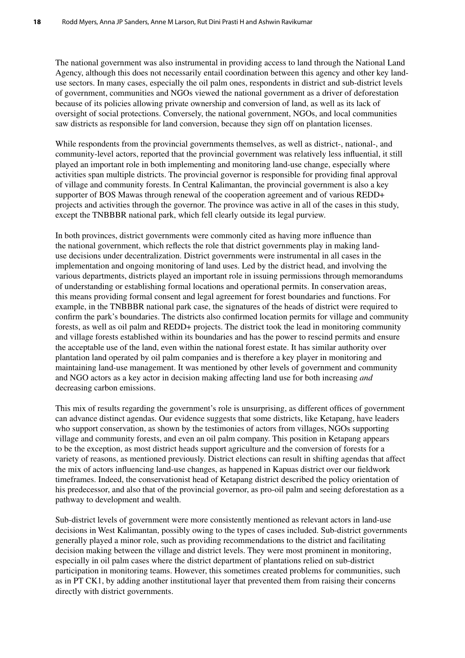The national government was also instrumental in providing access to land through the National Land Agency, although this does not necessarily entail coordination between this agency and other key landuse sectors. In many cases, especially the oil palm ones, respondents in district and sub-district levels of government, communities and NGOs viewed the national government as a driver of deforestation because of its policies allowing private ownership and conversion of land, as well as its lack of oversight of social protections. Conversely, the national government, NGOs, and local communities saw districts as responsible for land conversion, because they sign off on plantation licenses.

While respondents from the provincial governments themselves, as well as district-, national-, and community-level actors, reported that the provincial government was relatively less influential, it still played an important role in both implementing and monitoring land-use change, especially where activities span multiple districts. The provincial governor is responsible for providing final approval of village and community forests. In Central Kalimantan, the provincial government is also a key supporter of BOS Mawas through renewal of the cooperation agreement and of various REDD+ projects and activities through the governor. The province was active in all of the cases in this study, except the TNBBBR national park, which fell clearly outside its legal purview.

In both provinces, district governments were commonly cited as having more influence than the national government, which reflects the role that district governments play in making landuse decisions under decentralization. District governments were instrumental in all cases in the implementation and ongoing monitoring of land uses. Led by the district head, and involving the various departments, districts played an important role in issuing permissions through memorandums of understanding or establishing formal locations and operational permits. In conservation areas, this means providing formal consent and legal agreement for forest boundaries and functions. For example, in the TNBBBR national park case, the signatures of the heads of district were required to confirm the park's boundaries. The districts also confirmed location permits for village and community forests, as well as oil palm and REDD+ projects. The district took the lead in monitoring community and village forests established within its boundaries and has the power to rescind permits and ensure the acceptable use of the land, even within the national forest estate. It has similar authority over plantation land operated by oil palm companies and is therefore a key player in monitoring and maintaining land-use management. It was mentioned by other levels of government and community and NGO actors as a key actor in decision making affecting land use for both increasing *and* decreasing carbon emissions.

This mix of results regarding the government's role is unsurprising, as different offices of government can advance distinct agendas. Our evidence suggests that some districts, like Ketapang, have leaders who support conservation, as shown by the testimonies of actors from villages, NGOs supporting village and community forests, and even an oil palm company. This position in Ketapang appears to be the exception, as most district heads support agriculture and the conversion of forests for a variety of reasons, as mentioned previously. District elections can result in shifting agendas that affect the mix of actors influencing land-use changes, as happened in Kapuas district over our fieldwork timeframes. Indeed, the conservationist head of Ketapang district described the policy orientation of his predecessor, and also that of the provincial governor, as pro-oil palm and seeing deforestation as a pathway to development and wealth.

Sub-district levels of government were more consistently mentioned as relevant actors in land-use decisions in West Kalimantan, possibly owing to the types of cases included. Sub-district governments generally played a minor role, such as providing recommendations to the district and facilitating decision making between the village and district levels. They were most prominent in monitoring, especially in oil palm cases where the district department of plantations relied on sub-district participation in monitoring teams. However, this sometimes created problems for communities, such as in PT CK1, by adding another institutional layer that prevented them from raising their concerns directly with district governments.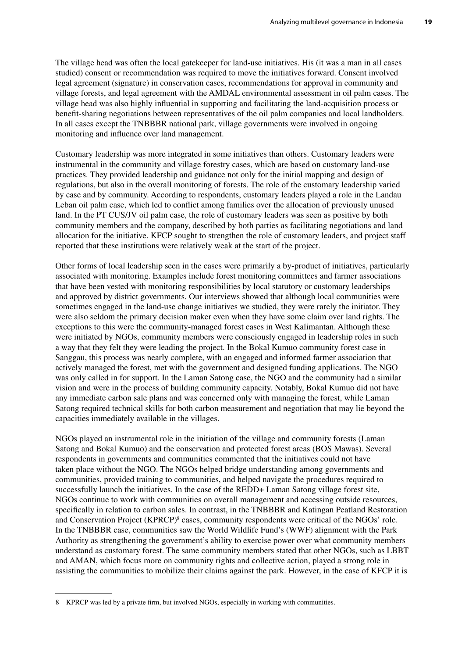The village head was often the local gatekeeper for land-use initiatives. His (it was a man in all cases studied) consent or recommendation was required to move the initiatives forward. Consent involved legal agreement (signature) in conservation cases, recommendations for approval in community and village forests, and legal agreement with the AMDAL environmental assessment in oil palm cases. The village head was also highly influential in supporting and facilitating the land-acquisition process or benefit-sharing negotiations between representatives of the oil palm companies and local landholders. In all cases except the TNBBBR national park, village governments were involved in ongoing monitoring and influence over land management.

Customary leadership was more integrated in some initiatives than others. Customary leaders were instrumental in the community and village forestry cases, which are based on customary land-use practices. They provided leadership and guidance not only for the initial mapping and design of regulations, but also in the overall monitoring of forests. The role of the customary leadership varied by case and by community. According to respondents, customary leaders played a role in the Landau Leban oil palm case, which led to conflict among families over the allocation of previously unused land. In the PT CUS/JV oil palm case, the role of customary leaders was seen as positive by both community members and the company, described by both parties as facilitating negotiations and land allocation for the initiative. KFCP sought to strengthen the role of customary leaders, and project staff reported that these institutions were relatively weak at the start of the project.

Other forms of local leadership seen in the cases were primarily a by-product of initiatives, particularly associated with monitoring. Examples include forest monitoring committees and farmer associations that have been vested with monitoring responsibilities by local statutory or customary leaderships and approved by district governments. Our interviews showed that although local communities were sometimes engaged in the land-use change initiatives we studied, they were rarely the initiator. They were also seldom the primary decision maker even when they have some claim over land rights. The exceptions to this were the community-managed forest cases in West Kalimantan. Although these were initiated by NGOs, community members were consciously engaged in leadership roles in such a way that they felt they were leading the project. In the Bokal Kumuo community forest case in Sanggau, this process was nearly complete, with an engaged and informed farmer association that actively managed the forest, met with the government and designed funding applications. The NGO was only called in for support. In the Laman Satong case, the NGO and the community had a similar vision and were in the process of building community capacity. Notably, Bokal Kumuo did not have any immediate carbon sale plans and was concerned only with managing the forest, while Laman Satong required technical skills for both carbon measurement and negotiation that may lie beyond the capacities immediately available in the villages.

NGOs played an instrumental role in the initiation of the village and community forests (Laman Satong and Bokal Kumuo) and the conservation and protected forest areas (BOS Mawas). Several respondents in governments and communities commented that the initiatives could not have taken place without the NGO. The NGOs helped bridge understanding among governments and communities, provided training to communities, and helped navigate the procedures required to successfully launch the initiatives. In the case of the REDD+ Laman Satong village forest site, NGOs continue to work with communities on overall management and accessing outside resources, specifically in relation to carbon sales. In contrast, in the TNBBBR and Katingan Peatland Restoration and Conservation Project (KPRCP)<sup>8</sup> cases, community respondents were critical of the NGOs' role. In the TNBBBR case, communities saw the World Wildlife Fund's (WWF) alignment with the Park Authority as strengthening the government's ability to exercise power over what community members understand as customary forest. The same community members stated that other NGOs, such as LBBT and AMAN, which focus more on community rights and collective action, played a strong role in assisting the communities to mobilize their claims against the park. However, in the case of KFCP it is

<sup>8</sup> KPRCP was led by a private firm, but involved NGOs, especially in working with communities.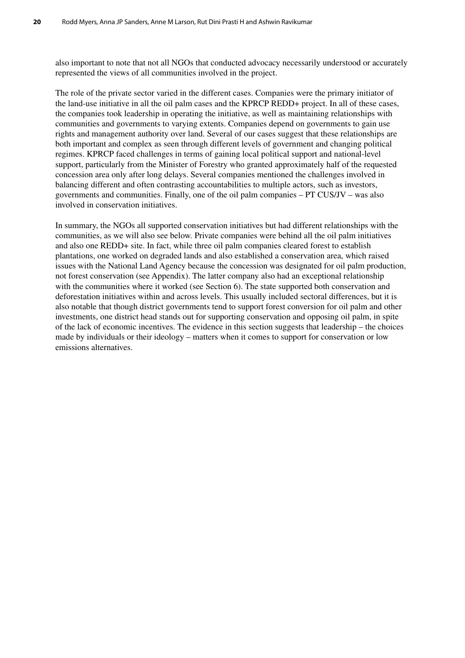also important to note that not all NGOs that conducted advocacy necessarily understood or accurately represented the views of all communities involved in the project.

The role of the private sector varied in the different cases. Companies were the primary initiator of the land-use initiative in all the oil palm cases and the KPRCP REDD+ project. In all of these cases, the companies took leadership in operating the initiative, as well as maintaining relationships with communities and governments to varying extents. Companies depend on governments to gain use rights and management authority over land. Several of our cases suggest that these relationships are both important and complex as seen through different levels of government and changing political regimes. KPRCP faced challenges in terms of gaining local political support and national-level support, particularly from the Minister of Forestry who granted approximately half of the requested concession area only after long delays. Several companies mentioned the challenges involved in balancing different and often contrasting accountabilities to multiple actors, such as investors, governments and communities. Finally, one of the oil palm companies – PT CUS/JV – was also involved in conservation initiatives.

In summary, the NGOs all supported conservation initiatives but had different relationships with the communities, as we will also see below. Private companies were behind all the oil palm initiatives and also one REDD+ site. In fact, while three oil palm companies cleared forest to establish plantations, one worked on degraded lands and also established a conservation area, which raised issues with the National Land Agency because the concession was designated for oil palm production, not forest conservation (see Appendix). The latter company also had an exceptional relationship with the communities where it worked (see Section 6). The state supported both conservation and deforestation initiatives within and across levels. This usually included sectoral differences, but it is also notable that though district governments tend to support forest conversion for oil palm and other investments, one district head stands out for supporting conservation and opposing oil palm, in spite of the lack of economic incentives. The evidence in this section suggests that leadership – the choices made by individuals or their ideology – matters when it comes to support for conservation or low emissions alternatives.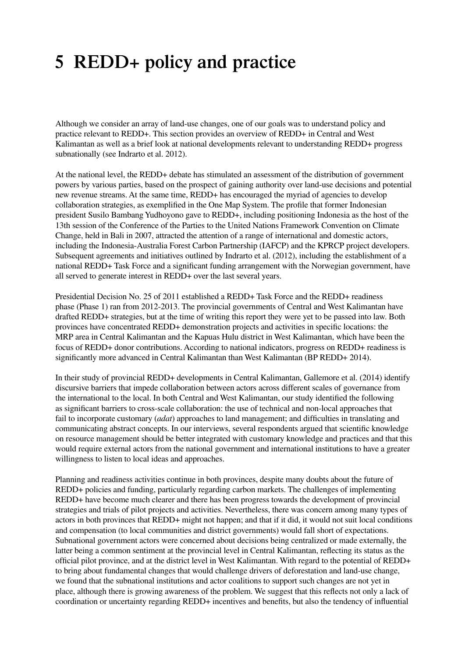# **5 REDD+ policy and practice**

Although we consider an array of land-use changes, one of our goals was to understand policy and practice relevant to REDD+. This section provides an overview of REDD+ in Central and West Kalimantan as well as a brief look at national developments relevant to understanding REDD+ progress subnationally (see Indrarto et al. 2012).

At the national level, the REDD+ debate has stimulated an assessment of the distribution of government powers by various parties, based on the prospect of gaining authority over land-use decisions and potential new revenue streams. At the same time, REDD+ has encouraged the myriad of agencies to develop collaboration strategies, as exemplified in the One Map System. The profile that former Indonesian president Susilo Bambang Yudhoyono gave to REDD+, including positioning Indonesia as the host of the 13th session of the Conference of the Parties to the United Nations Framework Convention on Climate Change, held in Bali in 2007, attracted the attention of a range of international and domestic actors, including the Indonesia-Australia Forest Carbon Partnership (IAFCP) and the KPRCP project developers. Subsequent agreements and initiatives outlined by Indrarto et al. (2012), including the establishment of a national REDD+ Task Force and a significant funding arrangement with the Norwegian government, have all served to generate interest in REDD+ over the last several years.

Presidential Decision No. 25 of 2011 established a REDD+ Task Force and the REDD+ readiness phase (Phase 1) ran from 2012-2013. The provincial governments of Central and West Kalimantan have drafted REDD+ strategies, but at the time of writing this report they were yet to be passed into law. Both provinces have concentrated REDD+ demonstration projects and activities in specific locations: the MRP area in Central Kalimantan and the Kapuas Hulu district in West Kalimantan, which have been the focus of REDD+ donor contributions. According to national indicators, progress on REDD+ readiness is significantly more advanced in Central Kalimantan than West Kalimantan (BP REDD+ 2014).

In their study of provincial REDD+ developments in Central Kalimantan, Gallemore et al. (2014) identify discursive barriers that impede collaboration between actors across different scales of governance from the international to the local. In both Central and West Kalimantan, our study identified the following as significant barriers to cross-scale collaboration: the use of technical and non-local approaches that fail to incorporate customary (*adat*) approaches to land management; and difficulties in translating and communicating abstract concepts. In our interviews, several respondents argued that scientific knowledge on resource management should be better integrated with customary knowledge and practices and that this would require external actors from the national government and international institutions to have a greater willingness to listen to local ideas and approaches.

Planning and readiness activities continue in both provinces, despite many doubts about the future of REDD+ policies and funding, particularly regarding carbon markets. The challenges of implementing REDD+ have become much clearer and there has been progress towards the development of provincial strategies and trials of pilot projects and activities. Nevertheless, there was concern among many types of actors in both provinces that REDD+ might not happen; and that if it did, it would not suit local conditions and compensation (to local communities and district governments) would fall short of expectations. Subnational government actors were concerned about decisions being centralized or made externally, the latter being a common sentiment at the provincial level in Central Kalimantan, reflecting its status as the official pilot province, and at the district level in West Kalimantan. With regard to the potential of REDD+ to bring about fundamental changes that would challenge drivers of deforestation and land-use change, we found that the subnational institutions and actor coalitions to support such changes are not yet in place, although there is growing awareness of the problem. We suggest that this reflects not only a lack of coordination or uncertainty regarding REDD+ incentives and benefits, but also the tendency of influential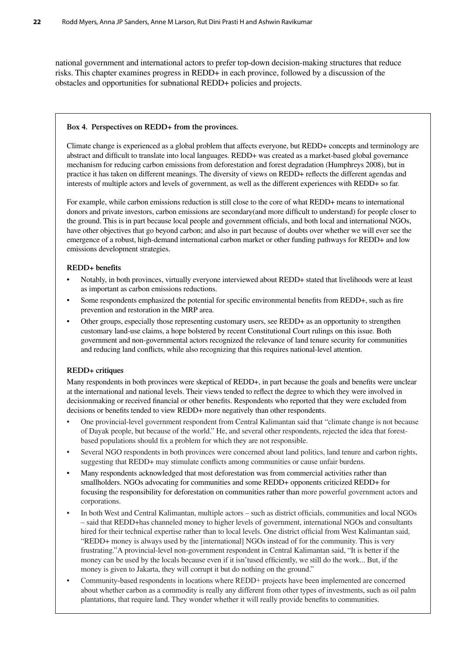national government and international actors to prefer top-down decision-making structures that reduce risks. This chapter examines progress in REDD+ in each province, followed by a discussion of the obstacles and opportunities for subnational REDD+ policies and projects.

#### **Box 4. Perspectives on REDD+ from the provinces.**

Climate change is experienced as a global problem that affects everyone, but REDD+ concepts and terminology are abstract and difficult to translate into local languages. REDD+ was created as a market-based global governance mechanism for reducing carbon emissions from deforestation and forest degradation (Humphreys 2008), but in practice it has taken on different meanings. The diversity of views on REDD+ reflects the different agendas and interests of multiple actors and levels of government, as well as the different experiences with REDD+ so far.

For example, while carbon emissions reduction is still close to the core of what REDD+ means to international donors and private investors, carbon emissions are secondary(and more difficult to understand) for people closer to the ground. This is in part because local people and government officials, and both local and international NGOs, have other objectives that go beyond carbon; and also in part because of doubts over whether we will ever see the emergence of a robust, high-demand international carbon market or other funding pathways for REDD+ and low emissions development strategies.

#### **REDD+ benefits**

- Notably, in both provinces, virtually everyone interviewed about REDD+ stated that livelihoods were at least as important as carbon emissions reductions.
- Some respondents emphasized the potential for specific environmental benefits from REDD+, such as fire prevention and restoration in the MRP area.
- Other groups, especially those representing customary users, see REDD+ as an opportunity to strengthen customary land-use claims, a hope bolstered by recent Constitutional Court rulings on this issue. Both government and non-governmental actors recognized the relevance of land tenure security for communities and reducing land conflicts, while also recognizing that this requires national-level attention.

#### **REDD+ critiques**

Many respondents in both provinces were skeptical of REDD+, in part because the goals and benefits were unclear at the international and national levels. Their views tended to reflect the degree to which they were involved in decisionmaking or received financial or other benefits. Respondents who reported that they were excluded from decisions or benefits tended to view REDD+ more negatively than other respondents.

- One provincial-level government respondent from Central Kalimantan said that "climate change is not because of Dayak people, but because of the world." He, and several other respondents, rejected the idea that forestbased populations should fix a problem for which they are not responsible.
- Several NGO respondents in both provinces were concerned about land politics, land tenure and carbon rights, suggesting that REDD+ may stimulate conflicts among communities or cause unfair burdens.
- Many respondents acknowledged that most deforestation was from commercial activities rather than smallholders. NGOs advocating for communities and some REDD+ opponents criticized REDD+ for focusing the responsibility for deforestation on communities rather than more powerful government actors and corporations.
- In both West and Central Kalimantan, multiple actors such as district officials, communities and local NGOs – said that REDD+has channeled money to higher levels of government, international NGOs and consultants hired for their technical expertise rather than to local levels. One district official from West Kalimantan said, "REDD+ money is always used by the [international] NGOs instead of for the community. This is very frustrating."A provincial-level non-government respondent in Central Kalimantan said, "It is better if the money can be used by the locals because even if it isn'tused efficiently, we still do the work... But, if the money is given to Jakarta, they will corrupt it but do nothing on the ground."
- Community-based respondents in locations where REDD+ projects have been implemented are concerned about whether carbon as a commodity is really any different from other types of investments, such as oil palm plantations, that require land. They wonder whether it will really provide benefits to communities.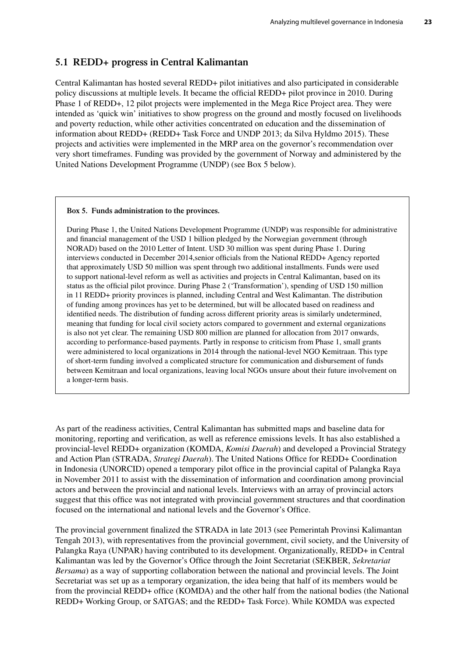#### **5.1 REDD+ progress in Central Kalimantan**

Central Kalimantan has hosted several REDD+ pilot initiatives and also participated in considerable policy discussions at multiple levels. It became the official REDD+ pilot province in 2010. During Phase 1 of REDD+, 12 pilot projects were implemented in the Mega Rice Project area. They were intended as 'quick win' initiatives to show progress on the ground and mostly focused on livelihoods and poverty reduction, while other activities concentrated on education and the dissemination of information about REDD+ (REDD+ Task Force and UNDP 2013; da Silva Hyldmo 2015). These projects and activities were implemented in the MRP area on the governor's recommendation over very short timeframes. Funding was provided by the government of Norway and administered by the United Nations Development Programme (UNDP) (see Box 5 below).

#### **Box 5. Funds administration to the provinces.**

During Phase 1, the United Nations Development Programme (UNDP) was responsible for administrative and financial management of the USD 1 billion pledged by the Norwegian government (through NORAD) based on the 2010 Letter of Intent. USD 30 million was spent during Phase 1. During interviews conducted in December 2014,senior officials from the National REDD+ Agency reported that approximately USD 50 million was spent through two additional installments. Funds were used to support national-level reform as well as activities and projects in Central Kalimantan, based on its status as the official pilot province. During Phase 2 ('Transformation'), spending of USD 150 million in 11 REDD+ priority provinces is planned, including Central and West Kalimantan. The distribution of funding among provinces has yet to be determined, but will be allocated based on readiness and identified needs. The distribution of funding across different priority areas is similarly undetermined, meaning that funding for local civil society actors compared to government and external organizations is also not yet clear. The remaining USD 800 million are planned for allocation from 2017 onwards, according to performance-based payments. Partly in response to criticism from Phase 1, small grants were administered to local organizations in 2014 through the national-level NGO Kemitraan. This type of short-term funding involved a complicated structure for communication and disbursement of funds between Kemitraan and local organizations, leaving local NGOs unsure about their future involvement on a longer-term basis.

As part of the readiness activities, Central Kalimantan has submitted maps and baseline data for monitoring, reporting and verification, as well as reference emissions levels. It has also established a provincial-level REDD+ organization (KOMDA, *Komisi Daerah*) and developed a Provincial Strategy and Action Plan (STRADA, *Strategi Daerah*). The United Nations Office for REDD+ Coordination in Indonesia (UNORCID) opened a temporary pilot office in the provincial capital of Palangka Raya in November 2011 to assist with the dissemination of information and coordination among provincial actors and between the provincial and national levels. Interviews with an array of provincial actors suggest that this office was not integrated with provincial government structures and that coordination focused on the international and national levels and the Governor's Office.

The provincial government finalized the STRADA in late 2013 (see Pemerintah Provinsi Kalimantan Tengah 2013), with representatives from the provincial government, civil society, and the University of Palangka Raya (UNPAR) having contributed to its development. Organizationally, REDD+ in Central Kalimantan was led by the Governor's Office through the Joint Secretariat (SEKBER, *Sekretariat Bersama*) as a way of supporting collaboration between the national and provincial levels. The Joint Secretariat was set up as a temporary organization, the idea being that half of its members would be from the provincial REDD+ office (KOMDA) and the other half from the national bodies (the National REDD+ Working Group, or SATGAS; and the REDD+ Task Force). While KOMDA was expected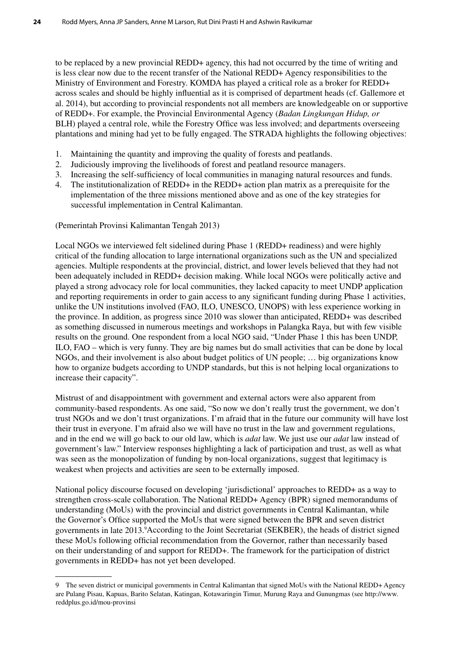to be replaced by a new provincial REDD+ agency, this had not occurred by the time of writing and is less clear now due to the recent transfer of the National REDD+ Agency responsibilities to the Ministry of Environment and Forestry. KOMDA has played a critical role as a broker for REDD+ across scales and should be highly influential as it is comprised of department heads (cf. Gallemore et al. 2014), but according to provincial respondents not all members are knowledgeable on or supportive of REDD+. For example, the Provincial Environmental Agency (*Badan Lingkungan Hidup, or* BLH) played a central role, while the Forestry Office was less involved; and departments overseeing plantations and mining had yet to be fully engaged. The STRADA highlights the following objectives:

- 1. Maintaining the quantity and improving the quality of forests and peatlands.
- 2. Judiciously improving the livelihoods of forest and peatland resource managers.
- 3. Increasing the self-sufficiency of local communities in managing natural resources and funds.
- 4. The institutionalization of REDD+ in the REDD+ action plan matrix as a prerequisite for the implementation of the three missions mentioned above and as one of the key strategies for successful implementation in Central Kalimantan.

(Pemerintah Provinsi Kalimantan Tengah 2013)

Local NGOs we interviewed felt sidelined during Phase 1 (REDD+ readiness) and were highly critical of the funding allocation to large international organizations such as the UN and specialized agencies. Multiple respondents at the provincial, district, and lower levels believed that they had not been adequately included in REDD+ decision making. While local NGOs were politically active and played a strong advocacy role for local communities, they lacked capacity to meet UNDP application and reporting requirements in order to gain access to any significant funding during Phase 1 activities, unlike the UN institutions involved (FAO, ILO, UNESCO, UNOPS) with less experience working in the province. In addition, as progress since 2010 was slower than anticipated, REDD+ was described as something discussed in numerous meetings and workshops in Palangka Raya, but with few visible results on the ground. One respondent from a local NGO said, "Under Phase 1 this has been UNDP, ILO, FAO – which is very funny. They are big names but do small activities that can be done by local NGOs, and their involvement is also about budget politics of UN people; … big organizations know how to organize budgets according to UNDP standards, but this is not helping local organizations to increase their capacity".

Mistrust of and disappointment with government and external actors were also apparent from community-based respondents. As one said, "So now we don't really trust the government, we don't trust NGOs and we don't trust organizations. I'm afraid that in the future our community will have lost their trust in everyone. I'm afraid also we will have no trust in the law and government regulations, and in the end we will go back to our old law, which is *adat* law. We just use our *adat* law instead of government's law." Interview responses highlighting a lack of participation and trust, as well as what was seen as the monopolization of funding by non-local organizations, suggest that legitimacy is weakest when projects and activities are seen to be externally imposed.

National policy discourse focused on developing 'jurisdictional' approaches to REDD+ as a way to strengthen cross-scale collaboration. The National REDD+ Agency (BPR) signed memorandums of understanding (MoUs) with the provincial and district governments in Central Kalimantan, while the Governor's Office supported the MoUs that were signed between the BPR and seven district governments in late 2013.<sup>9</sup> According to the Joint Secretariat (SEKBER), the heads of district signed these MoUs following official recommendation from the Governor, rather than necessarily based on their understanding of and support for REDD+. The framework for the participation of district governments in REDD+ has not yet been developed.

<sup>9</sup> The seven district or municipal governments in Central Kalimantan that signed MoUs with the National REDD+ Agency are Pulang Pisau, Kapuas, Barito Selatan, Katingan, Kotawaringin Timur, Murung Raya and Gunungmas (see http://www. reddplus.go.id/mou-provinsi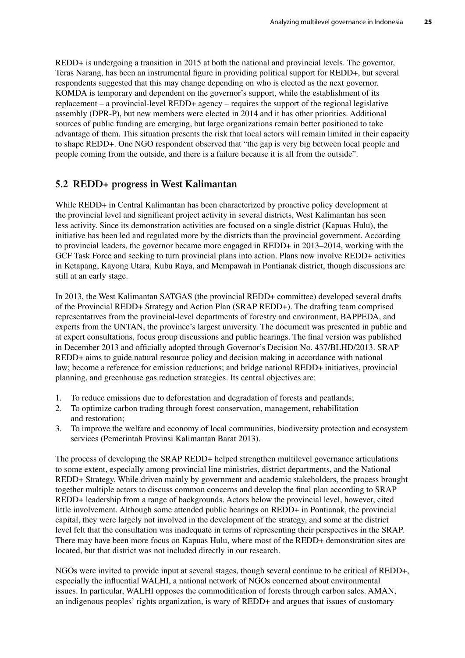REDD+ is undergoing a transition in 2015 at both the national and provincial levels. The governor, Teras Narang, has been an instrumental figure in providing political support for REDD+, but several respondents suggested that this may change depending on who is elected as the next governor. KOMDA is temporary and dependent on the governor's support, while the establishment of its replacement – a provincial-level REDD+ agency – requires the support of the regional legislative assembly (DPR-P), but new members were elected in 2014 and it has other priorities. Additional sources of public funding are emerging, but large organizations remain better positioned to take advantage of them. This situation presents the risk that local actors will remain limited in their capacity to shape REDD+. One NGO respondent observed that "the gap is very big between local people and people coming from the outside, and there is a failure because it is all from the outside".

### **5.2 REDD+ progress in West Kalimantan**

While REDD+ in Central Kalimantan has been characterized by proactive policy development at the provincial level and significant project activity in several districts, West Kalimantan has seen less activity. Since its demonstration activities are focused on a single district (Kapuas Hulu), the initiative has been led and regulated more by the districts than the provincial government. According to provincial leaders, the governor became more engaged in REDD+ in 2013–2014, working with the GCF Task Force and seeking to turn provincial plans into action. Plans now involve REDD+ activities in Ketapang, Kayong Utara, Kubu Raya, and Mempawah in Pontianak district, though discussions are still at an early stage.

In 2013, the West Kalimantan SATGAS (the provincial REDD+ committee) developed several drafts of the Provincial REDD+ Strategy and Action Plan (SRAP REDD+). The drafting team comprised representatives from the provincial-level departments of forestry and environment, BAPPEDA, and experts from the UNTAN, the province's largest university. The document was presented in public and at expert consultations, focus group discussions and public hearings. The final version was published in December 2013 and officially adopted through Governor's Decision No. 437/BLHD/2013. SRAP REDD+ aims to guide natural resource policy and decision making in accordance with national law; become a reference for emission reductions; and bridge national REDD+ initiatives, provincial planning, and greenhouse gas reduction strategies. Its central objectives are:

- 1. To reduce emissions due to deforestation and degradation of forests and peatlands;
- 2. To optimize carbon trading through forest conservation, management, rehabilitation and restoration;
- 3. To improve the welfare and economy of local communities, biodiversity protection and ecosystem services (Pemerintah Provinsi Kalimantan Barat 2013).

The process of developing the SRAP REDD+ helped strengthen multilevel governance articulations to some extent, especially among provincial line ministries, district departments, and the National REDD+ Strategy. While driven mainly by government and academic stakeholders, the process brought together multiple actors to discuss common concerns and develop the final plan according to SRAP REDD+ leadership from a range of backgrounds. Actors below the provincial level, however, cited little involvement. Although some attended public hearings on REDD+ in Pontianak, the provincial capital, they were largely not involved in the development of the strategy, and some at the district level felt that the consultation was inadequate in terms of representing their perspectives in the SRAP. There may have been more focus on Kapuas Hulu, where most of the REDD+ demonstration sites are located, but that district was not included directly in our research.

NGOs were invited to provide input at several stages, though several continue to be critical of REDD+, especially the influential WALHI, a national network of NGOs concerned about environmental issues. In particular, WALHI opposes the commodification of forests through carbon sales. AMAN, an indigenous peoples' rights organization, is wary of REDD+ and argues that issues of customary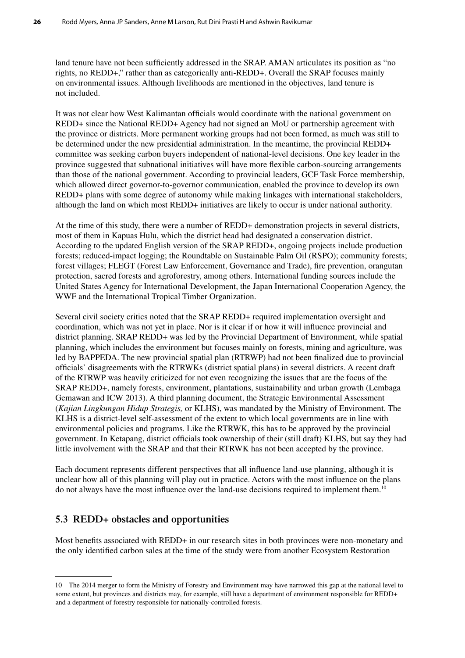land tenure have not been sufficiently addressed in the SRAP. AMAN articulates its position as "no rights, no REDD+," rather than as categorically anti-REDD+. Overall the SRAP focuses mainly on environmental issues. Although livelihoods are mentioned in the objectives, land tenure is not included.

It was not clear how West Kalimantan officials would coordinate with the national government on REDD+ since the National REDD+ Agency had not signed an MoU or partnership agreement with the province or districts. More permanent working groups had not been formed, as much was still to be determined under the new presidential administration. In the meantime, the provincial REDD+ committee was seeking carbon buyers independent of national-level decisions. One key leader in the province suggested that subnational initiatives will have more flexible carbon-sourcing arrangements than those of the national government. According to provincial leaders, GCF Task Force membership, which allowed direct governor-to-governor communication, enabled the province to develop its own REDD+ plans with some degree of autonomy while making linkages with international stakeholders, although the land on which most REDD+ initiatives are likely to occur is under national authority.

At the time of this study, there were a number of REDD+ demonstration projects in several districts, most of them in Kapuas Hulu, which the district head had designated a conservation district. According to the updated English version of the SRAP REDD+, ongoing projects include production forests; reduced-impact logging; the Roundtable on Sustainable Palm Oil (RSPO); community forests; forest villages; FLEGT (Forest Law Enforcement, Governance and Trade), fire prevention, orangutan protection, sacred forests and agroforestry, among others. International funding sources include the United States Agency for International Development, the Japan International Cooperation Agency, the WWF and the International Tropical Timber Organization.

Several civil society critics noted that the SRAP REDD+ required implementation oversight and coordination, which was not yet in place. Nor is it clear if or how it will influence provincial and district planning. SRAP REDD+ was led by the Provincial Department of Environment, while spatial planning, which includes the environment but focuses mainly on forests, mining and agriculture, was led by BAPPEDA. The new provincial spatial plan (RTRWP) had not been finalized due to provincial officials' disagreements with the RTRWKs (district spatial plans) in several districts. A recent draft of the RTRWP was heavily criticized for not even recognizing the issues that are the focus of the SRAP REDD+, namely forests, environment, plantations, sustainability and urban growth (Lembaga Gemawan and ICW 2013). A third planning document, the Strategic Environmental Assessment (*Kajian Lingkungan Hidup Strategis,* or KLHS), was mandated by the Ministry of Environment. The KLHS is a district-level self-assessment of the extent to which local governments are in line with environmental policies and programs. Like the RTRWK, this has to be approved by the provincial government. In Ketapang, district officials took ownership of their (still draft) KLHS, but say they had little involvement with the SRAP and that their RTRWK has not been accepted by the province.

Each document represents different perspectives that all influence land-use planning, although it is unclear how all of this planning will play out in practice. Actors with the most influence on the plans do not always have the most influence over the land-use decisions required to implement them.10

#### **5.3 REDD+ obstacles and opportunities**

Most benefits associated with REDD+ in our research sites in both provinces were non-monetary and the only identified carbon sales at the time of the study were from another Ecosystem Restoration

<sup>10</sup> The 2014 merger to form the Ministry of Forestry and Environment may have narrowed this gap at the national level to some extent, but provinces and districts may, for example, still have a department of environment responsible for REDD+ and a department of forestry responsible for nationally-controlled forests.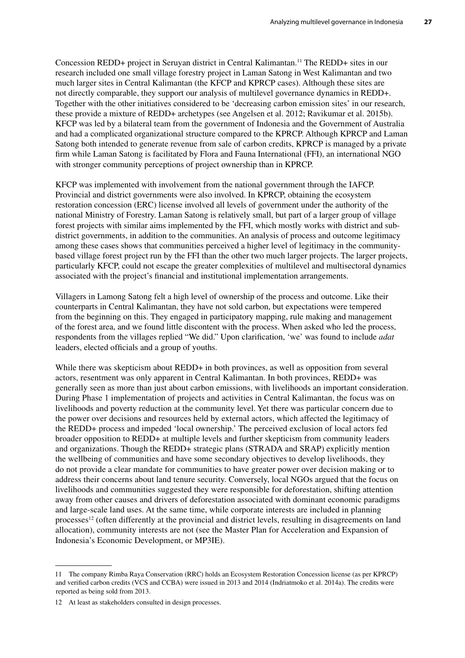Concession REDD+ project in Seruyan district in Central Kalimantan.11 The REDD+ sites in our research included one small village forestry project in Laman Satong in West Kalimantan and two much larger sites in Central Kalimantan (the KFCP and KPRCP cases). Although these sites are not directly comparable, they support our analysis of multilevel governance dynamics in REDD+. Together with the other initiatives considered to be 'decreasing carbon emission sites' in our research, these provide a mixture of REDD+ archetypes (see Angelsen et al. 2012; Ravikumar et al. 2015b). KFCP was led by a bilateral team from the government of Indonesia and the Government of Australia and had a complicated organizational structure compared to the KPRCP. Although KPRCP and Laman Satong both intended to generate revenue from sale of carbon credits, KPRCP is managed by a private firm while Laman Satong is facilitated by Flora and Fauna International (FFI), an international NGO with stronger community perceptions of project ownership than in KPRCP.

KFCP was implemented with involvement from the national government through the IAFCP. Provincial and district governments were also involved. In KPRCP, obtaining the ecosystem restoration concession (ERC) license involved all levels of government under the authority of the national Ministry of Forestry. Laman Satong is relatively small, but part of a larger group of village forest projects with similar aims implemented by the FFI, which mostly works with district and subdistrict governments, in addition to the communities. An analysis of process and outcome legitimacy among these cases shows that communities perceived a higher level of legitimacy in the communitybased village forest project run by the FFI than the other two much larger projects. The larger projects, particularly KFCP, could not escape the greater complexities of multilevel and multisectoral dynamics associated with the project's financial and institutional implementation arrangements.

Villagers in Lamong Satong felt a high level of ownership of the process and outcome. Like their counterparts in Central Kalimantan, they have not sold carbon, but expectations were tempered from the beginning on this. They engaged in participatory mapping, rule making and management of the forest area, and we found little discontent with the process. When asked who led the process, respondents from the villages replied "We did." Upon clarification, 'we' was found to include *adat* leaders, elected officials and a group of youths.

While there was skepticism about REDD+ in both provinces, as well as opposition from several actors, resentment was only apparent in Central Kalimantan. In both provinces, REDD+ was generally seen as more than just about carbon emissions, with livelihoods an important consideration. During Phase 1 implementation of projects and activities in Central Kalimantan, the focus was on livelihoods and poverty reduction at the community level. Yet there was particular concern due to the power over decisions and resources held by external actors, which affected the legitimacy of the REDD+ process and impeded 'local ownership.' The perceived exclusion of local actors fed broader opposition to REDD+ at multiple levels and further skepticism from community leaders and organizations. Though the REDD+ strategic plans (STRADA and SRAP) explicitly mention the wellbeing of communities and have some secondary objectives to develop livelihoods, they do not provide a clear mandate for communities to have greater power over decision making or to address their concerns about land tenure security. Conversely, local NGOs argued that the focus on livelihoods and communities suggested they were responsible for deforestation, shifting attention away from other causes and drivers of deforestation associated with dominant economic paradigms and large-scale land uses. At the same time, while corporate interests are included in planning processes<sup>12</sup> (often differently at the provincial and district levels, resulting in disagreements on land allocation), community interests are not (see the Master Plan for Acceleration and Expansion of Indonesia's Economic Development, or MP3IE).

<sup>11</sup> The company Rimba Raya Conservation (RRC) holds an Ecosystem Restoration Concession license (as per KPRCP) and verified carbon credits (VCS and CCBA) were issued in 2013 and 2014 (Indriatmoko et al. 2014a). The credits were reported as being sold from 2013.

<sup>12</sup> At least as stakeholders consulted in design processes.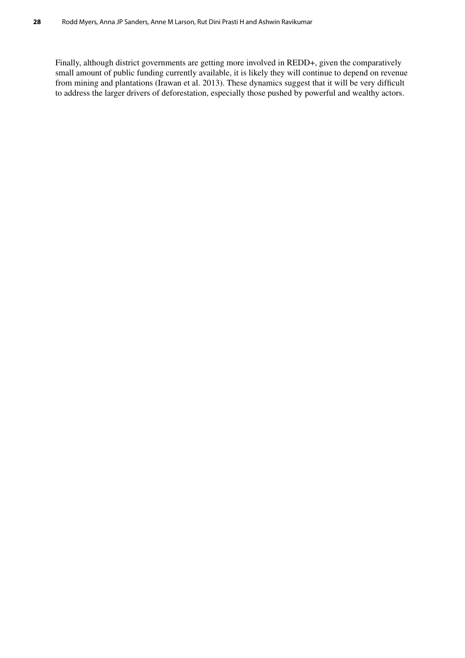Finally, although district governments are getting more involved in REDD+, given the comparatively small amount of public funding currently available, it is likely they will continue to depend on revenue from mining and plantations (Irawan et al. 2013). These dynamics suggest that it will be very difficult to address the larger drivers of deforestation, especially those pushed by powerful and wealthy actors.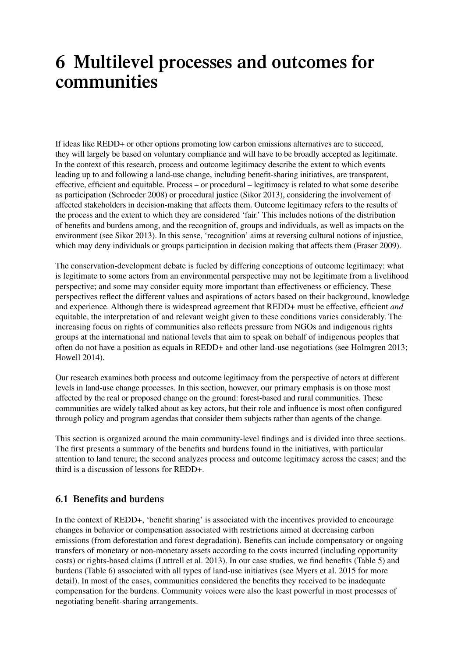# **6 Multilevel processes and outcomes for communities**

If ideas like REDD+ or other options promoting low carbon emissions alternatives are to succeed, they will largely be based on voluntary compliance and will have to be broadly accepted as legitimate. In the context of this research, process and outcome legitimacy describe the extent to which events leading up to and following a land-use change, including benefit-sharing initiatives, are transparent, effective, efficient and equitable. Process – or procedural – legitimacy is related to what some describe as participation (Schroeder 2008) or procedural justice (Sikor 2013), considering the involvement of affected stakeholders in decision-making that affects them. Outcome legitimacy refers to the results of the process and the extent to which they are considered 'fair.' This includes notions of the distribution of benefits and burdens among, and the recognition of, groups and individuals, as well as impacts on the environment (see Sikor 2013). In this sense, 'recognition' aims at reversing cultural notions of injustice, which may deny individuals or groups participation in decision making that affects them (Fraser 2009).

The conservation-development debate is fueled by differing conceptions of outcome legitimacy: what is legitimate to some actors from an environmental perspective may not be legitimate from a livelihood perspective; and some may consider equity more important than effectiveness or efficiency. These perspectives reflect the different values and aspirations of actors based on their background, knowledge and experience. Although there is widespread agreement that REDD+ must be effective, efficient *and* equitable, the interpretation of and relevant weight given to these conditions varies considerably. The increasing focus on rights of communities also reflects pressure from NGOs and indigenous rights groups at the international and national levels that aim to speak on behalf of indigenous peoples that often do not have a position as equals in REDD+ and other land-use negotiations (see Holmgren 2013; Howell 2014).

Our research examines both process and outcome legitimacy from the perspective of actors at different levels in land-use change processes. In this section, however, our primary emphasis is on those most affected by the real or proposed change on the ground: forest-based and rural communities. These communities are widely talked about as key actors, but their role and influence is most often configured through policy and program agendas that consider them subjects rather than agents of the change.

This section is organized around the main community-level findings and is divided into three sections. The first presents a summary of the benefits and burdens found in the initiatives, with particular attention to land tenure; the second analyzes process and outcome legitimacy across the cases; and the third is a discussion of lessons for REDD+.

# **6.1 Benefits and burdens**

In the context of REDD+, 'benefit sharing' is associated with the incentives provided to encourage changes in behavior or compensation associated with restrictions aimed at decreasing carbon emissions (from deforestation and forest degradation). Benefits can include compensatory or ongoing transfers of monetary or non-monetary assets according to the costs incurred (including opportunity costs) or rights-based claims (Luttrell et al. 2013). In our case studies, we find benefits (Table 5) and burdens (Table 6) associated with all types of land-use initiatives (see Myers et al. 2015 for more detail). In most of the cases, communities considered the benefits they received to be inadequate compensation for the burdens. Community voices were also the least powerful in most processes of negotiating benefit-sharing arrangements.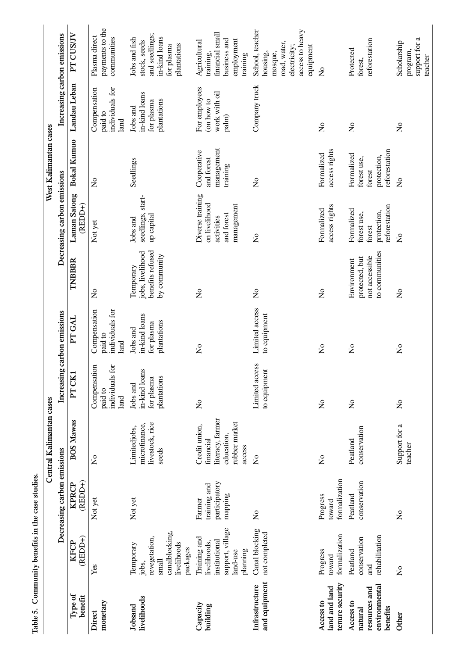|                                                                    |                                                                                           |                                                    | Central Kalimantan cases                                                                |                                                        |                                                        |                                                                   |                                                                             | West Kalimantan cases                                               |                                                                                   |                                                                                                        |
|--------------------------------------------------------------------|-------------------------------------------------------------------------------------------|----------------------------------------------------|-----------------------------------------------------------------------------------------|--------------------------------------------------------|--------------------------------------------------------|-------------------------------------------------------------------|-----------------------------------------------------------------------------|---------------------------------------------------------------------|-----------------------------------------------------------------------------------|--------------------------------------------------------------------------------------------------------|
|                                                                    |                                                                                           | Decreasing carbon emissions                        |                                                                                         |                                                        | Increasing carbon emissions                            |                                                                   | Decreasing carbon emissions                                                 |                                                                     | Increasing carbon emissions                                                       |                                                                                                        |
| Type of<br>benefit                                                 | REDD+<br><b>KFCP</b>                                                                      | (REDD+)<br><b>KPRCP</b>                            | <b>BOS Mawas</b>                                                                        | PT CK1                                                 | <b>PT GAL</b>                                          | TNBBBR                                                            | <b>Laman Satong</b><br>(REDD+)                                              | <b>Bokal Kumuo</b>                                                  | Landau Leban                                                                      | PT CUSJJV                                                                                              |
| monetary<br>Direct                                                 | Yes                                                                                       | Not yet                                            | $\frac{1}{2}$                                                                           | ð<br>Compensation<br>individuals f<br>paid to<br>land  | Compensation<br>individuals for<br>paid to<br>land     | $\mathsf{S}^{\mathsf{O}}$                                         | Not yet                                                                     | $\tilde{z}$                                                         | Compensation<br>individuals for<br>paid to<br>land                                | payments to the<br>Plasma direct<br>communities                                                        |
| livelihoods<br>Jobsand                                             | canalblocking,<br>revegetation,<br>livelihoods<br>Temporary<br>packages<br>small<br>jobs, | Not yet                                            | livestock, rice<br>microfinance,<br>Limitedjobs,<br>seeds                               | in-kind loans<br>plantations<br>for plasma<br>Jobs and | in-kind loans<br>plantations<br>for plasma<br>Jobs and | benefits refused<br>jobs, livelihood<br>by community<br>Temporary | seedlings, start-<br>up capital<br>Jobs and                                 | Seedlings                                                           | in-kind loans<br>plantations<br>for plasma<br>Jobs and                            | and seedlings;<br>in-kind loans<br>Jobs and fish<br>stock, seeds<br>plantations<br>for plasma          |
| Capacity<br>building                                               | support, village<br>Training and<br>institutional<br>livelihoods,<br>planning<br>land-use | participatory<br>training and<br>mapping<br>Farmer | literacy, farmer<br>rubber market<br>Credit union,<br>education,<br>financial<br>access | $\mathsf{S}^{\mathsf{O}}$                              | $\mathsf{S}^{\mathsf{O}}$                              | $\tilde{\mathsf{x}}$                                              | Diverse training<br>on livelihood<br>management<br>and forest<br>activities | management<br>Cooperative<br>and forest<br>training                 | For employees<br>work with oil<br>(on how to<br>$\mathop{\mathrm{palm}}\nolimits$ | financial small<br>business and<br>employment<br>Agricultural<br>training,<br>training                 |
| and equipment<br>Infrastructure                                    | Canal blocking<br>not completed                                                           | $\mathsf{S}^{\mathsf{o}}$                          | $\frac{1}{2}$                                                                           | Limited access<br>to equipment                         | Limited access<br>to equipment                         | $\mathsf{S}^{\mathsf{o}}$                                         | $\frac{1}{2}$                                                               | $\mathsf{S}^{\mathsf{o}}$                                           | Company truck                                                                     | access to heavy<br>School, teacher<br>road, water,<br>electricity;<br>equipment<br>housing,<br>mosque, |
| tenure security<br>land and land<br>Access to                      | formalization<br>Progress<br>toward                                                       | formalization<br>Progress<br>toward                | $\frac{1}{2}$                                                                           | $\mathsf{S}^{\mathsf{O}}$                              | $\mathsf{S}^{\mathsf{O}}$                              | $\mathsf{S}^{\mathsf{O}}$                                         | access rights<br>Formalized                                                 | access rights<br>Formalized                                         | $\frac{1}{2}$                                                                     | $\frac{1}{2}$                                                                                          |
| environmental<br>resources and<br>Access to<br>benefits<br>natural | rehabilitation<br>conservation<br>Peatland<br><b>Tang</b>                                 | conservation<br>Peatland                           | conservation<br>Peatland                                                                | $\overline{S}$                                         | $\mathsf{S}^{\mathsf{O}}$                              | to communities<br>not accessible<br>protected, but<br>Environment | reforestation<br>Formalized<br>protection,<br>forest use,<br>forest         | reforestation<br>Formalized<br>protection,<br>forest use,<br>forest | $\zeta$                                                                           | reforestation<br>Protected<br>forest,                                                                  |
| <b>Other</b>                                                       | $\tilde{\mathsf{z}}$                                                                      | $\tilde{\mathsf{z}}$                               | Support for a<br>teacher                                                                | $\mathsf{S}^{\mathsf{o}}$                              | $\mathsf{S}^{\mathsf{O}}$                              | $\mathsf{S}^{\mathsf{O}}$                                         | $\mathsf{S}^{\mathsf{O}}$                                                   | $\tilde{z}$                                                         | $\mathsf{S}^{\mathsf{o}}$                                                         | support for a<br>Scholarship<br>program,<br>teacher                                                    |

Table 5. Community benefits in the case studies. **Table 5. Community benefits in the case studies.**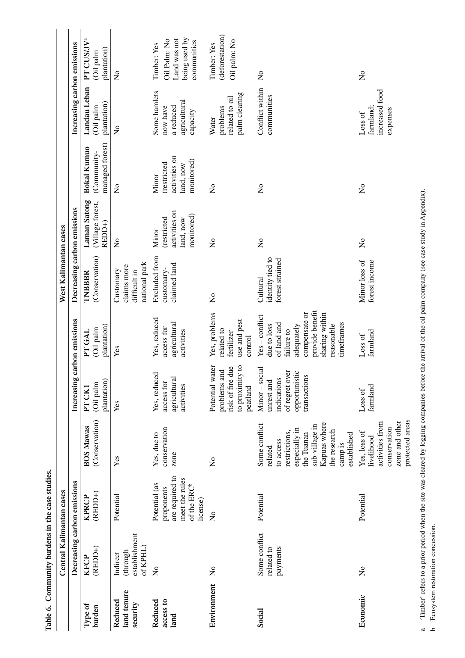|                                    |                                                    | Table 6. Community burdens in the case studies.                                                         |                                                                                                                                                                   |                                                                                                   |                                                                                                                                                              |                                                           |                                                                  |                                                                  |                                                                   |                                                                             |
|------------------------------------|----------------------------------------------------|---------------------------------------------------------------------------------------------------------|-------------------------------------------------------------------------------------------------------------------------------------------------------------------|---------------------------------------------------------------------------------------------------|--------------------------------------------------------------------------------------------------------------------------------------------------------------|-----------------------------------------------------------|------------------------------------------------------------------|------------------------------------------------------------------|-------------------------------------------------------------------|-----------------------------------------------------------------------------|
|                                    | Central Kalimantan cases                           |                                                                                                         |                                                                                                                                                                   |                                                                                                   |                                                                                                                                                              | West Kalimantan cases                                     |                                                                  |                                                                  |                                                                   |                                                                             |
|                                    | Decreasing carbon emissions                        |                                                                                                         |                                                                                                                                                                   | Increasing                                                                                        | carbon emissions                                                                                                                                             | Decreasing carbon emissions                               |                                                                  |                                                                  | Increasing carbon emissions                                       |                                                                             |
| Type of<br>burden                  | $(REDD+)$<br>KFCP                                  | $(REDD+)$<br><b>KPRCP</b>                                                                               | (Conservation)<br><b>BOS Mawas</b>                                                                                                                                | plantation)<br>(Oil palm<br>PT CK1                                                                | plantation)<br>(Oil palm<br>PT GAL                                                                                                                           | (Conservation)<br><b>TNBBBR</b>                           | <b>Laman Satong</b><br>(Village forest,<br>REDD <sub>+</sub> )   | managed forest)<br><b>Bokal Kumuo</b><br>(Community-             | Landau Leban<br>plantation)<br>Oil palm                           | PT CUS/JV <sup>a</sup><br>plantation)<br>(Oil palm                          |
| land tenure<br>Reduced<br>security | establishment<br>of $KPHL$<br>(through<br>Indirect | Potential                                                                                               | Yes                                                                                                                                                               | Yes                                                                                               | Yes                                                                                                                                                          | national park<br>claims more<br>difficult in<br>Customary | $\mathsf{S}^{\mathsf{O}}$                                        | $\tilde{z}$                                                      | $\frac{1}{2}$                                                     | $\mathsf{S}^{\mathsf{o}}$                                                   |
| Reduced<br>access to<br>land       | $\mathsf{S}^{\mathsf{o}}$                          | are required to<br>meet the rules<br>Potential (as<br>of the ERC <sup>b</sup><br>proponents<br>license) | conservation<br>Yes, due to<br>zone                                                                                                                               | Yes, reduced<br>agricultural<br>access for<br>activities                                          | Yes, reduced<br>agricultural<br>access for<br>activities                                                                                                     | Excluded from<br>claimed land<br>customary-               | activities on<br>monitored)<br>(restricted<br>land, now<br>Minor | activities on<br>monitored)<br>(restricted<br>land, now<br>Minor | Some hamlets<br>agricultural<br>a reduced<br>now have<br>capacity | being used by<br>Land was not<br>Oil Palm: No<br>communities<br>Timber: Yes |
| Environment                        | $\mathsf{S}^{\mathsf{O}}$                          | $\frac{1}{2}$                                                                                           | $\mathsf{S}^{\mathsf{O}}$                                                                                                                                         | Potential water<br>$\mathbf{c}$<br>risk of fire due<br>problems and<br>to proximity<br>peatland   | Yes, problems<br>use and pest<br>related to<br>fertilizer<br>control                                                                                         | $\mathsf{S}^{\mathsf{o}}$                                 | $\mathsf{S}^{\mathsf{o}}$                                        | $\mathsf{S}^{\mathsf{o}}$                                        | palm clearing<br>related to oil<br>problems<br>Water              | (deforestation)<br>Oil palm: No<br>Timber: Yes                              |
| Social                             | Some conflict<br>payments<br>related to            | Potential                                                                                               | Kapuas where<br>Some conflict<br>sub-village in<br>especially in<br>the research<br>restrictions,<br>the Tuanan<br>established<br>to access<br>camp is<br>related | ಸ<br>of regret over<br>opportunistic<br>Minor – soci<br>transactions<br>indications<br>unrest and | provide benefit<br>compensate or<br>sharing within<br>$Yes - conflict$<br>of land and<br>timeframes<br>due to loss<br>adequately<br>reasonable<br>failure to | identity tied to<br>forest strained<br>Cultural           | $\mathsf{S}^{\mathsf{O}}$                                        | $\mathsf{S}^{\mathsf{O}}$                                        | Conflict within<br>communities                                    | $\tilde{z}$                                                                 |
| Economic                           | $\mathsf{S}^{\mathsf{O}}$                          | Potential                                                                                               | protected areas<br>zone and other<br>activities from<br>conservation<br>Yes, loss of<br>livelihood                                                                | farmland<br>Loss of                                                                               | farmland<br>Loss of                                                                                                                                          | Minor loss of<br>forest income                            | $\overline{a}$                                                   | $\mathsf{S}^{\mathsf{O}}$                                        | increased food<br>farmland;<br>expenses<br>Loss of                | $\overline{\mathsf{x}}$                                                     |

'Timber' refers to a prior period when the site was cleared by logging companies before the arrival of the oil palm company (see case study in Appendix).

a L Ecosystem restoration concession.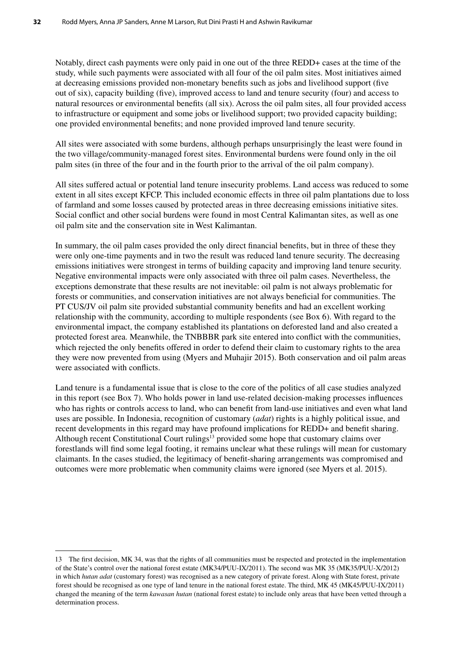Notably, direct cash payments were only paid in one out of the three REDD+ cases at the time of the study, while such payments were associated with all four of the oil palm sites. Most initiatives aimed at decreasing emissions provided non-monetary benefits such as jobs and livelihood support (five out of six), capacity building (five), improved access to land and tenure security (four) and access to natural resources or environmental benefits (all six). Across the oil palm sites, all four provided access to infrastructure or equipment and some jobs or livelihood support; two provided capacity building; one provided environmental benefits; and none provided improved land tenure security.

All sites were associated with some burdens, although perhaps unsurprisingly the least were found in the two village/community-managed forest sites. Environmental burdens were found only in the oil palm sites (in three of the four and in the fourth prior to the arrival of the oil palm company).

All sites suffered actual or potential land tenure insecurity problems. Land access was reduced to some extent in all sites except KFCP. This included economic effects in three oil palm plantations due to loss of farmland and some losses caused by protected areas in three decreasing emissions initiative sites. Social conflict and other social burdens were found in most Central Kalimantan sites, as well as one oil palm site and the conservation site in West Kalimantan.

In summary, the oil palm cases provided the only direct financial benefits, but in three of these they were only one-time payments and in two the result was reduced land tenure security. The decreasing emissions initiatives were strongest in terms of building capacity and improving land tenure security. Negative environmental impacts were only associated with three oil palm cases. Nevertheless, the exceptions demonstrate that these results are not inevitable: oil palm is not always problematic for forests or communities, and conservation initiatives are not always beneficial for communities. The PT CUS/JV oil palm site provided substantial community benefits and had an excellent working relationship with the community, according to multiple respondents (see Box 6). With regard to the environmental impact, the company established its plantations on deforested land and also created a protected forest area. Meanwhile, the TNBBBR park site entered into conflict with the communities, which rejected the only benefits offered in order to defend their claim to customary rights to the area they were now prevented from using (Myers and Muhajir 2015). Both conservation and oil palm areas were associated with conflicts.

Land tenure is a fundamental issue that is close to the core of the politics of all case studies analyzed in this report (see Box 7). Who holds power in land use-related decision-making processes influences who has rights or controls access to land, who can benefit from land-use initiatives and even what land uses are possible. In Indonesia, recognition of customary (*adat*) rights is a highly political issue, and recent developments in this regard may have profound implications for REDD+ and benefit sharing. Although recent Constitutional Court rulings<sup>13</sup> provided some hope that customary claims over forestlands will find some legal footing, it remains unclear what these rulings will mean for customary claimants. In the cases studied, the legitimacy of benefit-sharing arrangements was compromised and outcomes were more problematic when community claims were ignored (see Myers et al. 2015).

<sup>13</sup> The first decision, MK 34, was that the rights of all communities must be respected and protected in the implementation of the State's control over the national forest estate (MK34/PUU-IX/2011). The second was MK 35 (MK35/PUU-X/2012) in which *hutan adat* (customary forest) was recognised as a new category of private forest. Along with State forest, private forest should be recognised as one type of land tenure in the national forest estate. The third, MK 45 (MK45/PUU-IX/2011) changed the meaning of the term *kawasan hutan* (national forest estate) to include only areas that have been vetted through a determination process.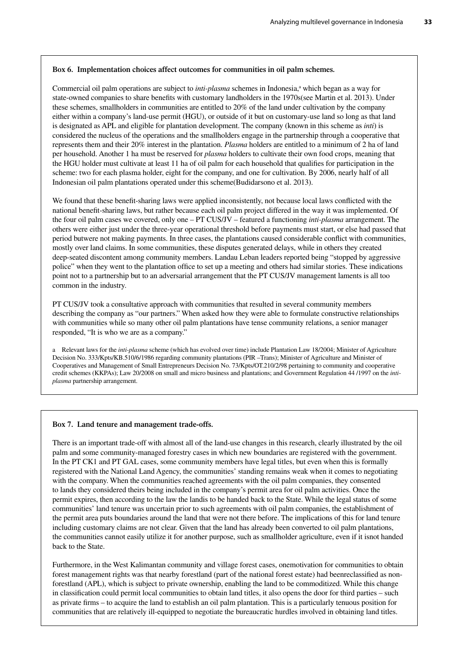#### **Box 6. Implementation choices affect outcomes for communities in oil palm schemes.**

Commercial oil palm operations are subject to *inti-plasma* schemes in Indonesia,<sup>a</sup> which began as a way for state-owned companies to share benefits with customary landholders in the 1970s(see Martin et al. 2013). Under these schemes, smallholders in communities are entitled to 20% of the land under cultivation by the company either within a company's land-use permit (HGU), or outside of it but on customary-use land so long as that land is designated as APL and eligible for plantation development. The company (known in this scheme as *inti*) is considered the nucleus of the operations and the smallholders engage in the partnership through a cooperative that represents them and their 20% interest in the plantation. *Plasma* holders are entitled to a minimum of 2 ha of land per household. Another 1 ha must be reserved for *plasma* holders to cultivate their own food crops, meaning that the HGU holder must cultivate at least 11 ha of oil palm for each household that qualifies for participation in the scheme: two for each plasma holder, eight for the company, and one for cultivation. By 2006, nearly half of all Indonesian oil palm plantations operated under this scheme(Budidarsono et al. 2013).

We found that these benefit-sharing laws were applied inconsistently, not because local laws conflicted with the national benefit-sharing laws, but rather because each oil palm project differed in the way it was implemented. Of the four oil palm cases we covered, only one – PT CUS/JV – featured a functioning *inti-plasma* arrangement. The others were either just under the three-year operational threshold before payments must start, or else had passed that period butwere not making payments. In three cases, the plantations caused considerable conflict with communities, mostly over land claims. In some communities, these disputes generated delays, while in others they created deep-seated discontent among community members. Landau Leban leaders reported being "stopped by aggressive police" when they went to the plantation office to set up a meeting and others had similar stories. These indications point not to a partnership but to an adversarial arrangement that the PT CUS/JV management laments is all too common in the industry.

PT CUS/JV took a consultative approach with communities that resulted in several community members describing the company as "our partners." When asked how they were able to formulate constructive relationships with communities while so many other oil palm plantations have tense community relations, a senior manager responded, "It is who we are as a company."

a Relevant laws for the *inti-plasma* scheme (which has evolved over time) include Plantation Law 18/2004; Minister of Agriculture Decision No. 333/Kpts/KB.510/6/1986 regarding community plantations (PIR –Trans); Minister of Agriculture and Minister of Cooperatives and Management of Small Entrepreneurs Decision No. 73/Kpts/OT.210/2/98 pertaining to community and cooperative credit schemes (KKPAs); Law 20/2008 on small and micro business and plantations; and Government Regulation 44 /1997 on the *intiplasma* partnership arrangement.

#### **Box 7. Land tenure and management trade-offs.**

There is an important trade-off with almost all of the land-use changes in this research, clearly illustrated by the oil palm and some community-managed forestry cases in which new boundaries are registered with the government. In the PT CK1 and PT GAL cases, some community members have legal titles, but even when this is formally registered with the National Land Agency, the communities' standing remains weak when it comes to negotiating with the company. When the communities reached agreements with the oil palm companies, they consented to lands they considered theirs being included in the company's permit area for oil palm activities. Once the permit expires, then according to the law the landis to be handed back to the State. While the legal status of some communities' land tenure was uncertain prior to such agreements with oil palm companies, the establishment of the permit area puts boundaries around the land that were not there before. The implications of this for land tenure including customary claims are not clear. Given that the land has already been converted to oil palm plantations, the communities cannot easily utilize it for another purpose, such as smallholder agriculture, even if it isnot handed back to the State.

Furthermore, in the West Kalimantan community and village forest cases, onemotivation for communities to obtain forest management rights was that nearby forestland (part of the national forest estate) had beenreclassified as nonforestland (APL), which is subject to private ownership, enabling the land to be commoditized. While this change in classification could permit local communities to obtain land titles, it also opens the door for third parties – such as private firms – to acquire the land to establish an oil palm plantation. This is a particularly tenuous position for communities that are relatively ill-equipped to negotiate the bureaucratic hurdles involved in obtaining land titles.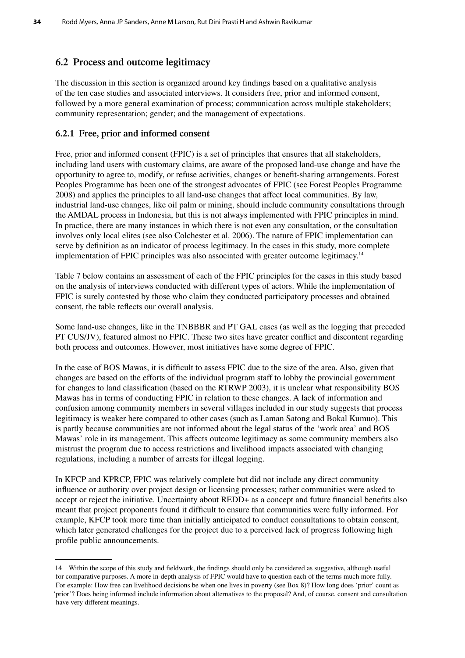## **6.2 Process and outcome legitimacy**

The discussion in this section is organized around key findings based on a qualitative analysis of the ten case studies and associated interviews. It considers free, prior and informed consent, followed by a more general examination of process; communication across multiple stakeholders; community representation; gender; and the management of expectations.

### **6.2.1 Free, prior and informed consent**

Free, prior and informed consent (FPIC) is a set of principles that ensures that all stakeholders, including land users with customary claims, are aware of the proposed land-use change and have the opportunity to agree to, modify, or refuse activities, changes or benefit-sharing arrangements. Forest Peoples Programme has been one of the strongest advocates of FPIC (see Forest Peoples Programme 2008) and applies the principles to all land-use changes that affect local communities. By law, industrial land-use changes, like oil palm or mining, should include community consultations through the AMDAL process in Indonesia, but this is not always implemented with FPIC principles in mind. In practice, there are many instances in which there is not even any consultation, or the consultation involves only local elites (see also Colchester et al. 2006). The nature of FPIC implementation can serve by definition as an indicator of process legitimacy. In the cases in this study, more complete implementation of FPIC principles was also associated with greater outcome legitimacy.14

Table 7 below contains an assessment of each of the FPIC principles for the cases in this study based on the analysis of interviews conducted with different types of actors. While the implementation of FPIC is surely contested by those who claim they conducted participatory processes and obtained consent, the table reflects our overall analysis.

Some land-use changes, like in the TNBBBR and PT GAL cases (as well as the logging that preceded PT CUS/JV), featured almost no FPIC. These two sites have greater conflict and discontent regarding both process and outcomes. However, most initiatives have some degree of FPIC.

In the case of BOS Mawas, it is difficult to assess FPIC due to the size of the area. Also, given that changes are based on the efforts of the individual program staff to lobby the provincial government for changes to land classification (based on the RTRWP 2003), it is unclear what responsibility BOS Mawas has in terms of conducting FPIC in relation to these changes. A lack of information and confusion among community members in several villages included in our study suggests that process legitimacy is weaker here compared to other cases (such as Laman Satong and Bokal Kumuo). This is partly because communities are not informed about the legal status of the 'work area' and BOS Mawas' role in its management. This affects outcome legitimacy as some community members also mistrust the program due to access restrictions and livelihood impacts associated with changing regulations, including a number of arrests for illegal logging.

In KFCP and KPRCP, FPIC was relatively complete but did not include any direct community influence or authority over project design or licensing processes; rather communities were asked to accept or reject the initiative. Uncertainty about REDD+ as a concept and future financial benefits also meant that project proponents found it difficult to ensure that communities were fully informed. For example, KFCP took more time than initially anticipated to conduct consultations to obtain consent, which later generated challenges for the project due to a perceived lack of progress following high profile public announcements.

<sup>14</sup> Within the scope of this study and fieldwork, the findings should only be considered as suggestive, although useful for comparative purposes. A more in-depth analysis of FPIC would have to question each of the terms much more fully. For example: How free can livelihood decisions be when one lives in poverty (see Box 8)? How long does 'prior' count as 'prior'? Does being informed include information about alternatives to the proposal? And, of course, consent and consultation have very different meanings.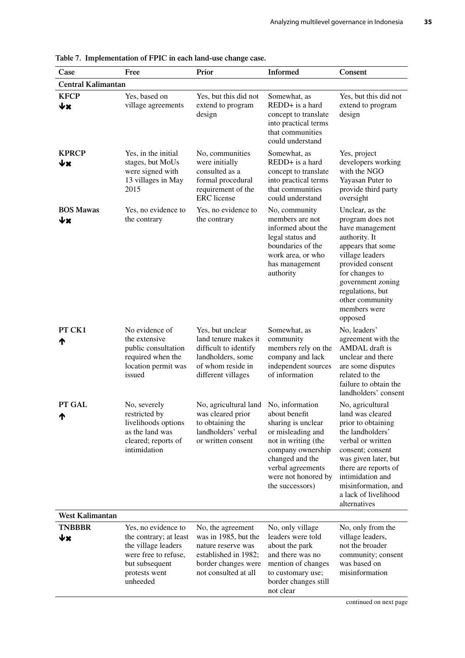| Case                      | radic 7. Implementation of FFC in each land-use enange ease.<br>Free                                                                        | Prior                                                                                                                                  | Informed                                                                                                                                                                               | Consent                                                                                                                                                                                                                                                    |
|---------------------------|---------------------------------------------------------------------------------------------------------------------------------------------|----------------------------------------------------------------------------------------------------------------------------------------|----------------------------------------------------------------------------------------------------------------------------------------------------------------------------------------|------------------------------------------------------------------------------------------------------------------------------------------------------------------------------------------------------------------------------------------------------------|
| <b>Central Kalimantan</b> |                                                                                                                                             |                                                                                                                                        |                                                                                                                                                                                        |                                                                                                                                                                                                                                                            |
| <b>KFCP</b><br>Ψ×         | Yes, based on<br>village agreements                                                                                                         | Yes, but this did not<br>extend to program<br>design                                                                                   | Somewhat, as<br>REDD+ is a hard<br>concept to translate<br>into practical terms<br>that communities<br>could understand                                                                | Yes, but this did not<br>extend to program<br>design                                                                                                                                                                                                       |
| <b>KPRCP</b><br>Ψ×        | Yes, in the initial<br>stages, but MoUs<br>were signed with<br>13 villages in May<br>2015                                                   | No, communities<br>were initially<br>consulted as a<br>formal procedural<br>requirement of the<br><b>ERC</b> license                   | Somewhat, as<br>REDD+ is a hard<br>concept to translate<br>into practical terms<br>that communities<br>could understand                                                                | Yes, project<br>developers working<br>with the NGO<br>Yayasan Puter to<br>provide third party<br>oversight                                                                                                                                                 |
| <b>BOS Mawas</b><br>Ψ×    | Yes, no evidence to<br>the contrary                                                                                                         | Yes, no evidence to<br>the contrary                                                                                                    | No, community<br>members are not<br>informed about the<br>legal status and<br>boundaries of the<br>work area, or who<br>has management<br>authority                                    | Unclear, as the<br>program does not<br>have management<br>authority. It<br>appears that some<br>village leaders<br>provided consent<br>for changes to<br>government zoning<br>regulations, but<br>other community<br>members were<br>opposed               |
| PT CK1<br>↑               | No evidence of<br>the extensive<br>public consultation<br>required when the<br>location permit was<br>issued                                | Yes, but unclear<br>land tenure makes it<br>difficult to identify<br>landholders, some<br>of whom reside in<br>different villages      | Somewhat, as<br>community<br>members rely on the<br>company and lack<br>independent sources<br>of information                                                                          | No, leaders'<br>agreement with the<br>AMDAL draft is<br>unclear and there<br>are some disputes<br>related to the<br>failure to obtain the<br>landholders' consent                                                                                          |
| PT GAL<br>↑               | No, severely<br>restricted by<br>livelihoods options<br>as the land was<br>cleared; reports of<br>intimidation                              | No, agricultural land No, information<br>was cleared prior<br>to obtaining the<br>landholders' verbal<br>or written consent            | about benefit<br>sharing is unclear<br>or misleading and<br>not in writing (the<br>company ownership<br>changed and the<br>verbal agreements<br>were not honored by<br>the successors) | No, agricultural<br>land was cleared<br>prior to obtaining<br>the landholders'<br>verbal or written<br>consent; consent<br>was given later, but<br>there are reports of<br>intimidation and<br>misinformation, and<br>a lack of livelihood<br>alternatives |
| West Kalimantan           |                                                                                                                                             |                                                                                                                                        |                                                                                                                                                                                        |                                                                                                                                                                                                                                                            |
| <b>TNBBBR</b><br>Ψ×       | Yes, no evidence to<br>the contrary; at least<br>the village leaders<br>were free to refuse,<br>but subsequent<br>protests went<br>unheeded | No, the agreement<br>was in 1985, but the<br>nature reserve was<br>established in 1982;<br>border changes were<br>not consulted at all | No, only village<br>leaders were told<br>about the park<br>and there was no<br>mention of changes<br>to customary use;<br>border changes still<br>not clear                            | No, only from the<br>village leaders,<br>not the broader<br>community; consent<br>was based on<br>misinformation                                                                                                                                           |

**Table 7. Implementation of FPIC in each land-use change case.**

continued on next page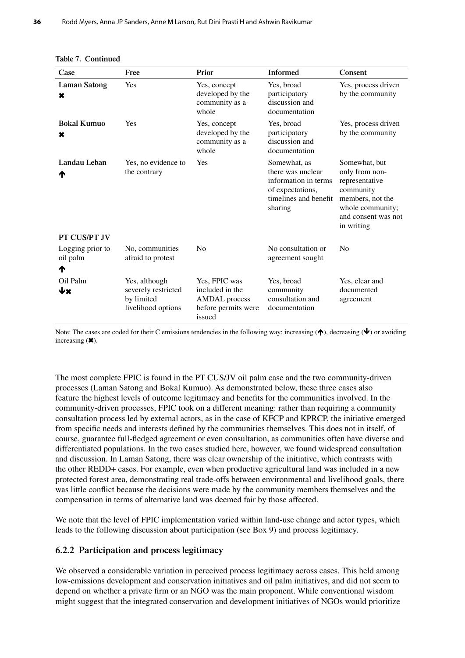| Case                                  | Free                                                                     | Prior                                                                                     | <b>Informed</b>                                                                                                   | Consent                                                                                                                                     |
|---------------------------------------|--------------------------------------------------------------------------|-------------------------------------------------------------------------------------------|-------------------------------------------------------------------------------------------------------------------|---------------------------------------------------------------------------------------------------------------------------------------------|
| <b>Laman Satong</b><br>$\pmb{\times}$ | Yes                                                                      | Yes, concept<br>developed by the<br>community as a<br>whole                               | Yes, broad<br>participatory<br>discussion and<br>documentation                                                    | Yes, process driven<br>by the community                                                                                                     |
| <b>Bokal Kumuo</b><br>×               | Yes                                                                      | Yes, concept<br>developed by the<br>community as a<br>whole                               | Yes, broad<br>participatory<br>discussion and<br>documentation                                                    | Yes, process driven<br>by the community                                                                                                     |
| Landau Leban<br>₼                     | Yes, no evidence to<br>the contrary                                      | Yes                                                                                       | Somewhat, as<br>there was unclear<br>information in terms<br>of expectations,<br>timelines and benefit<br>sharing | Somewhat, but<br>only from non-<br>representative<br>community<br>members, not the<br>whole community;<br>and consent was not<br>in writing |
| <b>PT CUS/PT JV</b>                   |                                                                          |                                                                                           |                                                                                                                   |                                                                                                                                             |
| Logging prior to<br>oil palm<br>₼     | No, communities<br>afraid to protest                                     | N <sub>0</sub>                                                                            | No consultation or<br>agreement sought                                                                            | $\rm No$                                                                                                                                    |
| Oil Palm                              |                                                                          |                                                                                           |                                                                                                                   |                                                                                                                                             |
| Ψ×                                    | Yes, although<br>severely restricted<br>by limited<br>livelihood options | Yes, FPIC was<br>included in the<br><b>AMDAL</b> process<br>before permits were<br>issued | Yes, broad<br>community<br>consultation and<br>documentation                                                      | Yes, clear and<br>documented<br>agreement                                                                                                   |

Note: The cases are coded for their C emissions tendencies in the following way: increasing  $(\spadesuit)$ , decreasing  $(\clubsuit)$  or avoiding increasing (✖).

The most complete FPIC is found in the PT CUS/JV oil palm case and the two community-driven processes (Laman Satong and Bokal Kumuo). As demonstrated below, these three cases also feature the highest levels of outcome legitimacy and benefits for the communities involved. In the community-driven processes, FPIC took on a different meaning: rather than requiring a community consultation process led by external actors, as in the case of KFCP and KPRCP, the initiative emerged from specific needs and interests defined by the communities themselves. This does not in itself, of course, guarantee full-fledged agreement or even consultation, as communities often have diverse and differentiated populations. In the two cases studied here, however, we found widespread consultation and discussion. In Laman Satong, there was clear ownership of the initiative, which contrasts with the other REDD+ cases. For example, even when productive agricultural land was included in a new protected forest area, demonstrating real trade-offs between environmental and livelihood goals, there was little conflict because the decisions were made by the community members themselves and the compensation in terms of alternative land was deemed fair by those affected.

We note that the level of FPIC implementation varied within land-use change and actor types, which leads to the following discussion about participation (see Box 9) and process legitimacy.

### **6.2.2 Participation and process legitimacy**

We observed a considerable variation in perceived process legitimacy across cases. This held among low-emissions development and conservation initiatives and oil palm initiatives, and did not seem to depend on whether a private firm or an NGO was the main proponent. While conventional wisdom might suggest that the integrated conservation and development initiatives of NGOs would prioritize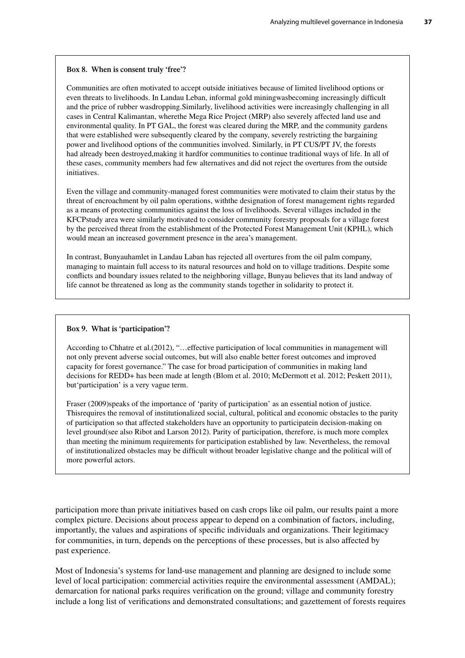#### **Box 8. When is consent truly 'free'?**

Communities are often motivated to accept outside initiatives because of limited livelihood options or even threats to livelihoods. In Landau Leban, informal gold miningwasbecoming increasingly difficult and the price of rubber wasdropping.Similarly, livelihood activities were increasingly challenging in all cases in Central Kalimantan, wherethe Mega Rice Project (MRP) also severely affected land use and environmental quality. In PT GAL, the forest was cleared during the MRP, and the community gardens that were established were subsequently cleared by the company, severely restricting the bargaining power and livelihood options of the communities involved. Similarly, in PT CUS/PT JV, the forests had already been destroyed,making it hardfor communities to continue traditional ways of life. In all of these cases, community members had few alternatives and did not reject the overtures from the outside initiatives.

Even the village and community-managed forest communities were motivated to claim their status by the threat of encroachment by oil palm operations, withthe designation of forest management rights regarded as a means of protecting communities against the loss of livelihoods. Several villages included in the KFCPstudy area were similarly motivated to consider community forestry proposals for a village forest by the perceived threat from the establishment of the Protected Forest Management Unit (KPHL), which would mean an increased government presence in the area's management.

In contrast, Bunyauhamlet in Landau Laban has rejected all overtures from the oil palm company, managing to maintain full access to its natural resources and hold on to village traditions. Despite some conflicts and boundary issues related to the neighboring village, Bunyau believes that its land andway of life cannot be threatened as long as the community stands together in solidarity to protect it.

#### **Box 9. What is 'participation'?**

According to Chhatre et al.(2012), "…effective participation of local communities in management will not only prevent adverse social outcomes, but will also enable better forest outcomes and improved capacity for forest governance." The case for broad participation of communities in making land decisions for REDD+ has been made at length (Blom et al. 2010; McDermott et al. 2012; Peskett 2011), but'participation' is a very vague term.

Fraser (2009)speaks of the importance of 'parity of participation' as an essential notion of justice. Thisrequires the removal of institutionalized social, cultural, political and economic obstacles to the parity of participation so that affected stakeholders have an opportunity to participatein decision-making on level ground(see also Ribot and Larson 2012). Parity of participation, therefore, is much more complex than meeting the minimum requirements for participation established by law. Nevertheless, the removal of institutionalized obstacles may be difficult without broader legislative change and the political will of more powerful actors.

participation more than private initiatives based on cash crops like oil palm, our results paint a more complex picture. Decisions about process appear to depend on a combination of factors, including, importantly, the values and aspirations of specific individuals and organizations. Their legitimacy for communities, in turn, depends on the perceptions of these processes, but is also affected by past experience.

Most of Indonesia's systems for land-use management and planning are designed to include some level of local participation: commercial activities require the environmental assessment (AMDAL); demarcation for national parks requires verification on the ground; village and community forestry include a long list of verifications and demonstrated consultations; and gazettement of forests requires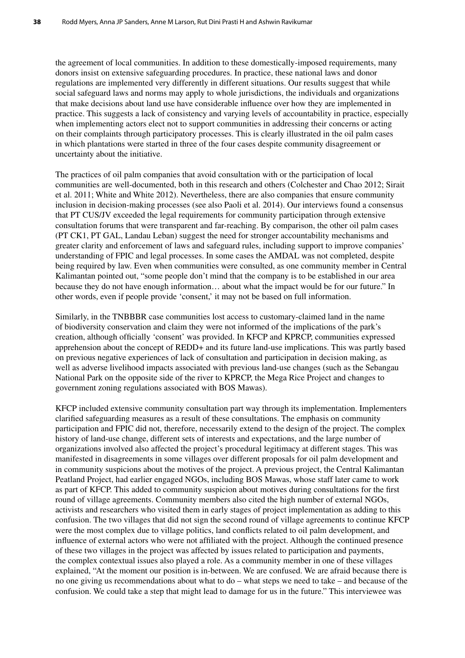the agreement of local communities. In addition to these domestically-imposed requirements, many donors insist on extensive safeguarding procedures. In practice, these national laws and donor regulations are implemented very differently in different situations. Our results suggest that while social safeguard laws and norms may apply to whole jurisdictions, the individuals and organizations that make decisions about land use have considerable influence over how they are implemented in practice. This suggests a lack of consistency and varying levels of accountability in practice, especially when implementing actors elect not to support communities in addressing their concerns or acting on their complaints through participatory processes. This is clearly illustrated in the oil palm cases in which plantations were started in three of the four cases despite community disagreement or uncertainty about the initiative.

The practices of oil palm companies that avoid consultation with or the participation of local communities are well-documented, both in this research and others (Colchester and Chao 2012; Sirait et al. 2011; White and White 2012). Nevertheless, there are also companies that ensure community inclusion in decision-making processes (see also Paoli et al. 2014). Our interviews found a consensus that PT CUS/JV exceeded the legal requirements for community participation through extensive consultation forums that were transparent and far-reaching. By comparison, the other oil palm cases (PT CK1, PT GAL, Landau Leban) suggest the need for stronger accountability mechanisms and greater clarity and enforcement of laws and safeguard rules, including support to improve companies' understanding of FPIC and legal processes. In some cases the AMDAL was not completed, despite being required by law. Even when communities were consulted, as one community member in Central Kalimantan pointed out, "some people don't mind that the company is to be established in our area because they do not have enough information… about what the impact would be for our future." In other words, even if people provide 'consent,' it may not be based on full information.

Similarly, in the TNBBBR case communities lost access to customary-claimed land in the name of biodiversity conservation and claim they were not informed of the implications of the park's creation, although officially 'consent' was provided. In KFCP and KPRCP, communities expressed apprehension about the concept of REDD+ and its future land-use implications. This was partly based on previous negative experiences of lack of consultation and participation in decision making, as well as adverse livelihood impacts associated with previous land-use changes (such as the Sebangau National Park on the opposite side of the river to KPRCP, the Mega Rice Project and changes to government zoning regulations associated with BOS Mawas).

KFCP included extensive community consultation part way through its implementation. Implementers clarified safeguarding measures as a result of these consultations. The emphasis on community participation and FPIC did not, therefore, necessarily extend to the design of the project. The complex history of land-use change, different sets of interests and expectations, and the large number of organizations involved also affected the project's procedural legitimacy at different stages. This was manifested in disagreements in some villages over different proposals for oil palm development and in community suspicions about the motives of the project. A previous project, the Central Kalimantan Peatland Project, had earlier engaged NGOs, including BOS Mawas, whose staff later came to work as part of KFCP. This added to community suspicion about motives during consultations for the first round of village agreements. Community members also cited the high number of external NGOs, activists and researchers who visited them in early stages of project implementation as adding to this confusion. The two villages that did not sign the second round of village agreements to continue KFCP were the most complex due to village politics, land conflicts related to oil palm development, and influence of external actors who were not affiliated with the project. Although the continued presence of these two villages in the project was affected by issues related to participation and payments, the complex contextual issues also played a role. As a community member in one of these villages explained, "At the moment our position is in-between. We are confused. We are afraid because there is no one giving us recommendations about what to do – what steps we need to take – and because of the confusion. We could take a step that might lead to damage for us in the future." This interviewee was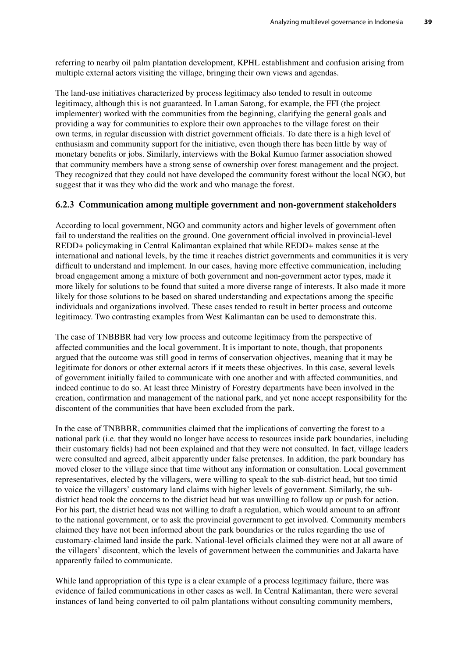referring to nearby oil palm plantation development, KPHL establishment and confusion arising from multiple external actors visiting the village, bringing their own views and agendas.

The land-use initiatives characterized by process legitimacy also tended to result in outcome legitimacy, although this is not guaranteed. In Laman Satong, for example, the FFI (the project implementer) worked with the communities from the beginning, clarifying the general goals and providing a way for communities to explore their own approaches to the village forest on their own terms, in regular discussion with district government officials. To date there is a high level of enthusiasm and community support for the initiative, even though there has been little by way of monetary benefits or jobs. Similarly, interviews with the Bokal Kumuo farmer association showed that community members have a strong sense of ownership over forest management and the project. They recognized that they could not have developed the community forest without the local NGO, but suggest that it was they who did the work and who manage the forest.

### **6.2.3 Communication among multiple government and non-government stakeholders**

According to local government, NGO and community actors and higher levels of government often fail to understand the realities on the ground. One government official involved in provincial-level REDD+ policymaking in Central Kalimantan explained that while REDD+ makes sense at the international and national levels, by the time it reaches district governments and communities it is very difficult to understand and implement. In our cases, having more effective communication, including broad engagement among a mixture of both government and non-government actor types, made it more likely for solutions to be found that suited a more diverse range of interests. It also made it more likely for those solutions to be based on shared understanding and expectations among the specific individuals and organizations involved. These cases tended to result in better process and outcome legitimacy. Two contrasting examples from West Kalimantan can be used to demonstrate this.

The case of TNBBBR had very low process and outcome legitimacy from the perspective of affected communities and the local government. It is important to note, though, that proponents argued that the outcome was still good in terms of conservation objectives, meaning that it may be legitimate for donors or other external actors if it meets these objectives. In this case, several levels of government initially failed to communicate with one another and with affected communities, and indeed continue to do so. At least three Ministry of Forestry departments have been involved in the creation, confirmation and management of the national park, and yet none accept responsibility for the discontent of the communities that have been excluded from the park.

In the case of TNBBBR, communities claimed that the implications of converting the forest to a national park (i.e. that they would no longer have access to resources inside park boundaries, including their customary fields) had not been explained and that they were not consulted. In fact, village leaders were consulted and agreed, albeit apparently under false pretenses. In addition, the park boundary has moved closer to the village since that time without any information or consultation. Local government representatives, elected by the villagers, were willing to speak to the sub-district head, but too timid to voice the villagers' customary land claims with higher levels of government. Similarly, the subdistrict head took the concerns to the district head but was unwilling to follow up or push for action. For his part, the district head was not willing to draft a regulation, which would amount to an affront to the national government, or to ask the provincial government to get involved. Community members claimed they have not been informed about the park boundaries or the rules regarding the use of customary-claimed land inside the park. National-level officials claimed they were not at all aware of the villagers' discontent, which the levels of government between the communities and Jakarta have apparently failed to communicate.

While land appropriation of this type is a clear example of a process legitimacy failure, there was evidence of failed communications in other cases as well. In Central Kalimantan, there were several instances of land being converted to oil palm plantations without consulting community members,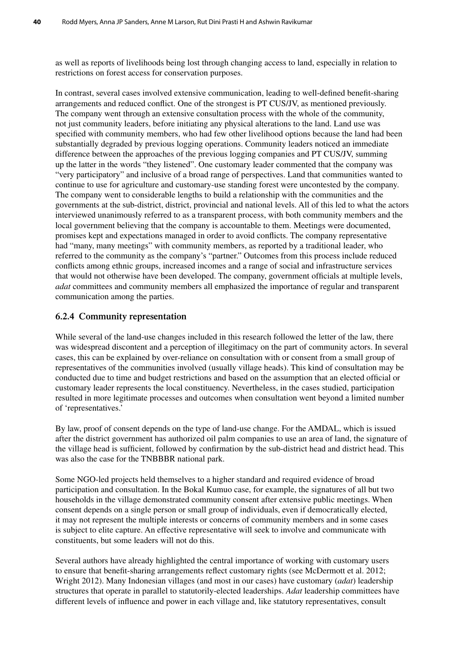as well as reports of livelihoods being lost through changing access to land, especially in relation to restrictions on forest access for conservation purposes.

In contrast, several cases involved extensive communication, leading to well-defined benefit-sharing arrangements and reduced conflict. One of the strongest is PT CUS/JV, as mentioned previously. The company went through an extensive consultation process with the whole of the community, not just community leaders, before initiating any physical alterations to the land. Land use was specified with community members, who had few other livelihood options because the land had been substantially degraded by previous logging operations. Community leaders noticed an immediate difference between the approaches of the previous logging companies and PT CUS/JV, summing up the latter in the words "they listened". One customary leader commented that the company was "very participatory" and inclusive of a broad range of perspectives. Land that communities wanted to continue to use for agriculture and customary-use standing forest were uncontested by the company. The company went to considerable lengths to build a relationship with the communities and the governments at the sub-district, district, provincial and national levels. All of this led to what the actors interviewed unanimously referred to as a transparent process, with both community members and the local government believing that the company is accountable to them. Meetings were documented, promises kept and expectations managed in order to avoid conflicts. The company representative had "many, many meetings" with community members, as reported by a traditional leader, who referred to the community as the company's "partner." Outcomes from this process include reduced conflicts among ethnic groups, increased incomes and a range of social and infrastructure services that would not otherwise have been developed. The company, government officials at multiple levels, *adat* committees and community members all emphasized the importance of regular and transparent communication among the parties.

## **6.2.4 Community representation**

While several of the land-use changes included in this research followed the letter of the law, there was widespread discontent and a perception of illegitimacy on the part of community actors. In several cases, this can be explained by over-reliance on consultation with or consent from a small group of representatives of the communities involved (usually village heads). This kind of consultation may be conducted due to time and budget restrictions and based on the assumption that an elected official or customary leader represents the local constituency. Nevertheless, in the cases studied, participation resulted in more legitimate processes and outcomes when consultation went beyond a limited number of 'representatives.'

By law, proof of consent depends on the type of land-use change. For the AMDAL, which is issued after the district government has authorized oil palm companies to use an area of land, the signature of the village head is sufficient, followed by confirmation by the sub-district head and district head. This was also the case for the TNBBBR national park.

Some NGO-led projects held themselves to a higher standard and required evidence of broad participation and consultation. In the Bokal Kumuo case, for example, the signatures of all but two households in the village demonstrated community consent after extensive public meetings. When consent depends on a single person or small group of individuals, even if democratically elected, it may not represent the multiple interests or concerns of community members and in some cases is subject to elite capture. An effective representative will seek to involve and communicate with constituents, but some leaders will not do this.

Several authors have already highlighted the central importance of working with customary users to ensure that benefit-sharing arrangements reflect customary rights (see McDermott et al. 2012; Wright 2012). Many Indonesian villages (and most in our cases) have customary (*adat*) leadership structures that operate in parallel to statutorily-elected leaderships. *Adat* leadership committees have different levels of influence and power in each village and, like statutory representatives, consult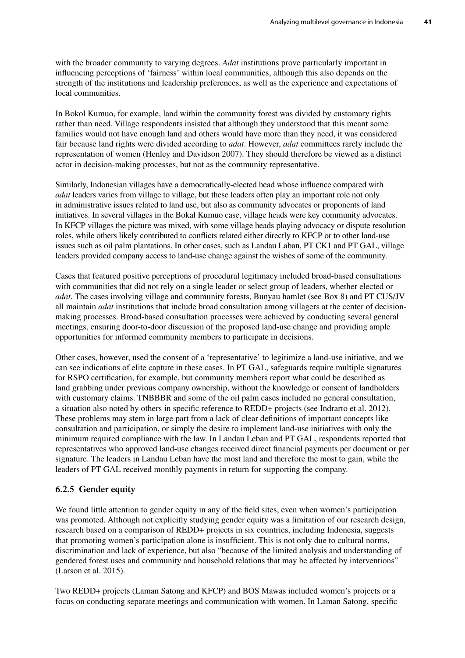with the broader community to varying degrees. *Adat* institutions prove particularly important in influencing perceptions of 'fairness' within local communities, although this also depends on the strength of the institutions and leadership preferences, as well as the experience and expectations of local communities.

In Bokol Kumuo, for example, land within the community forest was divided by customary rights rather than need. Village respondents insisted that although they understood that this meant some families would not have enough land and others would have more than they need, it was considered fair because land rights were divided according to *adat*. However, *adat* committees rarely include the representation of women (Henley and Davidson 2007). They should therefore be viewed as a distinct actor in decision-making processes, but not as the community representative.

Similarly, Indonesian villages have a democratically-elected head whose influence compared with *adat* leaders varies from village to village, but these leaders often play an important role not only in administrative issues related to land use, but also as community advocates or proponents of land initiatives. In several villages in the Bokal Kumuo case, village heads were key community advocates. In KFCP villages the picture was mixed, with some village heads playing advocacy or dispute resolution roles, while others likely contributed to conflicts related either directly to KFCP or to other land-use issues such as oil palm plantations. In other cases, such as Landau Laban, PT CK1 and PT GAL, village leaders provided company access to land-use change against the wishes of some of the community.

Cases that featured positive perceptions of procedural legitimacy included broad-based consultations with communities that did not rely on a single leader or select group of leaders, whether elected or *adat*. The cases involving village and community forests, Bunyau hamlet (see Box 8) and PT CUS/JV all maintain *adat* institutions that include broad consultation among villagers at the center of decisionmaking processes. Broad-based consultation processes were achieved by conducting several general meetings, ensuring door-to-door discussion of the proposed land-use change and providing ample opportunities for informed community members to participate in decisions.

Other cases, however, used the consent of a 'representative' to legitimize a land-use initiative, and we can see indications of elite capture in these cases. In PT GAL, safeguards require multiple signatures for RSPO certification, for example, but community members report what could be described as land grabbing under previous company ownership, without the knowledge or consent of landholders with customary claims. TNBBBR and some of the oil palm cases included no general consultation, a situation also noted by others in specific reference to REDD+ projects (see Indrarto et al. 2012). These problems may stem in large part from a lack of clear definitions of important concepts like consultation and participation, or simply the desire to implement land-use initiatives with only the minimum required compliance with the law. In Landau Leban and PT GAL, respondents reported that representatives who approved land-use changes received direct financial payments per document or per signature. The leaders in Landau Leban have the most land and therefore the most to gain, while the leaders of PT GAL received monthly payments in return for supporting the company.

## **6.2.5 Gender equity**

We found little attention to gender equity in any of the field sites, even when women's participation was promoted. Although not explicitly studying gender equity was a limitation of our research design, research based on a comparison of REDD+ projects in six countries, including Indonesia, suggests that promoting women's participation alone is insufficient. This is not only due to cultural norms, discrimination and lack of experience, but also "because of the limited analysis and understanding of gendered forest uses and community and household relations that may be affected by interventions" (Larson et al. 2015).

Two REDD+ projects (Laman Satong and KFCP) and BOS Mawas included women's projects or a focus on conducting separate meetings and communication with women. In Laman Satong, specific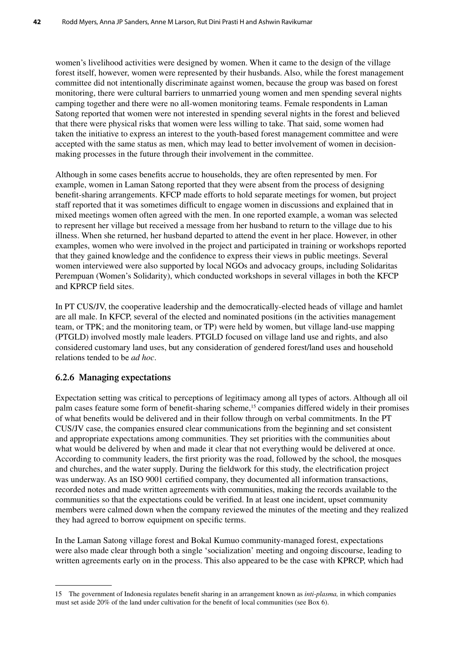women's livelihood activities were designed by women. When it came to the design of the village forest itself, however, women were represented by their husbands. Also, while the forest management committee did not intentionally discriminate against women, because the group was based on forest monitoring, there were cultural barriers to unmarried young women and men spending several nights camping together and there were no all-women monitoring teams. Female respondents in Laman Satong reported that women were not interested in spending several nights in the forest and believed that there were physical risks that women were less willing to take. That said, some women had taken the initiative to express an interest to the youth-based forest management committee and were accepted with the same status as men, which may lead to better involvement of women in decisionmaking processes in the future through their involvement in the committee.

Although in some cases benefits accrue to households, they are often represented by men. For example, women in Laman Satong reported that they were absent from the process of designing benefit-sharing arrangements. KFCP made efforts to hold separate meetings for women, but project staff reported that it was sometimes difficult to engage women in discussions and explained that in mixed meetings women often agreed with the men. In one reported example, a woman was selected to represent her village but received a message from her husband to return to the village due to his illness. When she returned, her husband departed to attend the event in her place. However, in other examples, women who were involved in the project and participated in training or workshops reported that they gained knowledge and the confidence to express their views in public meetings. Several women interviewed were also supported by local NGOs and advocacy groups, including Solidaritas Perempuan (Women's Solidarity), which conducted workshops in several villages in both the KFCP and KPRCP field sites.

In PT CUS/JV, the cooperative leadership and the democratically-elected heads of village and hamlet are all male. In KFCP, several of the elected and nominated positions (in the activities management team, or TPK; and the monitoring team, or TP) were held by women, but village land-use mapping (PTGLD) involved mostly male leaders. PTGLD focused on village land use and rights, and also considered customary land uses, but any consideration of gendered forest/land uses and household relations tended to be *ad hoc*.

### **6.2.6 Managing expectations**

Expectation setting was critical to perceptions of legitimacy among all types of actors. Although all oil palm cases feature some form of benefit-sharing scheme,<sup>15</sup> companies differed widely in their promises of what benefits would be delivered and in their follow through on verbal commitments. In the PT CUS/JV case, the companies ensured clear communications from the beginning and set consistent and appropriate expectations among communities. They set priorities with the communities about what would be delivered by when and made it clear that not everything would be delivered at once. According to community leaders, the first priority was the road, followed by the school, the mosques and churches, and the water supply. During the fieldwork for this study, the electrification project was underway. As an ISO 9001 certified company, they documented all information transactions, recorded notes and made written agreements with communities, making the records available to the communities so that the expectations could be verified. In at least one incident, upset community members were calmed down when the company reviewed the minutes of the meeting and they realized they had agreed to borrow equipment on specific terms.

In the Laman Satong village forest and Bokal Kumuo community-managed forest, expectations were also made clear through both a single 'socialization' meeting and ongoing discourse, leading to written agreements early on in the process. This also appeared to be the case with KPRCP, which had

<sup>15</sup> The government of Indonesia regulates benefit sharing in an arrangement known as *inti-plasma,* in which companies must set aside 20% of the land under cultivation for the benefit of local communities (see Box 6).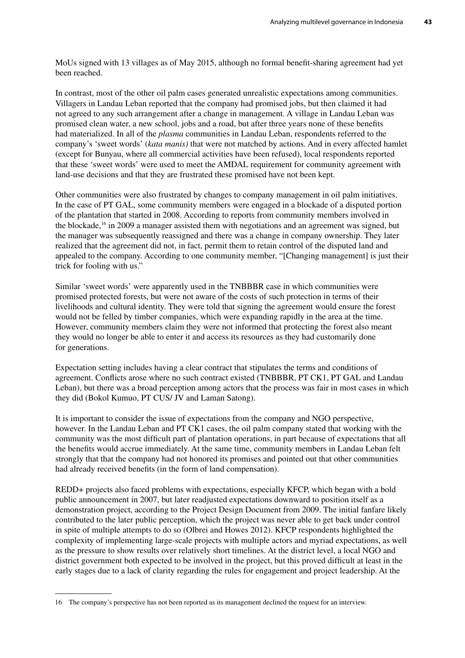MoUs signed with 13 villages as of May 2015, although no formal benefit-sharing agreement had yet been reached.

In contrast, most of the other oil palm cases generated unrealistic expectations among communities. Villagers in Landau Leban reported that the company had promised jobs, but then claimed it had not agreed to any such arrangement after a change in management. A village in Landau Leban was promised clean water, a new school, jobs and a road, but after three years none of these benefits had materialized. In all of the *plasma* communities in Landau Leban, respondents referred to the company's 'sweet words' (*kata manis)* that were not matched by actions. And in every affected hamlet (except for Bunyau, where all commercial activities have been refused), local respondents reported that these 'sweet words' were used to meet the AMDAL requirement for community agreement with land-use decisions and that they are frustrated these promised have not been kept.

Other communities were also frustrated by changes to company management in oil palm initiatives. In the case of PT GAL, some community members were engaged in a blockade of a disputed portion of the plantation that started in 2008. According to reports from community members involved in the blockade,<sup>16</sup> in 2009 a manager assisted them with negotiations and an agreement was signed, but the manager was subsequently reassigned and there was a change in company ownership. They later realized that the agreement did not, in fact, permit them to retain control of the disputed land and appealed to the company. According to one community member, "[Changing management] is just their trick for fooling with us."

Similar 'sweet words' were apparently used in the TNBBBR case in which communities were promised protected forests, but were not aware of the costs of such protection in terms of their livelihoods and cultural identity. They were told that signing the agreement would ensure the forest would not be felled by timber companies, which were expanding rapidly in the area at the time. However, community members claim they were not informed that protecting the forest also meant they would no longer be able to enter it and access its resources as they had customarily done for generations.

Expectation setting includes having a clear contract that stipulates the terms and conditions of agreement. Conflicts arose where no such contract existed (TNBBBR, PT CK1, PT GAL and Landau Leban), but there was a broad perception among actors that the process was fair in most cases in which they did (Bokol Kumuo, PT CUS/ JV and Laman Satong).

It is important to consider the issue of expectations from the company and NGO perspective, however. In the Landau Leban and PT CK1 cases, the oil palm company stated that working with the community was the most difficult part of plantation operations, in part because of expectations that all the benefits would accrue immediately. At the same time, community members in Landau Leban felt strongly that that the company had not honored its promises and pointed out that other communities had already received benefits (in the form of land compensation).

REDD+ projects also faced problems with expectations, especially KFCP, which began with a bold public announcement in 2007, but later readjusted expectations downward to position itself as a demonstration project, according to the Project Design Document from 2009. The initial fanfare likely contributed to the later public perception, which the project was never able to get back under control in spite of multiple attempts to do so (Olbrei and Howes 2012). KFCP respondents highlighted the complexity of implementing large-scale projects with multiple actors and myriad expectations, as well as the pressure to show results over relatively short timelines. At the district level, a local NGO and district government both expected to be involved in the project, but this proved difficult at least in the early stages due to a lack of clarity regarding the rules for engagement and project leadership. At the

<sup>16</sup> The company's perspective has not been reported as its management declined the request for an interview.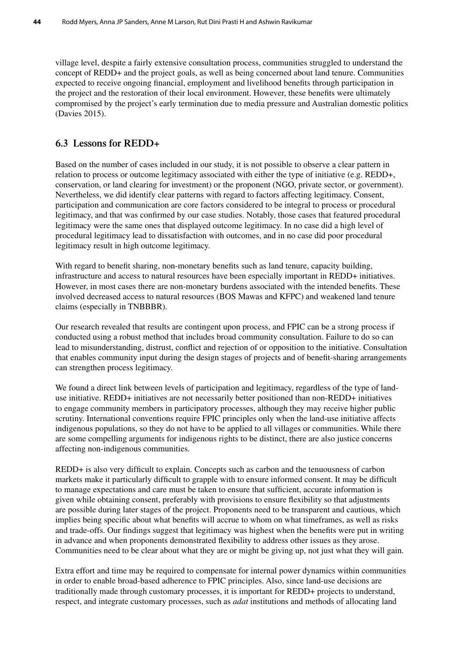village level, despite a fairly extensive consultation process, communities struggled to understand the concept of REDD+ and the project goals, as well as being concerned about land tenure. Communities expected to receive ongoing financial, employment and livelihood benefits through participation in the project and the restoration of their local environment. However, these benefits were ultimately compromised by the project's early termination due to media pressure and Australian domestic politics (Davies 2015).

## **6.3 Lessons for REDD+**

Based on the number of cases included in our study, it is not possible to observe a clear pattern in relation to process or outcome legitimacy associated with either the type of initiative (e.g. REDD+, conservation, or land clearing for investment) or the proponent (NGO, private sector, or government). Nevertheless, we did identify clear patterns with regard to factors affecting legitimacy. Consent, participation and communication are core factors considered to be integral to process or procedural legitimacy, and that was confirmed by our case studies. Notably, those cases that featured procedural legitimacy were the same ones that displayed outcome legitimacy. In no case did a high level of procedural legitimacy lead to dissatisfaction with outcomes, and in no case did poor procedural legitimacy result in high outcome legitimacy.

With regard to benefit sharing, non-monetary benefits such as land tenure, capacity building, infrastructure and access to natural resources have been especially important in REDD+ initiatives. However, in most cases there are non-monetary burdens associated with the intended benefits. These involved decreased access to natural resources (BOS Mawas and KFPC) and weakened land tenure claims (especially in TNBBBR).

Our research revealed that results are contingent upon process, and FPIC can be a strong process if conducted using a robust method that includes broad community consultation. Failure to do so can lead to misunderstanding, distrust, conflict and rejection of or opposition to the initiative. Consultation that enables community input during the design stages of projects and of benefit-sharing arrangements can strengthen process legitimacy.

We found a direct link between levels of participation and legitimacy, regardless of the type of landuse initiative. REDD+ initiatives are not necessarily better positioned than non-REDD+ initiatives to engage community members in participatory processes, although they may receive higher public scrutiny. International conventions require FPIC principles only when the land-use initiative affects indigenous populations, so they do not have to be applied to all villages or communities. While there are some compelling arguments for indigenous rights to be distinct, there are also justice concerns affecting non-indigenous communities.

REDD+ is also very difficult to explain. Concepts such as carbon and the tenuousness of carbon markets make it particularly difficult to grapple with to ensure informed consent. It may be difficult to manage expectations and care must be taken to ensure that sufficient, accurate information is given while obtaining consent, preferably with provisions to ensure flexibility so that adjustments are possible during later stages of the project. Proponents need to be transparent and cautious, which implies being specific about what benefits will accrue to whom on what timeframes, as well as risks and trade-offs. Our findings suggest that legitimacy was highest when the benefits were put in writing in advance and when proponents demonstrated flexibility to address other issues as they arose. Communities need to be clear about what they are or might be giving up, not just what they will gain.

Extra effort and time may be required to compensate for internal power dynamics within communities in order to enable broad-based adherence to FPIC principles. Also, since land-use decisions are traditionally made through customary processes, it is important for REDD+ projects to understand, respect, and integrate customary processes, such as *adat* institutions and methods of allocating land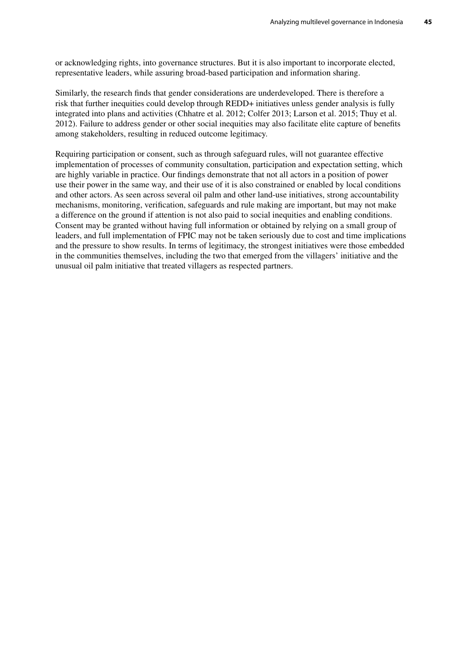or acknowledging rights, into governance structures. But it is also important to incorporate elected, representative leaders, while assuring broad-based participation and information sharing.

Similarly, the research finds that gender considerations are underdeveloped. There is therefore a risk that further inequities could develop through REDD+ initiatives unless gender analysis is fully integrated into plans and activities (Chhatre et al. 2012; Colfer 2013; Larson et al. 2015; Thuy et al. 2012). Failure to address gender or other social inequities may also facilitate elite capture of benefits among stakeholders, resulting in reduced outcome legitimacy.

Requiring participation or consent, such as through safeguard rules, will not guarantee effective implementation of processes of community consultation, participation and expectation setting, which are highly variable in practice. Our findings demonstrate that not all actors in a position of power use their power in the same way, and their use of it is also constrained or enabled by local conditions and other actors. As seen across several oil palm and other land-use initiatives, strong accountability mechanisms, monitoring, verification, safeguards and rule making are important, but may not make a difference on the ground if attention is not also paid to social inequities and enabling conditions. Consent may be granted without having full information or obtained by relying on a small group of leaders, and full implementation of FPIC may not be taken seriously due to cost and time implications and the pressure to show results. In terms of legitimacy, the strongest initiatives were those embedded in the communities themselves, including the two that emerged from the villagers' initiative and the unusual oil palm initiative that treated villagers as respected partners.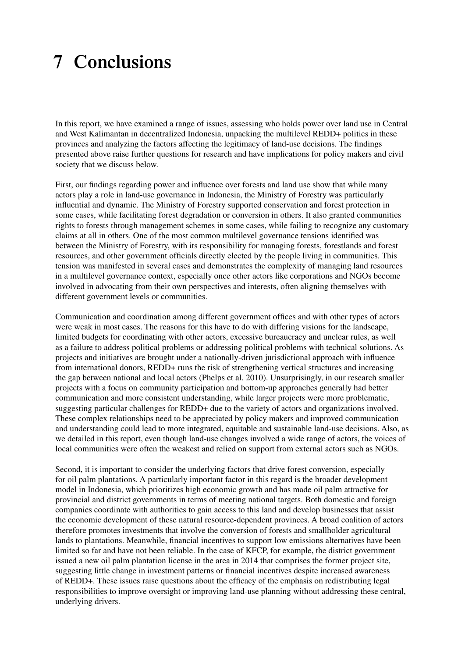# **7 Conclusions**

In this report, we have examined a range of issues, assessing who holds power over land use in Central and West Kalimantan in decentralized Indonesia, unpacking the multilevel REDD+ politics in these provinces and analyzing the factors affecting the legitimacy of land-use decisions. The findings presented above raise further questions for research and have implications for policy makers and civil society that we discuss below.

First, our findings regarding power and influence over forests and land use show that while many actors play a role in land-use governance in Indonesia, the Ministry of Forestry was particularly influential and dynamic. The Ministry of Forestry supported conservation and forest protection in some cases, while facilitating forest degradation or conversion in others. It also granted communities rights to forests through management schemes in some cases, while failing to recognize any customary claims at all in others. One of the most common multilevel governance tensions identified was between the Ministry of Forestry, with its responsibility for managing forests, forestlands and forest resources, and other government officials directly elected by the people living in communities. This tension was manifested in several cases and demonstrates the complexity of managing land resources in a multilevel governance context, especially once other actors like corporations and NGOs become involved in advocating from their own perspectives and interests, often aligning themselves with different government levels or communities.

Communication and coordination among different government offices and with other types of actors were weak in most cases. The reasons for this have to do with differing visions for the landscape, limited budgets for coordinating with other actors, excessive bureaucracy and unclear rules, as well as a failure to address political problems or addressing political problems with technical solutions. As projects and initiatives are brought under a nationally-driven jurisdictional approach with influence from international donors, REDD+ runs the risk of strengthening vertical structures and increasing the gap between national and local actors (Phelps et al. 2010). Unsurprisingly, in our research smaller projects with a focus on community participation and bottom-up approaches generally had better communication and more consistent understanding, while larger projects were more problematic, suggesting particular challenges for REDD+ due to the variety of actors and organizations involved. These complex relationships need to be appreciated by policy makers and improved communication and understanding could lead to more integrated, equitable and sustainable land-use decisions. Also, as we detailed in this report, even though land-use changes involved a wide range of actors, the voices of local communities were often the weakest and relied on support from external actors such as NGOs.

Second, it is important to consider the underlying factors that drive forest conversion, especially for oil palm plantations. A particularly important factor in this regard is the broader development model in Indonesia, which prioritizes high economic growth and has made oil palm attractive for provincial and district governments in terms of meeting national targets. Both domestic and foreign companies coordinate with authorities to gain access to this land and develop businesses that assist the economic development of these natural resource-dependent provinces. A broad coalition of actors therefore promotes investments that involve the conversion of forests and smallholder agricultural lands to plantations. Meanwhile, financial incentives to support low emissions alternatives have been limited so far and have not been reliable. In the case of KFCP, for example, the district government issued a new oil palm plantation license in the area in 2014 that comprises the former project site, suggesting little change in investment patterns or financial incentives despite increased awareness of REDD+. These issues raise questions about the efficacy of the emphasis on redistributing legal responsibilities to improve oversight or improving land-use planning without addressing these central, underlying drivers.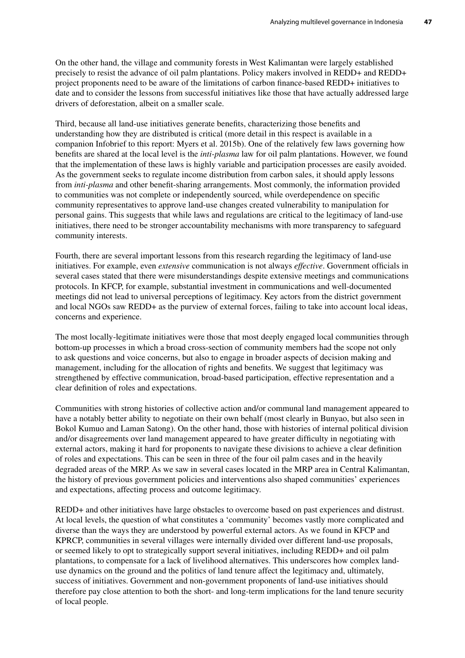On the other hand, the village and community forests in West Kalimantan were largely established precisely to resist the advance of oil palm plantations. Policy makers involved in REDD+ and REDD+ project proponents need to be aware of the limitations of carbon finance-based REDD+ initiatives to date and to consider the lessons from successful initiatives like those that have actually addressed large drivers of deforestation, albeit on a smaller scale.

Third, because all land-use initiatives generate benefits, characterizing those benefits and understanding how they are distributed is critical (more detail in this respect is available in a companion Infobrief to this report: Myers et al. 2015b). One of the relatively few laws governing how benefits are shared at the local level is the *inti-plasma* law for oil palm plantations. However, we found that the implementation of these laws is highly variable and participation processes are easily avoided. As the government seeks to regulate income distribution from carbon sales, it should apply lessons from *inti-plasma* and other benefit-sharing arrangements. Most commonly, the information provided to communities was not complete or independently sourced, while overdependence on specific community representatives to approve land-use changes created vulnerability to manipulation for personal gains. This suggests that while laws and regulations are critical to the legitimacy of land-use initiatives, there need to be stronger accountability mechanisms with more transparency to safeguard community interests.

Fourth, there are several important lessons from this research regarding the legitimacy of land-use initiatives. For example, even *extensive* communication is not always *effective*. Government officials in several cases stated that there were misunderstandings despite extensive meetings and communications protocols. In KFCP, for example, substantial investment in communications and well-documented meetings did not lead to universal perceptions of legitimacy. Key actors from the district government and local NGOs saw REDD+ as the purview of external forces, failing to take into account local ideas, concerns and experience.

The most locally-legitimate initiatives were those that most deeply engaged local communities through bottom-up processes in which a broad cross-section of community members had the scope not only to ask questions and voice concerns, but also to engage in broader aspects of decision making and management, including for the allocation of rights and benefits. We suggest that legitimacy was strengthened by effective communication, broad-based participation, effective representation and a clear definition of roles and expectations.

Communities with strong histories of collective action and/or communal land management appeared to have a notably better ability to negotiate on their own behalf (most clearly in Bunyao, but also seen in Bokol Kumuo and Laman Satong). On the other hand, those with histories of internal political division and/or disagreements over land management appeared to have greater difficulty in negotiating with external actors, making it hard for proponents to navigate these divisions to achieve a clear definition of roles and expectations. This can be seen in three of the four oil palm cases and in the heavily degraded areas of the MRP. As we saw in several cases located in the MRP area in Central Kalimantan, the history of previous government policies and interventions also shaped communities' experiences and expectations, affecting process and outcome legitimacy.

REDD+ and other initiatives have large obstacles to overcome based on past experiences and distrust. At local levels, the question of what constitutes a 'community' becomes vastly more complicated and diverse than the ways they are understood by powerful external actors. As we found in KFCP and KPRCP, communities in several villages were internally divided over different land-use proposals, or seemed likely to opt to strategically support several initiatives, including REDD+ and oil palm plantations, to compensate for a lack of livelihood alternatives. This underscores how complex landuse dynamics on the ground and the politics of land tenure affect the legitimacy and, ultimately, success of initiatives. Government and non-government proponents of land-use initiatives should therefore pay close attention to both the short- and long-term implications for the land tenure security of local people.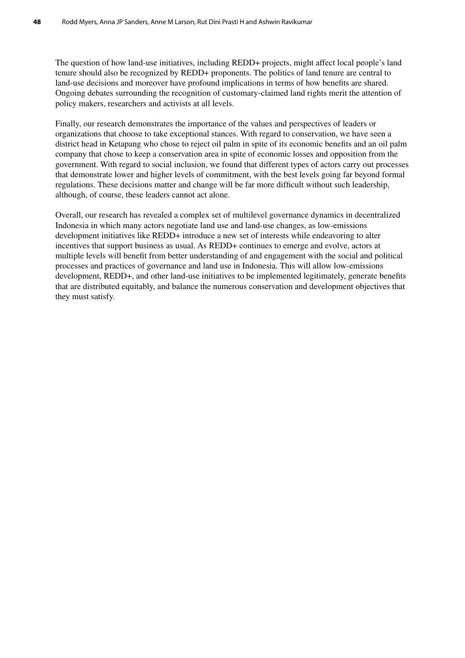The question of how land-use initiatives, including REDD+ projects, might affect local people's land tenure should also be recognized by REDD+ proponents. The politics of land tenure are central to land-use decisions and moreover have profound implications in terms of how benefits are shared. Ongoing debates surrounding the recognition of customary-claimed land rights merit the attention of policy makers, researchers and activists at all levels.

Finally, our research demonstrates the importance of the values and perspectives of leaders or organizations that choose to take exceptional stances. With regard to conservation, we have seen a district head in Ketapang who chose to reject oil palm in spite of its economic benefits and an oil palm company that chose to keep a conservation area in spite of economic losses and opposition from the government. With regard to social inclusion, we found that different types of actors carry out processes that demonstrate lower and higher levels of commitment, with the best levels going far beyond formal regulations. These decisions matter and change will be far more difficult without such leadership, although, of course, these leaders cannot act alone.

Overall, our research has revealed a complex set of multilevel governance dynamics in decentralized Indonesia in which many actors negotiate land use and land-use changes, as low-emissions development initiatives like REDD+ introduce a new set of interests while endeavoring to alter incentives that support business as usual. As REDD+ continues to emerge and evolve, actors at multiple levels will benefit from better understanding of and engagement with the social and political processes and practices of governance and land use in Indonesia. This will allow low-emissions development, REDD+, and other land-use initiatives to be implemented legitimately, generate benefits that are distributed equitably, and balance the numerous conservation and development objectives that they must satisfy.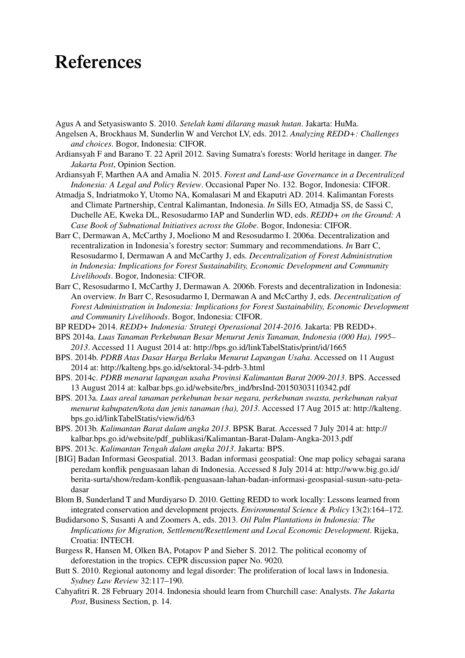# **References**

Agus A and Setyasiswanto S. 2010. *Setelah kami dilarang masuk hutan*. Jakarta: HuMa.

Angelsen A, Brockhaus M, Sunderlin W and Verchot LV, eds. 2012. *Analyzing REDD+: Challenges and choices*. Bogor, Indonesia: CIFOR.

Ardiansyah F and Barano T. 22 April 2012. Saving Sumatra's forests: World heritage in danger. *The Jakarta Post*, Opinion Section.

Ardiansyah F, Marthen AA and Amalia N. 2015. *Forest and Land-use Governance in a Decentralized Indonesia: A Legal and Policy Review*. Occasional Paper No. 132. Bogor, Indonesia: CIFOR.

- Atmadja S, Indriatmoko Y, Utomo NA, Komalasari M and Ekaputri AD. 2014. Kalimantan Forests and Climate Partnership, Central Kalimantan, Indonesia. *In* Sills EO, Atmadja SS, de Sassi C, Duchelle AE, Kweka DL, Resosudarmo IAP and Sunderlin WD, eds. *REDD+ on the Ground: A Case Book of Subnational Initiatives across the Globe*. Bogor, Indonesia: CIFOR.
- Barr C, Dermawan A, McCarthy J, Moeliono M and Resosudarmo I. 2006a. Decentralization and recentralization in Indonesia's forestry sector: Summary and recommendations. *In* Barr C, Resosudarmo I, Dermawan A and McCarthy J, eds. *Decentralization of Forest Administration in Indonesia: Implications for Forest Sustainability, Economic Development and Community Livelihoods*. Bogor, Indonesia: CIFOR.
- Barr C, Resosudarmo I, McCarthy J, Dermawan A. 2006b. Forests and decentralization in Indonesia: An overview. *In* Barr C, Resosudarmo I, Dermawan A and McCarthy J, eds. *Decentralization of Forest Administration in Indonesia: Implications for Forest Sustainability, Economic Development and Community Livelihoods*. Bogor, Indonesia: CIFOR.
- BP REDD+ 2014. *REDD+ Indonesia: Strategi Operasional 2014-2016.* Jakarta: PB REDD+.
- BPS 2014a. *Luas Tanaman Perkebunan Besar Menurut Jenis Tanaman, Indonesia (000 Ha), 1995– 2013*. Accessed 11 August 2014 at: http://bps.go.id/linkTabelStatis/print/id/1665
- BPS. 2014b. *PDRB Atas Dasar Harga Berlaku Menurut Lapangan Usaha*. Accessed on 11 August 2014 at: http://kalteng.bps.go.id/sektoral-34-pdrb-3.html
- BPS. 2014c. *PDRB menarut lapangan usaha Provinsi Kalimantan Barat 2009-2013*. BPS. Accessed 13 August 2014 at: kalbar.bps.go.id/website/brs\_ind/brsInd-20150303110342.pdf
- BPS. 2013a. *Luas areal tanaman perkebunan besar negara, perkebunan swasta, perkebunan rakyat menurut kabupaten/kota dan jenis tanaman (ha), 2013*. Accessed 17 Aug 2015 at: http://kalteng. bps.go.id/linkTabelStatis/view/id/63
- BPS. 2013b. *Kalimantan Barat dalam angka 2013*. BPSK Barat. Accessed 7 July 2014 at: http:// kalbar.bps.go.id/website/pdf\_publikasi/Kalimantan-Barat-Dalam-Angka-2013.pdf
- BPS. 2013c. *Kalimantan Tengah dalam angka 2013*. Jakarta: BPS.
- [BIG] Badan Informasi Geospatial. 2013. Badan informasi geospatial: One map policy sebagai sarana peredam konflik penguasaan lahan di Indonesia. Accessed 8 July 2014 at: http://www.big.go.id/ berita-surta/show/redam-konflik-penguasaan-lahan-badan-informasi-geospasial-susun-satu-petadasar
- Blom B, Sunderland T and Murdiyarso D. 2010. Getting REDD to work locally: Lessons learned from integrated conservation and development projects. *Environmental Science & Policy* 13(2):164–172.
- Budidarsono S, Susanti A and Zoomers A, eds. 2013. *Oil Palm Plantations in Indonesia: The Implications for Migration, Settlement/Resettlement and Local Economic Development*. Rijeka, Croatia: INTECH.
- Burgess R, Hansen M, Olken BA, Potapov P and Sieber S. 2012. The political economy of deforestation in the tropics. CEPR discussion paper No. 9020*.*
- Butt S. 2010. Regional autonomy and legal disorder: The proliferation of local laws in Indonesia. *Sydney Law Review* 32:117–190.
- Cahyafitri R. 28 February 2014. Indonesia should learn from Churchill case: Analysts. *The Jakarta Post*, Business Section, p. 14.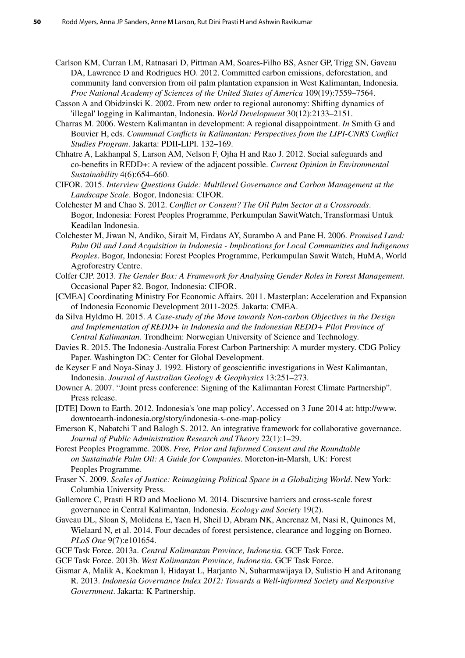- Carlson KM, Curran LM, Ratnasari D, Pittman AM, Soares-Filho BS, Asner GP, Trigg SN, Gaveau DA, Lawrence D and Rodrigues HO. 2012. Committed carbon emissions, deforestation, and community land conversion from oil palm plantation expansion in West Kalimantan, Indonesia. *Proc National Academy of Sciences of the United States of America* 109(19):7559–7564.
- Casson A and Obidzinski K. 2002. From new order to regional autonomy: Shifting dynamics of 'illegal' logging in Kalimantan, Indonesia. *World Development* 30(12):2133–2151.
- Charras M. 2006. Western Kalimantan in development: A regional disappointment. *In* Smith G and Bouvier H, eds. *Communal Conflicts in Kalimantan: Perspectives from the LIPI-CNRS Conflict Studies Program*. Jakarta: PDII-LIPI. 132–169.
- Chhatre A, Lakhanpal S, Larson AM, Nelson F, Ojha H and Rao J. 2012. Social safeguards and co-benefits in REDD+: A review of the adjacent possible. *Current Opinion in Environmental Sustainability* 4(6):654–660.
- CIFOR. 2015. *Interview Questions Guide: Multilevel Governance and Carbon Management at the Landscape Scale*. Bogor, Indonesia: CIFOR.
- Colchester M and Chao S. 2012. *Conflict or Consent? The Oil Palm Sector at a Crossroads*. Bogor, Indonesia: Forest Peoples Programme, Perkumpulan SawitWatch, Transformasi Untuk Keadilan Indonesia.
- Colchester M, Jiwan N, Andiko, Sirait M, Firdaus AY, Surambo A and Pane H. 2006. *Promised Land: Palm Oil and Land Acquisition in Indonesia - Implications for Local Communities and Indigenous Peoples*. Bogor, Indonesia: Forest Peoples Programme, Perkumpulan Sawit Watch, HuMA, World Agroforestry Centre.
- Colfer CJP. 2013. *The Gender Box: A Framework for Analysing Gender Roles in Forest Management*. Occasional Paper 82. Bogor, Indonesia: CIFOR.
- [CMEA] Coordinating Ministry For Economic Affairs. 2011. Masterplan: Acceleration and Expansion of Indonesia Economic Development 2011-2025. Jakarta: CMEA.
- da Silva Hyldmo H. 2015. *A Case-study of the Move towards Non-carbon Objectives in the Design and Implementation of REDD+ in Indonesia and the Indonesian REDD+ Pilot Province of Central Kalimantan*. Trondheim: Norwegian University of Science and Technology.
- Davies R. 2015. The Indonesia-Australia Forest Carbon Partnership: A murder mystery. CDG Policy Paper. Washington DC: Center for Global Development.
- de Keyser F and Noya-Sinay J. 1992. History of geoscientific investigations in West Kalimantan, Indonesia. *Journal of Australian Geology & Geophysics* 13:251–273.
- Downer A. 2007. "Joint press conference: Signing of the Kalimantan Forest Climate Partnership". Press release.
- [DTE] Down to Earth. 2012. Indonesia's 'one map policy'. Accessed on 3 June 2014 at: http://www. downtoearth-indonesia.org/story/indonesia-s-one-map-policy
- Emerson K, Nabatchi T and Balogh S. 2012. An integrative framework for collaborative governance. *Journal of Public Administration Research and Theory* 22(1):1–29.
- Forest Peoples Programme. 2008. *Free, Prior and Informed Consent and the Roundtable on Sustainable Palm Oil: A Guide for Companies*. Moreton-in-Marsh, UK: Forest Peoples Programme.
- Fraser N. 2009. *Scales of Justice: Reimagining Political Space in a Globalizing World*. New York: Columbia University Press.
- Gallemore C, Prasti H RD and Moeliono M. 2014. Discursive barriers and cross-scale forest governance in Central Kalimantan, Indonesia. *Ecology and Society* 19(2).
- Gaveau DL, Sloan S, Molidena E, Yaen H, Sheil D, Abram NK, Ancrenaz M, Nasi R, Quinones M, Wielaard N, et al. 2014. Four decades of forest persistence, clearance and logging on Borneo. *PLoS One* 9(7):e101654.
- GCF Task Force. 2013a. *Central Kalimantan Province, Indonesia*. GCF Task Force.
- GCF Task Force. 2013b. *West Kalimantan Province, Indonesia*. GCF Task Force.
- Gismar A, Malik A, Koekman I, Hidayat L, Harjanto N, Suharmawijaya D, Sulistio H and Aritonang R. 2013. *Indonesia Governance Index 2012: Towards a Well-informed Society and Responsive Government*. Jakarta: K Partnership.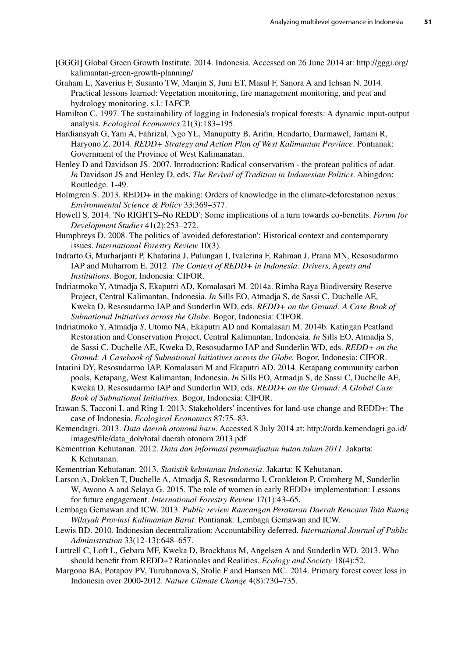- [GGGI] Global Green Growth Institute. 2014. Indonesia. Accessed on 26 June 2014 at: http://gggi.org/ kalimantan-green-growth-planning/
- Graham L, Xaverius F, Susanto TW, Manjin S, Juni ET, Masal F, Sanora A and Ichsan N. 2014. Practical lessons learned: Vegetation monitoring, fire management monitoring, and peat and hydrology monitoring. s.l.: IAFCP.
- Hamilton C. 1997. The sustainability of logging in Indonesia's tropical forests: A dynamic input-output analysis. *Ecological Economics* 21(3):183–195.
- Hardiansyah G, Yani A, Fahrizal, Ngo YL, Manuputty B, Arifin, Hendarto, Darmawel, Jamani R, Haryono Z. 2014. *REDD+ Strategy and Action Plan of West Kalimantan Province*. Pontianak: Government of the Province of West Kalimanatan.
- Henley D and Davidson JS. 2007. Introduction: Radical conservatism the protean politics of adat. *In* Davidson JS and Henley D, eds. *The Revival of Tradition in Indonesian Politics*. Abingdon: Routledge. 1-49.
- Holmgren S. 2013. REDD+ in the making: Orders of knowledge in the climate-deforestation nexus. *Environmental Science & Policy* 33:369–377.
- Howell S. 2014. 'No RIGHTS–No REDD': Some implications of a turn towards co-benefits. *Forum for Development Studies* 41(2):253–272.
- Humphreys D. 2008. The politics of 'avoided deforestation': Historical context and contemporary issues. *International Forestry Review* 10(3).
- Indrarto G, Murharjanti P, Khatarina J, Pulungan I, Ivalerina F, Rahman J, Prana MN, Resosudarmo IAP and Muharrom E. 2012. *The Context of REDD+ in Indonesia: Drivers, Agents and Institutions*. Bogor, Indonesia: CIFOR.
- Indriatmoko Y, Atmadja S, Ekaputri AD, Komalasari M. 2014a. Rimba Raya Biodiversity Reserve Project, Central Kalimantan, Indonesia. *In* Sills EO, Atmadja S, de Sassi C, Duchelle AE, Kweka D, Resosudarmo IAP and Sunderlin WD, eds*. REDD+ on the Ground: A Case Book of Subnational Initiatives across the Globe.* Bogor, Indonesia: CIFOR.
- Indriatmoko Y, Atmadja *S*, Utomo NA, Ekaputri AD and Komalasari M. 2014b. Katingan Peatland Restoration and Conservation Project, Central Kalimantan, Indonesia. *In* Sills EO, Atmadja S, de Sassi C, Duchelle AE, Kweka D, Resosudarmo IAP and Sunderlin WD, eds. *REDD+ on the Ground: A Casebook of Subnational Initiatives across the Globe.* Bogor, Indonesia: CIFOR.
- Intarini DY, Resosudarmo IAP, Komalasari M and Ekaputri AD. 2014. Ketapang community carbon pools, Ketapang, West Kalimantan, Indonesia. *In* Sills EO, Atmadja S, de Sassi C, Duchelle AE, Kweka D, Resosudarmo IAP and Sunderlin WD, eds. *REDD+ on the Ground: A Global Case Book of Subnational Initiatives.* Bogor, Indonesia: CIFOR.
- Irawan S, Tacconi L and Ring I. 2013. Stakeholders' incentives for land-use change and REDD+: The case of Indonesia. *Ecological Economics* 87:75–83.
- Kemendagri. 2013. *Data daerah otonomi baru*. Accessed 8 July 2014 at: http://otda.kemendagri.go.id/ images/file/data\_dob/total daerah otonom 2013.pdf
- Kementrian Kehutanan. 2012. *Data dan informasi penmanfaatan hutan tahun 2011*. Jakarta: K Kehutanan.
- Kementrian Kehutanan. 2013. *Statistik kehutanan Indonesia*. Jakarta: K Kehutanan.
- Larson A, Dokken T, Duchelle A, Atmadja S, Resosudarmo I, Cronkleton P, Cromberg M, Sunderlin W, Awono A and Selaya G. 2015. The role of women in early REDD+ implementation: Lessons for future engagement. *International Forestry Review* 17(1):43–65.
- Lembaga Gemawan and ICW. 2013. *Public review Rancangan Peraturan Daerah Rencana Tata Ruang Wilayah Provinsi Kalimantan Barat*. Pontianak: Lembaga Gemawan and ICW.
- Lewis BD. 2010. Indonesian decentralization: Accountability deferred. *International Journal of Public Administration* 33(12-13):648–657.
- Luttrell C, Loft L, Gebara MF, Kweka D, Brockhaus M, Angelsen A and Sunderlin WD. 2013. Who should benefit from REDD+? Rationales and Realities. *Ecology and Society* 18(4):52.
- Margono BA, Potapov PV, Turubanova S, Stolle F and Hansen MC. 2014. Primary forest cover loss in Indonesia over 2000-2012. *Nature Climate Change* 4(8):730–735.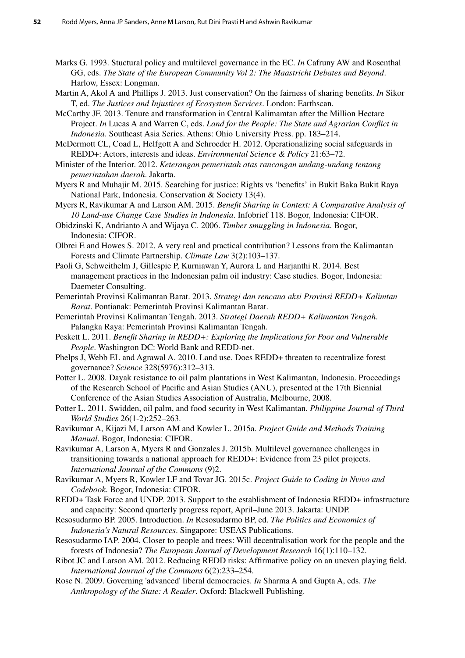- Marks G. 1993. Stuctural policy and multilevel governance in the EC. *In* Cafruny AW and Rosenthal GG, eds. *The State of the European Community Vol 2: The Maastricht Debates and Beyond*. Harlow, Essex: Longman.
- Martin A, Akol A and Phillips J. 2013. Just conservation? On the fairness of sharing benefits. *In* Sikor T, ed. *The Justices and Injustices of Ecosystem Services*. London: Earthscan.
- McCarthy JF. 2013. Tenure and transformation in Central Kalimamtan after the Million Hectare Project. *In* Lucas A and Warren C, eds. *Land for the People: The State and Agrarian Conflict in Indonesia*. Southeast Asia Series. Athens: Ohio University Press. pp. 183–214.
- McDermott CL, Coad L, Helfgott A and Schroeder H. 2012. Operationalizing social safeguards in REDD+: Actors, interests and ideas. *Environmental Science & Policy* 21:63–72.
- Minister of the Interior. 2012. *Keterangan pemerintah atas rancangan undang-undang tentang pemerintahan daerah*. Jakarta.
- Myers R and Muhajir M. 2015. Searching for justice: Rights vs 'benefits' in Bukit Baka Bukit Raya National Park, Indonesia. Conservation & Society 13(4).
- Myers R, Ravikumar A and Larson AM. 2015. *Benefit Sharing in Context: A Comparative Analysis of 10 Land-use Change Case Studies in Indonesia*. Infobrief 118. Bogor, Indonesia: CIFOR.
- Obidzinski K, Andrianto A and Wijaya C. 2006. *Timber smuggling in Indonesia*. Bogor, Indonesia: CIFOR.
- Olbrei E and Howes S. 2012. A very real and practical contribution? Lessons from the Kalimantan Forests and Climate Partnership. *Climate Law* 3(2):103–137.
- Paoli G, Schweithelm J, Gillespie P, Kurniawan Y, Aurora L and Harjanthi R. 2014. Best management practices in the Indonesian palm oil industry: Case studies. Bogor, Indonesia: Daemeter Consulting.
- Pemerintah Provinsi Kalimantan Barat. 2013. *Strategi dan rencana aksi Provinsi REDD+ Kalimtan Barat*. Pontianak: Pemerintah Provinsi Kalimantan Barat.
- Pemerintah Provinsi Kalimantan Tengah. 2013. *Strategi Daerah REDD+ Kalimantan Tengah*. Palangka Raya: Pemerintah Provinsi Kalimantan Tengah.
- Peskett L. 2011. *Benefit Sharing in REDD+: Exploring the Implications for Poor and Vulnerable People*. Washington DC: World Bank and REDD-net.
- Phelps J, Webb EL and Agrawal A. 2010. Land use. Does REDD+ threaten to recentralize forest governance? *Science* 328(5976):312–313.
- Potter L. 2008. Dayak resistance to oil palm plantations in West Kalimantan, Indonesia. Proceedings of the Research School of Pacific and Asian Studies (ANU), presented at the 17th Biennial Conference of the Asian Studies Association of Australia, Melbourne, 2008.
- Potter L. 2011. Swidden, oil palm, and food security in West Kalimantan. *Philippine Journal of Third World Studies* 26(1-2):252–263.
- Ravikumar A, Kijazi M, Larson AM and Kowler L. 2015a. *Project Guide and Methods Training Manual*. Bogor, Indonesia: CIFOR.
- Ravikumar A, Larson A, Myers R and Gonzales J. 2015b. Multilevel governance challenges in transitioning towards a national approach for REDD+: Evidence from 23 pilot projects. *International Journal of the Commons* (9)2.
- Ravikumar A, Myers R, Kowler LF and Tovar JG. 2015c. *Project Guide to Coding in Nvivo and Codebook*. Bogor, Indonesia: CIFOR.
- REDD+ Task Force and UNDP. 2013. Support to the establishment of Indonesia REDD+ infrastructure and capacity: Second quarterly progress report, April–June 2013. Jakarta: UNDP.
- Resosudarmo BP. 2005. Introduction. *In* Resosudarmo BP, ed. *The Politics and Economics of Indonesia's Natural Resources*. Singapore: USEAS Publications.
- Resosudarmo IAP. 2004. Closer to people and trees: Will decentralisation work for the people and the forests of Indonesia? *The European Journal of Development Research* 16(1):110–132.
- Ribot JC and Larson AM. 2012. Reducing REDD risks: Affirmative policy on an uneven playing field. *International Journal of the Commons* 6(2):233–254.
- Rose N. 2009. Governing 'advanced' liberal democracies. *In* Sharma A and Gupta A, eds. *The Anthropology of the State: A Reader*. Oxford: Blackwell Publishing.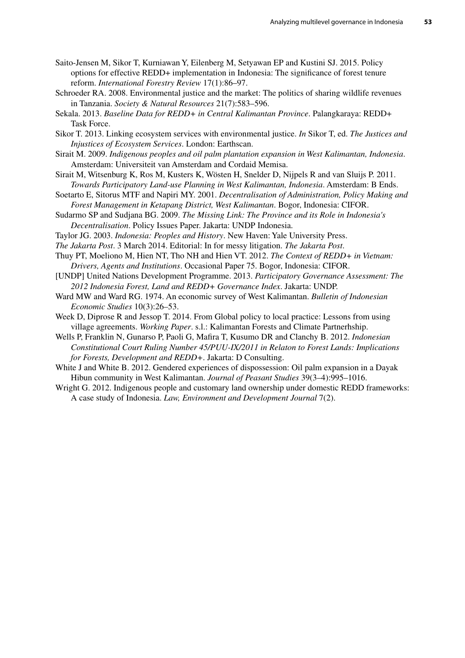- Saito-Jensen M, Sikor T, Kurniawan Y, Eilenberg M, Setyawan EP and Kustini SJ. 2015. Policy options for effective REDD+ implementation in Indonesia: The significance of forest tenure reform. *International Forestry Review* 17(1):86–97.
- Schroeder RA. 2008. Environmental justice and the market: The politics of sharing wildlife revenues in Tanzania. *Society & Natural Resources* 21(7):583–596.
- Sekala. 2013. *Baseline Data for REDD+ in Central Kalimantan Province*. Palangkaraya: REDD+ Task Force.
- Sikor T. 2013. Linking ecosystem services with environmental justice. *In* Sikor T, ed. *The Justices and Injustices of Ecosystem Services*. London: Earthscan.
- Sirait M. 2009. *Indigenous peoples and oil palm plantation expansion in West Kalimantan, Indonesia*. Amsterdam: Universiteit van Amsterdam and Cordaid Memisa.
- Sirait M, Witsenburg K, Ros M, Kusters K, Wösten H, Snelder D, Nijpels R and van Sluijs P. 2011. *Towards Participatory Land-use Planning in West Kalimantan, Indonesia*. Amsterdam: B Ends.
- Soetarto E, Sitorus MTF and Napiri MY. 2001. *Decentralisation of Administration, Policy Making and Forest Management in Ketapang District, West Kalimantan*. Bogor, Indonesia: CIFOR.
- Sudarmo SP and Sudjana BG. 2009. *The Missing Link: The Province and its Role in Indonesia's Decentralisation*. Policy Issues Paper. Jakarta: UNDP Indonesia.
- Taylor JG. 2003. *Indonesia: Peoples and History*. New Haven: Yale University Press.
- *The Jakarta Post*. 3 March 2014. Editorial: In for messy litigation. *The Jakarta Post*.
- Thuy PT, Moeliono M, Hien NT, Tho NH and Hien VT. 2012. *The Context of REDD+ in Vietnam: Drivers, Agents and Institutions*. Occasional Paper 75. Bogor, Indonesia: CIFOR.
- [UNDP] United Nations Development Programme. 2013. *Participatory Governance Assessment: The 2012 Indonesia Forest, Land and REDD+ Governance Index*. Jakarta: UNDP.
- Ward MW and Ward RG. 1974. An economic survey of West Kalimantan. *Bulletin of Indonesian Economic Studies* 10(3):26–53.
- Week D, Diprose R and Jessop T. 2014. From Global policy to local practice: Lessons from using village agreements. *Working Paper*. s.l.: Kalimantan Forests and Climate Partnerhship.
- Wells P, Franklin N, Gunarso P, Paoli G, Mafira T, Kusumo DR and Clanchy B. 2012. *Indonesian Constitutional Court Ruling Number 45/PUU-IX/2011 in Relaton to Forest Lands: Implications for Forests, Development and REDD+*. Jakarta: D Consulting.
- White J and White B. 2012. Gendered experiences of dispossession: Oil palm expansion in a Dayak Hibun community in West Kalimantan. *Journal of Peasant Studies* 39(3–4):995–1016.
- Wright G. 2012. Indigenous people and customary land ownership under domestic REDD frameworks: A case study of Indonesia. *Law, Environment and Development Journal* 7(2).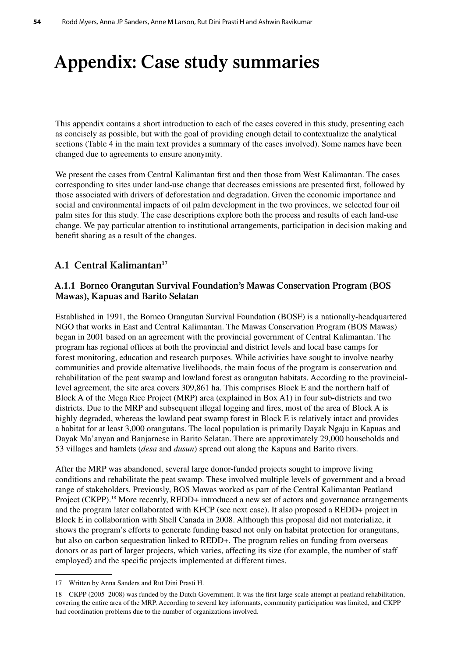# **Appendix: Case study summaries**

This appendix contains a short introduction to each of the cases covered in this study, presenting each as concisely as possible, but with the goal of providing enough detail to contextualize the analytical sections (Table 4 in the main text provides a summary of the cases involved). Some names have been changed due to agreements to ensure anonymity.

We present the cases from Central Kalimantan first and then those from West Kalimantan. The cases corresponding to sites under land-use change that decreases emissions are presented first, followed by those associated with drivers of deforestation and degradation. Given the economic importance and social and environmental impacts of oil palm development in the two provinces, we selected four oil palm sites for this study. The case descriptions explore both the process and results of each land-use change. We pay particular attention to institutional arrangements, participation in decision making and benefit sharing as a result of the changes.

# **A.1 Central Kalimantan17**

## **A.1.1 Borneo Orangutan Survival Foundation's Mawas Conservation Program (BOS Mawas), Kapuas and Barito Selatan**

Established in 1991, the Borneo Orangutan Survival Foundation (BOSF) is a nationally-headquartered NGO that works in East and Central Kalimantan. The Mawas Conservation Program (BOS Mawas) began in 2001 based on an agreement with the provincial government of Central Kalimantan. The program has regional offices at both the provincial and district levels and local base camps for forest monitoring, education and research purposes. While activities have sought to involve nearby communities and provide alternative livelihoods, the main focus of the program is conservation and rehabilitation of the peat swamp and lowland forest as orangutan habitats. According to the provinciallevel agreement, the site area covers 309,861 ha. This comprises Block E and the northern half of Block A of the Mega Rice Project (MRP) area (explained in Box A1) in four sub-districts and two districts. Due to the MRP and subsequent illegal logging and fires, most of the area of Block A is highly degraded, whereas the lowland peat swamp forest in Block E is relatively intact and provides a habitat for at least 3,000 orangutans. The local population is primarily Dayak Ngaju in Kapuas and Dayak Ma'anyan and Banjarnese in Barito Selatan. There are approximately 29,000 households and 53 villages and hamlets (*desa* and *dusun*) spread out along the Kapuas and Barito rivers.

After the MRP was abandoned, several large donor-funded projects sought to improve living conditions and rehabilitate the peat swamp. These involved multiple levels of government and a broad range of stakeholders. Previously, BOS Mawas worked as part of the Central Kalimantan Peatland Project (CKPP).<sup>18</sup> More recently, REDD+ introduced a new set of actors and governance arrangements and the program later collaborated with KFCP (see next case). It also proposed a REDD+ project in Block E in collaboration with Shell Canada in 2008. Although this proposal did not materialize, it shows the program's efforts to generate funding based not only on habitat protection for orangutans, but also on carbon sequestration linked to REDD+. The program relies on funding from overseas donors or as part of larger projects, which varies, affecting its size (for example, the number of staff employed) and the specific projects implemented at different times.

<sup>17</sup> Written by Anna Sanders and Rut Dini Prasti H.

<sup>18</sup> CKPP (2005–2008) was funded by the Dutch Government. It was the first large-scale attempt at peatland rehabilitation, covering the entire area of the MRP. According to several key informants, community participation was limited, and CKPP had coordination problems due to the number of organizations involved.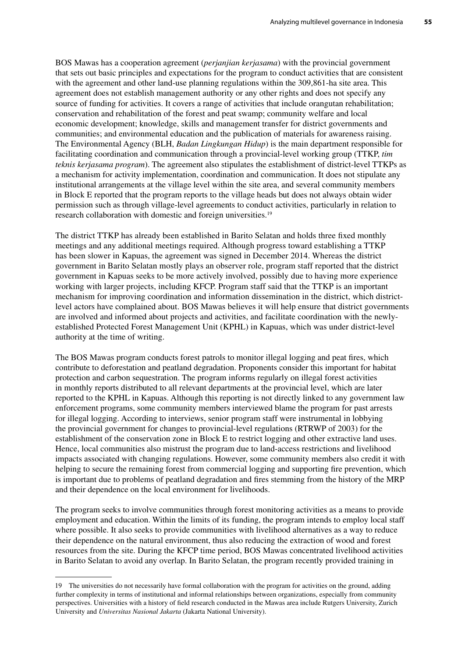BOS Mawas has a cooperation agreement (*perjanjian kerjasama*) with the provincial government that sets out basic principles and expectations for the program to conduct activities that are consistent with the agreement and other land-use planning regulations within the 309,861-ha site area. This agreement does not establish management authority or any other rights and does not specify any source of funding for activities. It covers a range of activities that include orangutan rehabilitation; conservation and rehabilitation of the forest and peat swamp; community welfare and local economic development; knowledge, skills and management transfer for district governments and communities; and environmental education and the publication of materials for awareness raising. The Environmental Agency (BLH, *Badan Lingkungan Hidup*) is the main department responsible for facilitating coordination and communication through a provincial-level working group (TTKP, *tim teknis kerjasama program*). The agreement also stipulates the establishment of district-level TTKPs as a mechanism for activity implementation, coordination and communication. It does not stipulate any institutional arrangements at the village level within the site area, and several community members in Block E reported that the program reports to the village heads but does not always obtain wider permission such as through village-level agreements to conduct activities, particularly in relation to research collaboration with domestic and foreign universities.19

The district TTKP has already been established in Barito Selatan and holds three fixed monthly meetings and any additional meetings required. Although progress toward establishing a TTKP has been slower in Kapuas, the agreement was signed in December 2014. Whereas the district government in Barito Selatan mostly plays an observer role, program staff reported that the district government in Kapuas seeks to be more actively involved, possibly due to having more experience working with larger projects, including KFCP. Program staff said that the TTKP is an important mechanism for improving coordination and information dissemination in the district, which districtlevel actors have complained about. BOS Mawas believes it will help ensure that district governments are involved and informed about projects and activities, and facilitate coordination with the newlyestablished Protected Forest Management Unit (KPHL) in Kapuas, which was under district-level authority at the time of writing.

The BOS Mawas program conducts forest patrols to monitor illegal logging and peat fires, which contribute to deforestation and peatland degradation. Proponents consider this important for habitat protection and carbon sequestration. The program informs regularly on illegal forest activities in monthly reports distributed to all relevant departments at the provincial level, which are later reported to the KPHL in Kapuas. Although this reporting is not directly linked to any government law enforcement programs, some community members interviewed blame the program for past arrests for illegal logging. According to interviews, senior program staff were instrumental in lobbying the provincial government for changes to provincial-level regulations (RTRWP of 2003) for the establishment of the conservation zone in Block E to restrict logging and other extractive land uses. Hence, local communities also mistrust the program due to land-access restrictions and livelihood impacts associated with changing regulations. However, some community members also credit it with helping to secure the remaining forest from commercial logging and supporting fire prevention, which is important due to problems of peatland degradation and fires stemming from the history of the MRP and their dependence on the local environment for livelihoods.

The program seeks to involve communities through forest monitoring activities as a means to provide employment and education. Within the limits of its funding, the program intends to employ local staff where possible. It also seeks to provide communities with livelihood alternatives as a way to reduce their dependence on the natural environment, thus also reducing the extraction of wood and forest resources from the site. During the KFCP time period, BOS Mawas concentrated livelihood activities in Barito Selatan to avoid any overlap. In Barito Selatan, the program recently provided training in

<sup>19</sup> The universities do not necessarily have formal collaboration with the program for activities on the ground, adding further complexity in terms of institutional and informal relationships between organizations, especially from community perspectives. Universities with a history of field research conducted in the Mawas area include Rutgers University, Zurich University and *Universitas Nasional Jakarta* (Jakarta National University).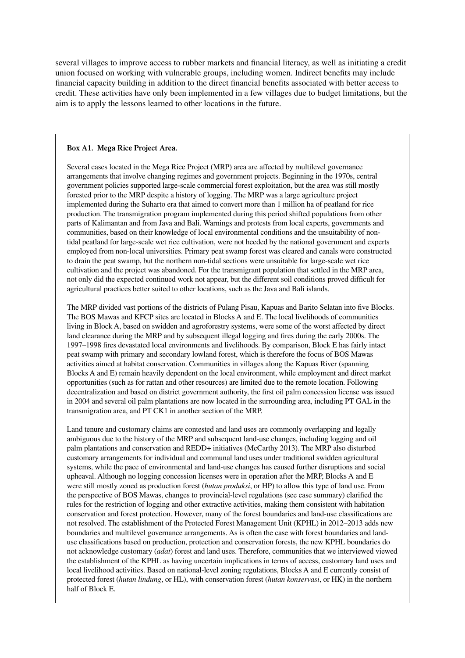several villages to improve access to rubber markets and financial literacy, as well as initiating a credit union focused on working with vulnerable groups, including women. Indirect benefits may include financial capacity building in addition to the direct financial benefits associated with better access to credit. These activities have only been implemented in a few villages due to budget limitations, but the aim is to apply the lessons learned to other locations in the future.

#### **Box A1. Mega Rice Project Area.**

Several cases located in the Mega Rice Project (MRP) area are affected by multilevel governance arrangements that involve changing regimes and government projects. Beginning in the 1970s, central government policies supported large-scale commercial forest exploitation, but the area was still mostly forested prior to the MRP despite a history of logging. The MRP was a large agriculture project implemented during the Suharto era that aimed to convert more than 1 million ha of peatland for rice production. The transmigration program implemented during this period shifted populations from other parts of Kalimantan and from Java and Bali. Warnings and protests from local experts, governments and communities, based on their knowledge of local environmental conditions and the unsuitability of nontidal peatland for large-scale wet rice cultivation, were not heeded by the national government and experts employed from non-local universities. Primary peat swamp forest was cleared and canals were constructed to drain the peat swamp, but the northern non-tidal sections were unsuitable for large-scale wet rice cultivation and the project was abandoned. For the transmigrant population that settled in the MRP area, not only did the expected continued work not appear, but the different soil conditions proved difficult for agricultural practices better suited to other locations, such as the Java and Bali islands.

The MRP divided vast portions of the districts of Pulang Pisau, Kapuas and Barito Selatan into five Blocks. The BOS Mawas and KFCP sites are located in Blocks A and E. The local livelihoods of communities living in Block A, based on swidden and agroforestry systems, were some of the worst affected by direct land clearance during the MRP and by subsequent illegal logging and fires during the early 2000s. The 1997–1998 fires devastated local environments and livelihoods. By comparison, Block E has fairly intact peat swamp with primary and secondary lowland forest, which is therefore the focus of BOS Mawas activities aimed at habitat conservation. Communities in villages along the Kapuas River (spanning Blocks A and E) remain heavily dependent on the local environment, while employment and direct market opportunities (such as for rattan and other resources) are limited due to the remote location. Following decentralization and based on district government authority, the first oil palm concession license was issued in 2004 and several oil palm plantations are now located in the surrounding area, including PT GAL in the transmigration area, and PT CK1 in another section of the MRP.

Land tenure and customary claims are contested and land uses are commonly overlapping and legally ambiguous due to the history of the MRP and subsequent land-use changes, including logging and oil palm plantations and conservation and REDD+ initiatives (McCarthy 2013). The MRP also disturbed customary arrangements for individual and communal land uses under traditional swidden agricultural systems, while the pace of environmental and land-use changes has caused further disruptions and social upheaval. Although no logging concession licenses were in operation after the MRP, Blocks A and E were still mostly zoned as production forest (*hutan produksi*, or HP) to allow this type of land use. From the perspective of BOS Mawas, changes to provincial-level regulations (see case summary) clarified the rules for the restriction of logging and other extractive activities, making them consistent with habitation conservation and forest protection. However, many of the forest boundaries and land-use classifications are not resolved. The establishment of the Protected Forest Management Unit (KPHL) in 2012–2013 adds new boundaries and multilevel governance arrangements. As is often the case with forest boundaries and landuse classifications based on production, protection and conservation forests, the new KPHL boundaries do not acknowledge customary (*adat*) forest and land uses. Therefore, communities that we interviewed viewed the establishment of the KPHL as having uncertain implications in terms of access, customary land uses and local livelihood activities. Based on national-level zoning regulations, Blocks A and E currently consist of protected forest (*hutan lindung*, or HL), with conservation forest (*hutan konservasi*, or HK) in the northern half of Block E.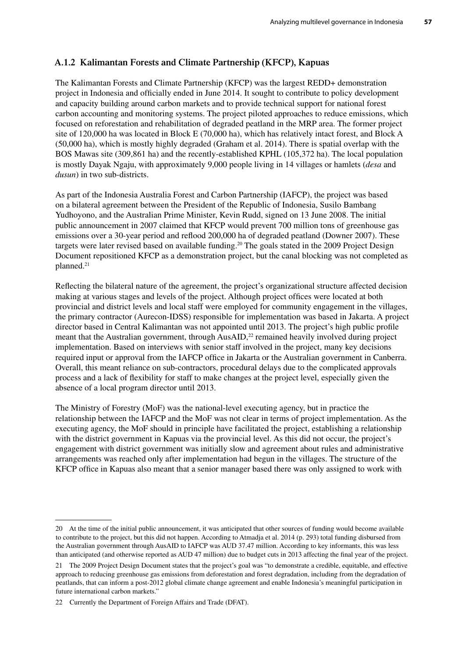## **A.1.2 Kalimantan Forests and Climate Partnership (KFCP), Kapuas**

The Kalimantan Forests and Climate Partnership (KFCP) was the largest REDD+ demonstration project in Indonesia and officially ended in June 2014. It sought to contribute to policy development and capacity building around carbon markets and to provide technical support for national forest carbon accounting and monitoring systems. The project piloted approaches to reduce emissions, which focused on reforestation and rehabilitation of degraded peatland in the MRP area. The former project site of 120,000 ha was located in Block E (70,000 ha), which has relatively intact forest, and Block A (50,000 ha), which is mostly highly degraded (Graham et al. 2014). There is spatial overlap with the BOS Mawas site (309,861 ha) and the recently-established KPHL (105,372 ha). The local population is mostly Dayak Ngaju, with approximately 9,000 people living in 14 villages or hamlets (*desa* and *dusun*) in two sub-districts.

As part of the Indonesia Australia Forest and Carbon Partnership (IAFCP), the project was based on a bilateral agreement between the President of the Republic of Indonesia, Susilo Bambang Yudhoyono, and the Australian Prime Minister, Kevin Rudd, signed on 13 June 2008. The initial public announcement in 2007 claimed that KFCP would prevent 700 million tons of greenhouse gas emissions over a 30-year period and reflood 200,000 ha of degraded peatland (Downer 2007). These targets were later revised based on available funding.<sup>20</sup> The goals stated in the 2009 Project Design Document repositioned KFCP as a demonstration project, but the canal blocking was not completed as planned.21

Reflecting the bilateral nature of the agreement, the project's organizational structure affected decision making at various stages and levels of the project. Although project offices were located at both provincial and district levels and local staff were employed for community engagement in the villages, the primary contractor (Aurecon-IDSS) responsible for implementation was based in Jakarta. A project director based in Central Kalimantan was not appointed until 2013. The project's high public profile meant that the Australian government, through AusAID,<sup>22</sup> remained heavily involved during project implementation. Based on interviews with senior staff involved in the project, many key decisions required input or approval from the IAFCP office in Jakarta or the Australian government in Canberra. Overall, this meant reliance on sub-contractors, procedural delays due to the complicated approvals process and a lack of flexibility for staff to make changes at the project level, especially given the absence of a local program director until 2013.

The Ministry of Forestry (MoF) was the national-level executing agency, but in practice the relationship between the IAFCP and the MoF was not clear in terms of project implementation. As the executing agency, the MoF should in principle have facilitated the project, establishing a relationship with the district government in Kapuas via the provincial level. As this did not occur, the project's engagement with district government was initially slow and agreement about rules and administrative arrangements was reached only after implementation had begun in the villages. The structure of the KFCP office in Kapuas also meant that a senior manager based there was only assigned to work with

<sup>20</sup> At the time of the initial public announcement, it was anticipated that other sources of funding would become available to contribute to the project, but this did not happen. According to Atmadja et al. 2014 (p. 293) total funding disbursed from the Australian government through AusAID to IAFCP was AUD 37.47 million. According to key informants, this was less than anticipated (and otherwise reported as AUD 47 million) due to budget cuts in 2013 affecting the final year of the project.

<sup>21</sup> The 2009 Project Design Document states that the project's goal was "to demonstrate a credible, equitable, and effective approach to reducing greenhouse gas emissions from deforestation and forest degradation, including from the degradation of peatlands, that can inform a post-2012 global climate change agreement and enable Indonesia's meaningful participation in future international carbon markets."

<sup>22</sup> Currently the Department of Foreign Affairs and Trade (DFAT).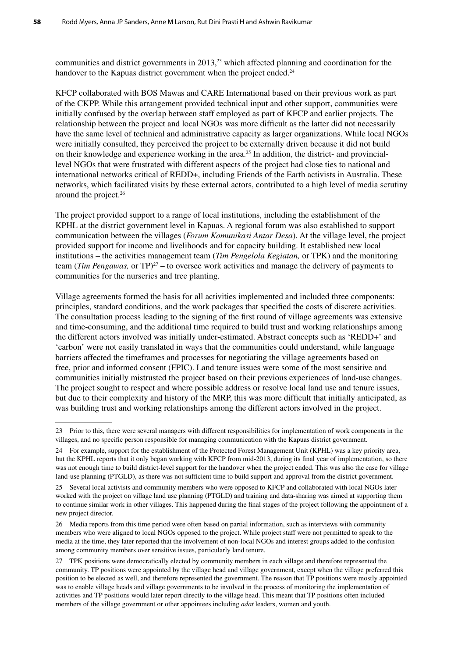communities and district governments in 2013,<sup>23</sup> which affected planning and coordination for the handover to the Kapuas district government when the project ended.<sup>24</sup>

KFCP collaborated with BOS Mawas and CARE International based on their previous work as part of the CKPP. While this arrangement provided technical input and other support, communities were initially confused by the overlap between staff employed as part of KFCP and earlier projects. The relationship between the project and local NGOs was more difficult as the latter did not necessarily have the same level of technical and administrative capacity as larger organizations. While local NGOs were initially consulted, they perceived the project to be externally driven because it did not build on their knowledge and experience working in the area.25 In addition, the district- and provinciallevel NGOs that were frustrated with different aspects of the project had close ties to national and international networks critical of REDD+, including Friends of the Earth activists in Australia. These networks, which facilitated visits by these external actors, contributed to a high level of media scrutiny around the project.26

The project provided support to a range of local institutions, including the establishment of the KPHL at the district government level in Kapuas. A regional forum was also established to support communication between the villages (*Forum Komunikasi Antar Desa*). At the village level, the project provided support for income and livelihoods and for capacity building. It established new local institutions – the activities management team (*Tim Pengelola Kegiatan,* or TPK) and the monitoring team (*Tim Pengawas*, or TP)<sup>27</sup> – to oversee work activities and manage the delivery of payments to communities for the nurseries and tree planting.

Village agreements formed the basis for all activities implemented and included three components: principles, standard conditions, and the work packages that specified the costs of discrete activities. The consultation process leading to the signing of the first round of village agreements was extensive and time-consuming, and the additional time required to build trust and working relationships among the different actors involved was initially under-estimated. Abstract concepts such as 'REDD+' and 'carbon' were not easily translated in ways that the communities could understand, while language barriers affected the timeframes and processes for negotiating the village agreements based on free, prior and informed consent (FPIC). Land tenure issues were some of the most sensitive and communities initially mistrusted the project based on their previous experiences of land-use changes. The project sought to respect and where possible address or resolve local land use and tenure issues, but due to their complexity and history of the MRP, this was more difficult that initially anticipated, as was building trust and working relationships among the different actors involved in the project.

<sup>23</sup> Prior to this, there were several managers with different responsibilities for implementation of work components in the villages, and no specific person responsible for managing communication with the Kapuas district government.

<sup>24</sup> For example, support for the establishment of the Protected Forest Management Unit (KPHL) was a key priority area, but the KPHL reports that it only began working with KFCP from mid-2013, during its final year of implementation, so there was not enough time to build district-level support for the handover when the project ended. This was also the case for village land-use planning (PTGLD), as there was not sufficient time to build support and approval from the district government.

<sup>25</sup> Several local activists and community members who were opposed to KFCP and collaborated with local NGOs later worked with the project on village land use planning (PTGLD) and training and data-sharing was aimed at supporting them to continue similar work in other villages. This happened during the final stages of the project following the appointment of a new project director.

<sup>26</sup> Media reports from this time period were often based on partial information, such as interviews with community members who were aligned to local NGOs opposed to the project. While project staff were not permitted to speak to the media at the time, they later reported that the involvement of non-local NGOs and interest groups added to the confusion among community members over sensitive issues, particularly land tenure.

<sup>27</sup> TPK positions were democratically elected by community members in each village and therefore represented the community. TP positions were appointed by the village head and village government, except when the village preferred this position to be elected as well, and therefore represented the government. The reason that TP positions were mostly appointed was to enable village heads and village governments to be involved in the process of monitoring the implementation of activities and TP positions would later report directly to the village head. This meant that TP positions often included members of the village government or other appointees including *adat* leaders, women and youth.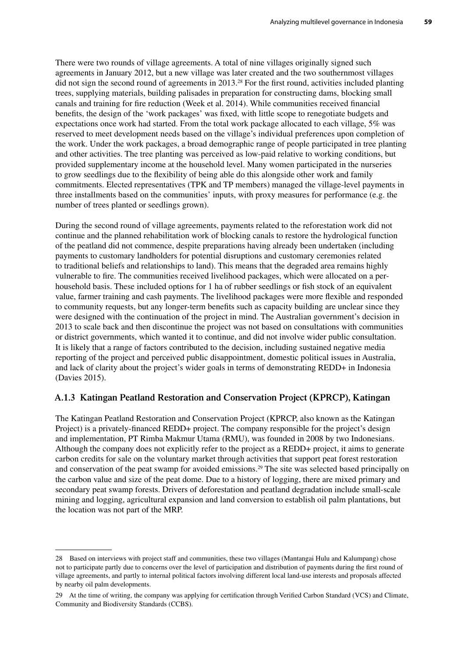There were two rounds of village agreements. A total of nine villages originally signed such agreements in January 2012, but a new village was later created and the two southernmost villages did not sign the second round of agreements in 2013.28 For the first round, activities included planting trees, supplying materials, building palisades in preparation for constructing dams, blocking small canals and training for fire reduction (Week et al. 2014). While communities received financial benefits, the design of the 'work packages' was fixed, with little scope to renegotiate budgets and expectations once work had started. From the total work package allocated to each village, 5% was reserved to meet development needs based on the village's individual preferences upon completion of the work. Under the work packages, a broad demographic range of people participated in tree planting and other activities. The tree planting was perceived as low-paid relative to working conditions, but provided supplementary income at the household level. Many women participated in the nurseries to grow seedlings due to the flexibility of being able do this alongside other work and family commitments. Elected representatives (TPK and TP members) managed the village-level payments in three installments based on the communities' inputs, with proxy measures for performance (e.g. the number of trees planted or seedlings grown).

During the second round of village agreements, payments related to the reforestation work did not continue and the planned rehabilitation work of blocking canals to restore the hydrological function of the peatland did not commence, despite preparations having already been undertaken (including payments to customary landholders for potential disruptions and customary ceremonies related to traditional beliefs and relationships to land). This means that the degraded area remains highly vulnerable to fire. The communities received livelihood packages, which were allocated on a perhousehold basis. These included options for 1 ha of rubber seedlings or fish stock of an equivalent value, farmer training and cash payments. The livelihood packages were more flexible and responded to community requests, but any longer-term benefits such as capacity building are unclear since they were designed with the continuation of the project in mind. The Australian government's decision in 2013 to scale back and then discontinue the project was not based on consultations with communities or district governments, which wanted it to continue, and did not involve wider public consultation. It is likely that a range of factors contributed to the decision, including sustained negative media reporting of the project and perceived public disappointment, domestic political issues in Australia, and lack of clarity about the project's wider goals in terms of demonstrating REDD+ in Indonesia (Davies 2015).

## **A.1.3 Katingan Peatland Restoration and Conservation Project (KPRCP), Katingan**

The Katingan Peatland Restoration and Conservation Project (KPRCP, also known as the Katingan Project) is a privately-financed REDD+ project. The company responsible for the project's design and implementation, PT Rimba Makmur Utama (RMU), was founded in 2008 by two Indonesians. Although the company does not explicitly refer to the project as a REDD+ project, it aims to generate carbon credits for sale on the voluntary market through activities that support peat forest restoration and conservation of the peat swamp for avoided emissions.<sup>29</sup> The site was selected based principally on the carbon value and size of the peat dome. Due to a history of logging, there are mixed primary and secondary peat swamp forests. Drivers of deforestation and peatland degradation include small-scale mining and logging, agricultural expansion and land conversion to establish oil palm plantations, but the location was not part of the MRP.

<sup>28</sup> Based on interviews with project staff and communities, these two villages (Mantangai Hulu and Kalumpang) chose not to participate partly due to concerns over the level of participation and distribution of payments during the first round of village agreements, and partly to internal political factors involving different local land-use interests and proposals affected by nearby oil palm developments.

<sup>29</sup> At the time of writing, the company was applying for certification through Verified Carbon Standard (VCS) and Climate, Community and Biodiversity Standards (CCBS).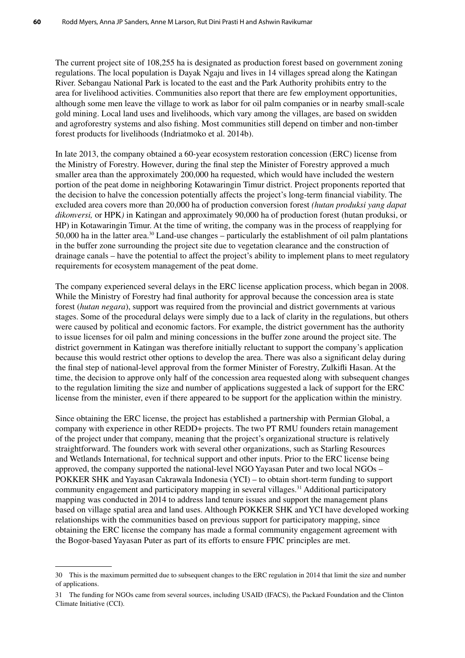The current project site of 108,255 ha is designated as production forest based on government zoning regulations. The local population is Dayak Ngaju and lives in 14 villages spread along the Katingan River. Sebangau National Park is located to the east and the Park Authority prohibits entry to the area for livelihood activities. Communities also report that there are few employment opportunities, although some men leave the village to work as labor for oil palm companies or in nearby small-scale gold mining. Local land uses and livelihoods, which vary among the villages, are based on swidden and agroforestry systems and also fishing. Most communities still depend on timber and non-timber forest products for livelihoods (Indriatmoko et al. 2014b).

In late 2013, the company obtained a 60-year ecosystem restoration concession (ERC) license from the Ministry of Forestry. However, during the final step the Minister of Forestry approved a much smaller area than the approximately 200,000 ha requested, which would have included the western portion of the peat dome in neighboring Kotawaringin Timur district. Project proponents reported that the decision to halve the concession potentially affects the project's long-term financial viability. The excluded area covers more than 20,000 ha of production conversion forest *(hutan produksi yang dapat dikonversi,* or HPK*)* in Katingan and approximately 90,000 ha of production forest (hutan produksi, or HP) in Kotawaringin Timur. At the time of writing, the company was in the process of reapplying for 50,000 ha in the latter area.30 Land-use changes – particularly the establishment of oil palm plantations in the buffer zone surrounding the project site due to vegetation clearance and the construction of drainage canals – have the potential to affect the project's ability to implement plans to meet regulatory requirements for ecosystem management of the peat dome.

The company experienced several delays in the ERC license application process, which began in 2008. While the Ministry of Forestry had final authority for approval because the concession area is state forest (*hutan negara*), support was required from the provincial and district governments at various stages. Some of the procedural delays were simply due to a lack of clarity in the regulations, but others were caused by political and economic factors. For example, the district government has the authority to issue licenses for oil palm and mining concessions in the buffer zone around the project site. The district government in Katingan was therefore initially reluctant to support the company's application because this would restrict other options to develop the area. There was also a significant delay during the final step of national-level approval from the former Minister of Forestry, Zulkifli Hasan. At the time, the decision to approve only half of the concession area requested along with subsequent changes to the regulation limiting the size and number of applications suggested a lack of support for the ERC license from the minister, even if there appeared to be support for the application within the ministry.

Since obtaining the ERC license, the project has established a partnership with Permian Global, a company with experience in other REDD+ projects. The two PT RMU founders retain management of the project under that company, meaning that the project's organizational structure is relatively straightforward. The founders work with several other organizations, such as Starling Resources and Wetlands International, for technical support and other inputs. Prior to the ERC license being approved, the company supported the national-level NGO Yayasan Puter and two local NGOs – POKKER SHK and Yayasan Cakrawala Indonesia (YCI) – to obtain short-term funding to support community engagement and participatory mapping in several villages.31 Additional participatory mapping was conducted in 2014 to address land tenure issues and support the management plans based on village spatial area and land uses. Although POKKER SHK and YCI have developed working relationships with the communities based on previous support for participatory mapping, since obtaining the ERC license the company has made a formal community engagement agreement with the Bogor-based Yayasan Puter as part of its efforts to ensure FPIC principles are met.

<sup>30</sup> This is the maximum permitted due to subsequent changes to the ERC regulation in 2014 that limit the size and number of applications.

<sup>31</sup> The funding for NGOs came from several sources, including USAID (IFACS), the Packard Foundation and the Clinton Climate Initiative (CCI).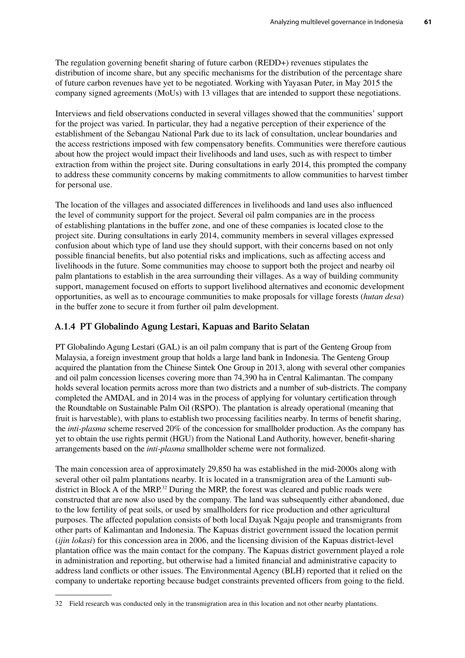The regulation governing benefit sharing of future carbon (REDD+) revenues stipulates the distribution of income share, but any specific mechanisms for the distribution of the percentage share of future carbon revenues have yet to be negotiated. Working with Yayasan Puter, in May 2015 the company signed agreements (MoUs) with 13 villages that are intended to support these negotiations.

Interviews and field observations conducted in several villages showed that the communities' support for the project was varied. In particular, they had a negative perception of their experience of the establishment of the Sebangau National Park due to its lack of consultation, unclear boundaries and the access restrictions imposed with few compensatory benefits. Communities were therefore cautious about how the project would impact their livelihoods and land uses, such as with respect to timber extraction from within the project site. During consultations in early 2014, this prompted the company to address these community concerns by making commitments to allow communities to harvest timber for personal use.

The location of the villages and associated differences in livelihoods and land uses also influenced the level of community support for the project. Several oil palm companies are in the process of establishing plantations in the buffer zone, and one of these companies is located close to the project site. During consultations in early 2014, community members in several villages expressed confusion about which type of land use they should support, with their concerns based on not only possible financial benefits, but also potential risks and implications, such as affecting access and livelihoods in the future. Some communities may choose to support both the project and nearby oil palm plantations to establish in the area surrounding their villages. As a way of building community support, management focused on efforts to support livelihood alternatives and economic development opportunities, as well as to encourage communities to make proposals for village forests (*hutan desa*) in the buffer zone to secure it from further oil palm development.

## **A.1.4 PT Globalindo Agung Lestari, Kapuas and Barito Selatan**

PT Globalindo Agung Lestari (GAL) is an oil palm company that is part of the Genteng Group from Malaysia, a foreign investment group that holds a large land bank in Indonesia. The Genteng Group acquired the plantation from the Chinese Sintek One Group in 2013, along with several other companies and oil palm concession licenses covering more than 74,390 ha in Central Kalimantan. The company holds several location permits across more than two districts and a number of sub-districts. The company completed the AMDAL and in 2014 was in the process of applying for voluntary certification through the Roundtable on Sustainable Palm Oil (RSPO). The plantation is already operational (meaning that fruit is harvestable), with plans to establish two processing facilities nearby. In terms of benefit sharing, the *inti-plasma* scheme reserved 20% of the concession for smallholder production. As the company has yet to obtain the use rights permit (HGU) from the National Land Authority, however, benefit-sharing arrangements based on the *inti-plasma* smallholder scheme were not formalized.

The main concession area of approximately 29,850 ha was established in the mid-2000s along with several other oil palm plantations nearby. It is located in a transmigration area of the Lamunti subdistrict in Block A of the MRP.<sup>32</sup> During the MRP, the forest was cleared and public roads were constructed that are now also used by the company. The land was subsequently either abandoned, due to the low fertility of peat soils, or used by smallholders for rice production and other agricultural purposes. The affected population consists of both local Dayak Ngaju people and transmigrants from other parts of Kalimantan and Indonesia. The Kapuas district government issued the location permit (*ijin lokasi*) for this concession area in 2006, and the licensing division of the Kapuas district-level plantation office was the main contact for the company. The Kapuas district government played a role in administration and reporting, but otherwise had a limited financial and administrative capacity to address land conflicts or other issues. The Environmental Agency (BLH) reported that it relied on the company to undertake reporting because budget constraints prevented officers from going to the field.

<sup>32</sup> Field research was conducted only in the transmigration area in this location and not other nearby plantations.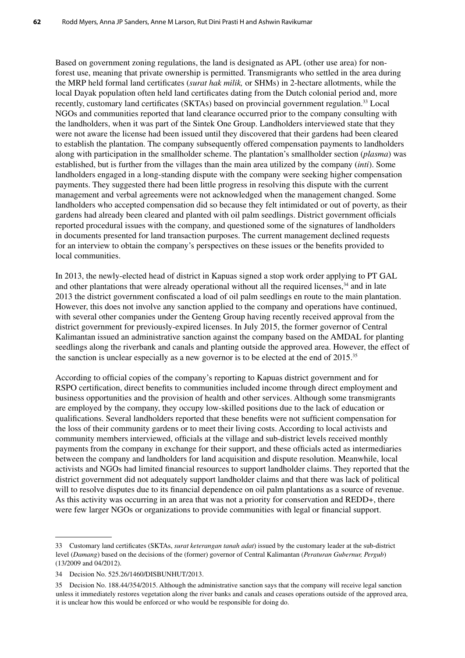Based on government zoning regulations, the land is designated as APL (other use area) for nonforest use, meaning that private ownership is permitted. Transmigrants who settled in the area during the MRP held formal land certificates (*surat hak milik,* or SHMs) in 2-hectare allotments, while the local Dayak population often held land certificates dating from the Dutch colonial period and, more recently, customary land certificates (SKTAs) based on provincial government regulation.33 Local NGOs and communities reported that land clearance occurred prior to the company consulting with the landholders, when it was part of the Sintek One Group. Landholders interviewed state that they were not aware the license had been issued until they discovered that their gardens had been cleared to establish the plantation. The company subsequently offered compensation payments to landholders along with participation in the smallholder scheme. The plantation's smallholder section (*plasma*) was established, but is further from the villages than the main area utilized by the company (*inti*). Some landholders engaged in a long-standing dispute with the company were seeking higher compensation payments. They suggested there had been little progress in resolving this dispute with the current management and verbal agreements were not acknowledged when the management changed. Some landholders who accepted compensation did so because they felt intimidated or out of poverty, as their gardens had already been cleared and planted with oil palm seedlings. District government officials reported procedural issues with the company, and questioned some of the signatures of landholders in documents presented for land transaction purposes. The current management declined requests for an interview to obtain the company's perspectives on these issues or the benefits provided to local communities.

In 2013, the newly-elected head of district in Kapuas signed a stop work order applying to PT GAL and other plantations that were already operational without all the required licenses,<sup>34</sup> and in late 2013 the district government confiscated a load of oil palm seedlings en route to the main plantation. However, this does not involve any sanction applied to the company and operations have continued, with several other companies under the Genteng Group having recently received approval from the district government for previously-expired licenses. In July 2015, the former governor of Central Kalimantan issued an administrative sanction against the company based on the AMDAL for planting seedlings along the riverbank and canals and planting outside the approved area. However, the effect of the sanction is unclear especially as a new governor is to be elected at the end of 2015.35

According to official copies of the company's reporting to Kapuas district government and for RSPO certification, direct benefits to communities included income through direct employment and business opportunities and the provision of health and other services. Although some transmigrants are employed by the company, they occupy low-skilled positions due to the lack of education or qualifications. Several landholders reported that these benefits were not sufficient compensation for the loss of their community gardens or to meet their living costs. According to local activists and community members interviewed, officials at the village and sub-district levels received monthly payments from the company in exchange for their support, and these officials acted as intermediaries between the company and landholders for land acquisition and dispute resolution. Meanwhile, local activists and NGOs had limited financial resources to support landholder claims. They reported that the district government did not adequately support landholder claims and that there was lack of political will to resolve disputes due to its financial dependence on oil palm plantations as a source of revenue. As this activity was occurring in an area that was not a priority for conservation and REDD+, there were few larger NGOs or organizations to provide communities with legal or financial support.

<sup>33</sup> Customary land certificates (SKTAs, *surat keterangan tanah adat*) issued by the customary leader at the sub-district level (*Damang*) based on the decisions of the (former) governor of Central Kalimantan (*Peraturan Gubernur, Pergub*) (13/2009 and 04/2012).

<sup>34</sup> Decision No. 525.26/1460/DISBUNHUT/2013.

<sup>35</sup> Decision No. 188.44/354/2015. Although the administrative sanction says that the company will receive legal sanction unless it immediately restores vegetation along the river banks and canals and ceases operations outside of the approved area, it is unclear how this would be enforced or who would be responsible for doing do.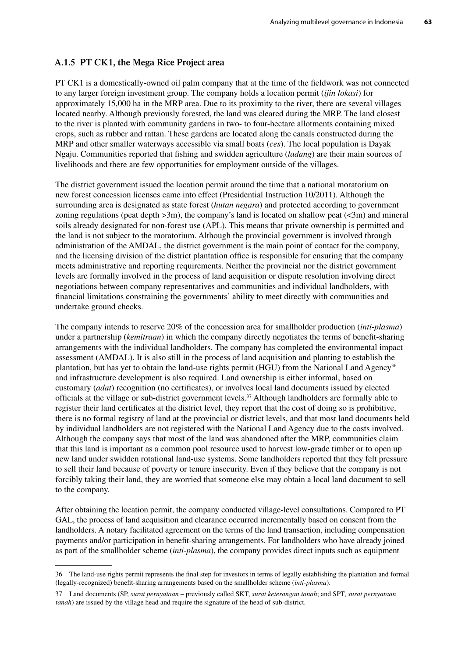## **A.1.5 PT CK1, the Mega Rice Project area**

PT CK1 is a domestically-owned oil palm company that at the time of the fieldwork was not connected to any larger foreign investment group. The company holds a location permit (*ijin lokasi*) for approximately 15,000 ha in the MRP area. Due to its proximity to the river, there are several villages located nearby. Although previously forested, the land was cleared during the MRP. The land closest to the river is planted with community gardens in two- to four-hectare allotments containing mixed crops, such as rubber and rattan. These gardens are located along the canals constructed during the MRP and other smaller waterways accessible via small boats (*ces*). The local population is Dayak Ngaju. Communities reported that fishing and swidden agriculture (*ladang*) are their main sources of livelihoods and there are few opportunities for employment outside of the villages.

The district government issued the location permit around the time that a national moratorium on new forest concession licenses came into effect (Presidential Instruction 10/2011). Although the surrounding area is designated as state forest (*hutan negara*) and protected according to government zoning regulations (peat depth  $>3m$ ), the company's land is located on shallow peat ( $<3m$ ) and mineral soils already designated for non-forest use (APL). This means that private ownership is permitted and the land is not subject to the moratorium. Although the provincial government is involved through administration of the AMDAL, the district government is the main point of contact for the company, and the licensing division of the district plantation office is responsible for ensuring that the company meets administrative and reporting requirements. Neither the provincial nor the district government levels are formally involved in the process of land acquisition or dispute resolution involving direct negotiations between company representatives and communities and individual landholders, with financial limitations constraining the governments' ability to meet directly with communities and undertake ground checks.

The company intends to reserve 20% of the concession area for smallholder production (*inti-plasma*) under a partnership (*kemitraan*) in which the company directly negotiates the terms of benefit-sharing arrangements with the individual landholders. The company has completed the environmental impact assessment (AMDAL). It is also still in the process of land acquisition and planting to establish the plantation, but has yet to obtain the land-use rights permit (HGU) from the National Land Agency<sup>36</sup> and infrastructure development is also required. Land ownership is either informal, based on customary (*adat*) recognition (no certificates), or involves local land documents issued by elected officials at the village or sub-district government levels.37 Although landholders are formally able to register their land certificates at the district level, they report that the cost of doing so is prohibitive, there is no formal registry of land at the provincial or district levels, and that most land documents held by individual landholders are not registered with the National Land Agency due to the costs involved. Although the company says that most of the land was abandoned after the MRP, communities claim that this land is important as a common pool resource used to harvest low-grade timber or to open up new land under swidden rotational land-use systems. Some landholders reported that they felt pressure to sell their land because of poverty or tenure insecurity. Even if they believe that the company is not forcibly taking their land, they are worried that someone else may obtain a local land document to sell to the company.

After obtaining the location permit, the company conducted village-level consultations. Compared to PT GAL, the process of land acquisition and clearance occurred incrementally based on consent from the landholders. A notary facilitated agreement on the terms of the land transaction, including compensation payments and/or participation in benefit-sharing arrangements. For landholders who have already joined as part of the smallholder scheme (*inti-plasma*), the company provides direct inputs such as equipment

<sup>36</sup> The land-use rights permit represents the final step for investors in terms of legally establishing the plantation and formal (legally-recognized) benefit-sharing arrangements based on the smallholder scheme (*inti-plasma*).

<sup>37</sup> Land documents (SP, *surat pernyataan* – previously called SKT, *surat keterangan tanah*; and SPT, *surat pernyataan tanah*) are issued by the village head and require the signature of the head of sub-district.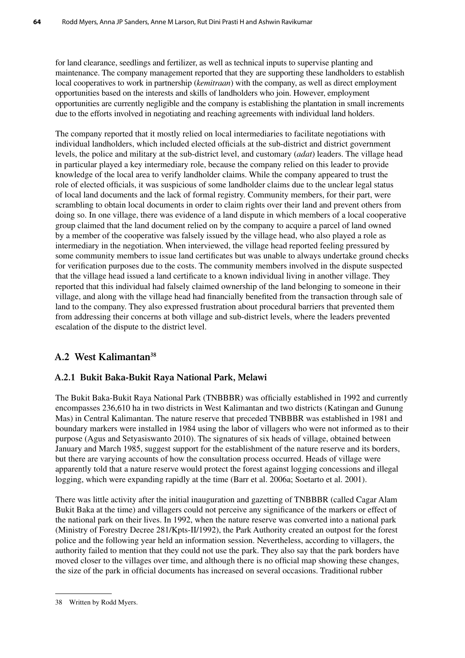for land clearance, seedlings and fertilizer, as well as technical inputs to supervise planting and maintenance. The company management reported that they are supporting these landholders to establish local cooperatives to work in partnership (*kemitraan*) with the company, as well as direct employment opportunities based on the interests and skills of landholders who join. However, employment opportunities are currently negligible and the company is establishing the plantation in small increments due to the efforts involved in negotiating and reaching agreements with individual land holders.

The company reported that it mostly relied on local intermediaries to facilitate negotiations with individual landholders, which included elected officials at the sub-district and district government levels, the police and military at the sub-district level, and customary (*adat*) leaders. The village head in particular played a key intermediary role, because the company relied on this leader to provide knowledge of the local area to verify landholder claims. While the company appeared to trust the role of elected officials, it was suspicious of some landholder claims due to the unclear legal status of local land documents and the lack of formal registry. Community members, for their part, were scrambling to obtain local documents in order to claim rights over their land and prevent others from doing so. In one village, there was evidence of a land dispute in which members of a local cooperative group claimed that the land document relied on by the company to acquire a parcel of land owned by a member of the cooperative was falsely issued by the village head, who also played a role as intermediary in the negotiation. When interviewed, the village head reported feeling pressured by some community members to issue land certificates but was unable to always undertake ground checks for verification purposes due to the costs. The community members involved in the dispute suspected that the village head issued a land certificate to a known individual living in another village. They reported that this individual had falsely claimed ownership of the land belonging to someone in their village, and along with the village head had financially benefited from the transaction through sale of land to the company. They also expressed frustration about procedural barriers that prevented them from addressing their concerns at both village and sub-district levels, where the leaders prevented escalation of the dispute to the district level.

# **A.2 West Kalimantan38**

## **A.2.1 Bukit Baka-Bukit Raya National Park, Melawi**

The Bukit Baka-Bukit Raya National Park (TNBBBR) was officially established in 1992 and currently encompasses 236,610 ha in two districts in West Kalimantan and two districts (Katingan and Gunung Mas) in Central Kalimantan. The nature reserve that preceded TNBBBR was established in 1981 and boundary markers were installed in 1984 using the labor of villagers who were not informed as to their purpose (Agus and Setyasiswanto 2010). The signatures of six heads of village, obtained between January and March 1985, suggest support for the establishment of the nature reserve and its borders, but there are varying accounts of how the consultation process occurred. Heads of village were apparently told that a nature reserve would protect the forest against logging concessions and illegal logging, which were expanding rapidly at the time (Barr et al. 2006a; Soetarto et al. 2001).

There was little activity after the initial inauguration and gazetting of TNBBBR (called Cagar Alam Bukit Baka at the time) and villagers could not perceive any significance of the markers or effect of the national park on their lives. In 1992, when the nature reserve was converted into a national park (Ministry of Forestry Decree 281/Kpts-II/1992), the Park Authority created an outpost for the forest police and the following year held an information session. Nevertheless, according to villagers, the authority failed to mention that they could not use the park. They also say that the park borders have moved closer to the villages over time, and although there is no official map showing these changes, the size of the park in official documents has increased on several occasions. Traditional rubber

<sup>38</sup> Written by Rodd Myers.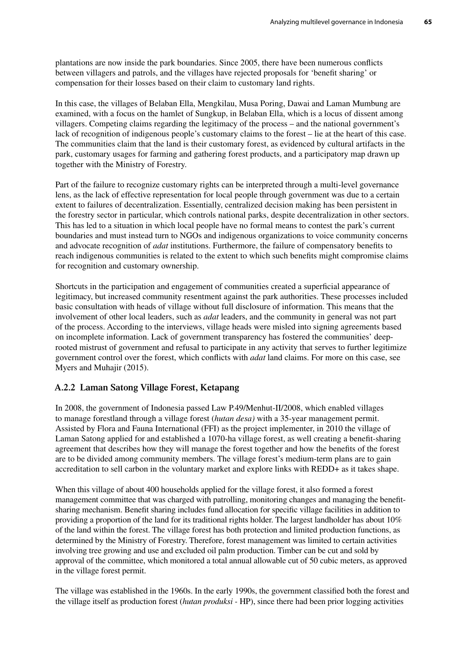plantations are now inside the park boundaries. Since 2005, there have been numerous conflicts between villagers and patrols, and the villages have rejected proposals for 'benefit sharing' or compensation for their losses based on their claim to customary land rights.

In this case, the villages of Belaban Ella, Mengkilau, Musa Poring, Dawai and Laman Mumbung are examined, with a focus on the hamlet of Sungkup, in Belaban Ella, which is a locus of dissent among villagers. Competing claims regarding the legitimacy of the process – and the national government's lack of recognition of indigenous people's customary claims to the forest – lie at the heart of this case. The communities claim that the land is their customary forest, as evidenced by cultural artifacts in the park, customary usages for farming and gathering forest products, and a participatory map drawn up together with the Ministry of Forestry.

Part of the failure to recognize customary rights can be interpreted through a multi-level governance lens, as the lack of effective representation for local people through government was due to a certain extent to failures of decentralization. Essentially, centralized decision making has been persistent in the forestry sector in particular, which controls national parks, despite decentralization in other sectors. This has led to a situation in which local people have no formal means to contest the park's current boundaries and must instead turn to NGOs and indigenous organizations to voice community concerns and advocate recognition of *adat* institutions. Furthermore, the failure of compensatory benefits to reach indigenous communities is related to the extent to which such benefits might compromise claims for recognition and customary ownership.

Shortcuts in the participation and engagement of communities created a superficial appearance of legitimacy, but increased community resentment against the park authorities. These processes included basic consultation with heads of village without full disclosure of information. This means that the involvement of other local leaders, such as *adat* leaders, and the community in general was not part of the process. According to the interviews, village heads were misled into signing agreements based on incomplete information. Lack of government transparency has fostered the communities' deeprooted mistrust of government and refusal to participate in any activity that serves to further legitimize government control over the forest, which conflicts with *adat* land claims. For more on this case, see Myers and Muhajir (2015).

### **A.2.2 Laman Satong Village Forest, Ketapang**

In 2008, the government of Indonesia passed Law P.49/Menhut-II/2008, which enabled villages to manage forestland through a village forest (*hutan desa)* with a 35-year management permit. Assisted by Flora and Fauna International (FFI) as the project implementer, in 2010 the village of Laman Satong applied for and established a 1070-ha village forest, as well creating a benefit-sharing agreement that describes how they will manage the forest together and how the benefits of the forest are to be divided among community members. The village forest's medium-term plans are to gain accreditation to sell carbon in the voluntary market and explore links with REDD+ as it takes shape.

When this village of about 400 households applied for the village forest, it also formed a forest management committee that was charged with patrolling, monitoring changes and managing the benefitsharing mechanism. Benefit sharing includes fund allocation for specific village facilities in addition to providing a proportion of the land for its traditional rights holder. The largest landholder has about 10% of the land within the forest. The village forest has both protection and limited production functions, as determined by the Ministry of Forestry. Therefore, forest management was limited to certain activities involving tree growing and use and excluded oil palm production. Timber can be cut and sold by approval of the committee, which monitored a total annual allowable cut of 50 cubic meters, as approved in the village forest permit.

The village was established in the 1960s. In the early 1990s, the government classified both the forest and the village itself as production forest (*hutan produksi -* HP), since there had been prior logging activities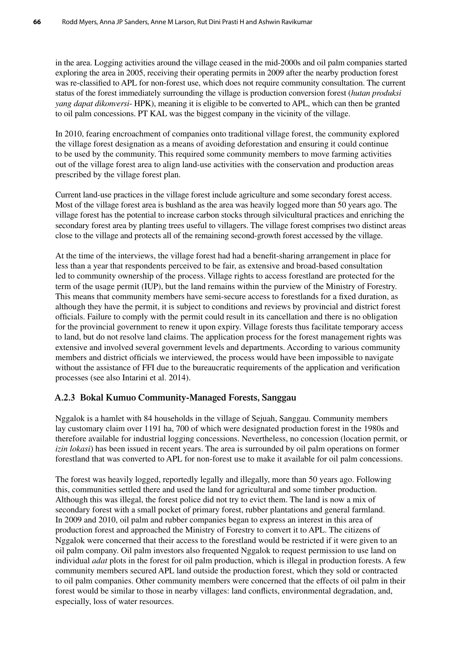in the area. Logging activities around the village ceased in the mid-2000s and oil palm companies started exploring the area in 2005, receiving their operating permits in 2009 after the nearby production forest was re-classified to APL for non-forest use, which does not require community consultation. The current status of the forest immediately surrounding the village is production conversion forest (*hutan produksi yang dapat dikonversi*- HPK), meaning it is eligible to be converted to APL, which can then be granted to oil palm concessions. PT KAL was the biggest company in the vicinity of the village.

In 2010, fearing encroachment of companies onto traditional village forest, the community explored the village forest designation as a means of avoiding deforestation and ensuring it could continue to be used by the community. This required some community members to move farming activities out of the village forest area to align land-use activities with the conservation and production areas prescribed by the village forest plan.

Current land-use practices in the village forest include agriculture and some secondary forest access. Most of the village forest area is bushland as the area was heavily logged more than 50 years ago. The village forest has the potential to increase carbon stocks through silvicultural practices and enriching the secondary forest area by planting trees useful to villagers. The village forest comprises two distinct areas close to the village and protects all of the remaining second-growth forest accessed by the village.

At the time of the interviews, the village forest had had a benefit-sharing arrangement in place for less than a year that respondents perceived to be fair, as extensive and broad-based consultation led to community ownership of the process. Village rights to access forestland are protected for the term of the usage permit (IUP), but the land remains within the purview of the Ministry of Forestry. This means that community members have semi-secure access to forestlands for a fixed duration, as although they have the permit, it is subject to conditions and reviews by provincial and district forest officials. Failure to comply with the permit could result in its cancellation and there is no obligation for the provincial government to renew it upon expiry. Village forests thus facilitate temporary access to land, but do not resolve land claims. The application process for the forest management rights was extensive and involved several government levels and departments. According to various community members and district officials we interviewed, the process would have been impossible to navigate without the assistance of FFI due to the bureaucratic requirements of the application and verification processes (see also Intarini et al. 2014).

## **A.2.3 Bokal Kumuo Community-Managed Forests, Sanggau**

Nggalok is a hamlet with 84 households in the village of Sejuah, Sanggau. Community members lay customary claim over 1191 ha, 700 of which were designated production forest in the 1980s and therefore available for industrial logging concessions. Nevertheless, no concession (location permit, or *izin lokasi*) has been issued in recent years. The area is surrounded by oil palm operations on former forestland that was converted to APL for non-forest use to make it available for oil palm concessions.

The forest was heavily logged, reportedly legally and illegally, more than 50 years ago. Following this, communities settled there and used the land for agricultural and some timber production. Although this was illegal, the forest police did not try to evict them. The land is now a mix of secondary forest with a small pocket of primary forest, rubber plantations and general farmland. In 2009 and 2010, oil palm and rubber companies began to express an interest in this area of production forest and approached the Ministry of Forestry to convert it to APL. The citizens of Nggalok were concerned that their access to the forestland would be restricted if it were given to an oil palm company. Oil palm investors also frequented Nggalok to request permission to use land on individual *adat* plots in the forest for oil palm production, which is illegal in production forests. A few community members secured APL land outside the production forest, which they sold or contracted to oil palm companies. Other community members were concerned that the effects of oil palm in their forest would be similar to those in nearby villages: land conflicts, environmental degradation, and, especially, loss of water resources.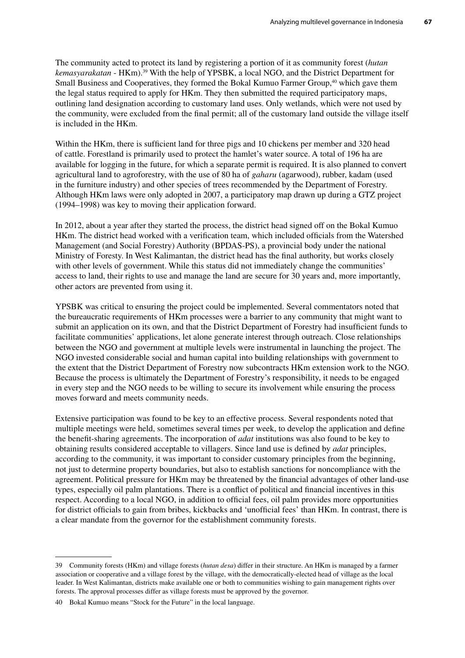The community acted to protect its land by registering a portion of it as community forest (*hutan kemasyarakatan* - HKm).39 With the help of YPSBK, a local NGO, and the District Department for Small Business and Cooperatives, they formed the Bokal Kumuo Farmer Group,<sup>40</sup> which gave them the legal status required to apply for HKm. They then submitted the required participatory maps, outlining land designation according to customary land uses. Only wetlands, which were not used by the community, were excluded from the final permit; all of the customary land outside the village itself is included in the HKm.

Within the HKm, there is sufficient land for three pigs and 10 chickens per member and 320 head of cattle. Forestland is primarily used to protect the hamlet's water source. A total of 196 ha are available for logging in the future, for which a separate permit is required. It is also planned to convert agricultural land to agroforestry, with the use of 80 ha of *gaharu* (agarwood), rubber, kadam (used in the furniture industry) and other species of trees recommended by the Department of Forestry. Although HKm laws were only adopted in 2007, a participatory map drawn up during a GTZ project (1994–1998) was key to moving their application forward.

In 2012, about a year after they started the process, the district head signed off on the Bokal Kumuo HKm. The district head worked with a verification team, which included officials from the Watershed Management (and Social Forestry) Authority (BPDAS-PS), a provincial body under the national Ministry of Foresty. In West Kalimantan, the district head has the final authority, but works closely with other levels of government. While this status did not immediately change the communities' access to land, their rights to use and manage the land are secure for 30 years and, more importantly, other actors are prevented from using it.

YPSBK was critical to ensuring the project could be implemented. Several commentators noted that the bureaucratic requirements of HKm processes were a barrier to any community that might want to submit an application on its own, and that the District Department of Forestry had insufficient funds to facilitate communities' applications, let alone generate interest through outreach. Close relationships between the NGO and government at multiple levels were instrumental in launching the project. The NGO invested considerable social and human capital into building relationships with government to the extent that the District Department of Forestry now subcontracts HKm extension work to the NGO. Because the process is ultimately the Department of Forestry's responsibility, it needs to be engaged in every step and the NGO needs to be willing to secure its involvement while ensuring the process moves forward and meets community needs.

Extensive participation was found to be key to an effective process. Several respondents noted that multiple meetings were held, sometimes several times per week, to develop the application and define the benefit-sharing agreements. The incorporation of *adat* institutions was also found to be key to obtaining results considered acceptable to villagers. Since land use is defined by *adat* principles, according to the community, it was important to consider customary principles from the beginning, not just to determine property boundaries, but also to establish sanctions for noncompliance with the agreement. Political pressure for HKm may be threatened by the financial advantages of other land-use types, especially oil palm plantations. There is a conflict of political and financial incentives in this respect. According to a local NGO, in addition to official fees, oil palm provides more opportunities for district officials to gain from bribes, kickbacks and 'unofficial fees' than HKm. In contrast, there is a clear mandate from the governor for the establishment community forests.

<sup>39</sup> Community forests (HKm) and village forests (*hutan desa*) differ in their structure. An HKm is managed by a farmer association or cooperative and a village forest by the village, with the democratically-elected head of village as the local leader. In West Kalimantan, districts make available one or both to communities wishing to gain management rights over forests. The approval processes differ as village forests must be approved by the governor.

<sup>40</sup> Bokal Kumuo means "Stock for the Future" in the local language.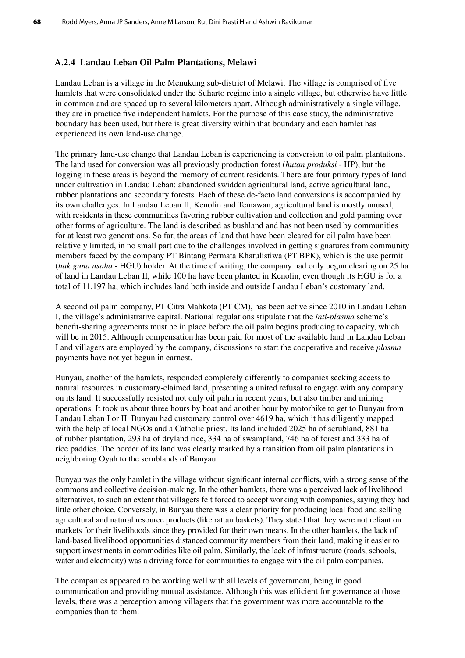### **A.2.4 Landau Leban Oil Palm Plantations, Melawi**

Landau Leban is a village in the Menukung sub-district of Melawi. The village is comprised of five hamlets that were consolidated under the Suharto regime into a single village, but otherwise have little in common and are spaced up to several kilometers apart. Although administratively a single village, they are in practice five independent hamlets. For the purpose of this case study, the administrative boundary has been used, but there is great diversity within that boundary and each hamlet has experienced its own land-use change.

The primary land-use change that Landau Leban is experiencing is conversion to oil palm plantations. The land used for conversion was all previously production forest (*hutan produksi* - HP), but the logging in these areas is beyond the memory of current residents. There are four primary types of land under cultivation in Landau Leban: abandoned swidden agricultural land, active agricultural land, rubber plantations and secondary forests. Each of these de-facto land conversions is accompanied by its own challenges. In Landau Leban II, Kenolin and Temawan, agricultural land is mostly unused, with residents in these communities favoring rubber cultivation and collection and gold panning over other forms of agriculture. The land is described as bushland and has not been used by communities for at least two generations. So far, the areas of land that have been cleared for oil palm have been relatively limited, in no small part due to the challenges involved in getting signatures from community members faced by the company PT Bintang Permata Khatulistiwa (PT BPK), which is the use permit (*hak guna usaha* - HGU) holder. At the time of writing, the company had only begun clearing on 25 ha of land in Landau Leban II, while 100 ha have been planted in Kenolin, even though its HGU is for a total of 11,197 ha, which includes land both inside and outside Landau Leban's customary land.

A second oil palm company, PT Citra Mahkota (PT CM), has been active since 2010 in Landau Leban I, the village's administrative capital. National regulations stipulate that the *inti-plasma* scheme's benefit-sharing agreements must be in place before the oil palm begins producing to capacity, which will be in 2015. Although compensation has been paid for most of the available land in Landau Leban I and villagers are employed by the company, discussions to start the cooperative and receive *plasma* payments have not yet begun in earnest.

Bunyau, another of the hamlets, responded completely differently to companies seeking access to natural resources in customary-claimed land, presenting a united refusal to engage with any company on its land. It successfully resisted not only oil palm in recent years, but also timber and mining operations. It took us about three hours by boat and another hour by motorbike to get to Bunyau from Landau Leban I or II. Bunyau had customary control over 4619 ha, which it has diligently mapped with the help of local NGOs and a Catholic priest. Its land included 2025 ha of scrubland, 881 ha of rubber plantation, 293 ha of dryland rice, 334 ha of swampland, 746 ha of forest and 333 ha of rice paddies. The border of its land was clearly marked by a transition from oil palm plantations in neighboring Oyah to the scrublands of Bunyau.

Bunyau was the only hamlet in the village without significant internal conflicts, with a strong sense of the commons and collective decision-making. In the other hamlets, there was a perceived lack of livelihood alternatives, to such an extent that villagers felt forced to accept working with companies, saying they had little other choice. Conversely, in Bunyau there was a clear priority for producing local food and selling agricultural and natural resource products (like rattan baskets). They stated that they were not reliant on markets for their livelihoods since they provided for their own means. In the other hamlets, the lack of land-based livelihood opportunities distanced community members from their land, making it easier to support investments in commodities like oil palm. Similarly, the lack of infrastructure (roads, schools, water and electricity) was a driving force for communities to engage with the oil palm companies.

The companies appeared to be working well with all levels of government, being in good communication and providing mutual assistance. Although this was efficient for governance at those levels, there was a perception among villagers that the government was more accountable to the companies than to them.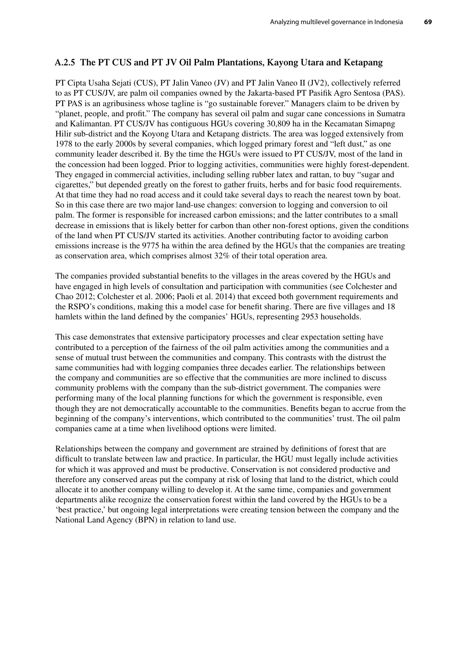## **A.2.5 The PT CUS and PT JV Oil Palm Plantations, Kayong Utara and Ketapang**

PT Cipta Usaha Sejati (CUS), PT Jalin Vaneo (JV) and PT Jalin Vaneo II (JV2), collectively referred to as PT CUS/JV, are palm oil companies owned by the Jakarta-based PT Pasifik Agro Sentosa (PAS). PT PAS is an agribusiness whose tagline is "go sustainable forever." Managers claim to be driven by "planet, people, and profit." The company has several oil palm and sugar cane concessions in Sumatra and Kalimantan. PT CUS/JV has contiguous HGUs covering 30,809 ha in the Kecamatan Simapng Hilir sub-district and the Koyong Utara and Ketapang districts. The area was logged extensively from 1978 to the early 2000s by several companies, which logged primary forest and "left dust," as one community leader described it. By the time the HGUs were issued to PT CUS/JV, most of the land in the concession had been logged. Prior to logging activities, communities were highly forest-dependent. They engaged in commercial activities, including selling rubber latex and rattan, to buy "sugar and cigarettes," but depended greatly on the forest to gather fruits, herbs and for basic food requirements. At that time they had no road access and it could take several days to reach the nearest town by boat. So in this case there are two major land-use changes: conversion to logging and conversion to oil palm. The former is responsible for increased carbon emissions; and the latter contributes to a small decrease in emissions that is likely better for carbon than other non-forest options, given the conditions of the land when PT CUS/JV started its activities. Another contributing factor to avoiding carbon emissions increase is the 9775 ha within the area defined by the HGUs that the companies are treating as conservation area, which comprises almost 32% of their total operation area.

The companies provided substantial benefits to the villages in the areas covered by the HGUs and have engaged in high levels of consultation and participation with communities (see Colchester and Chao 2012; Colchester et al. 2006; Paoli et al. 2014) that exceed both government requirements and the RSPO's conditions, making this a model case for benefit sharing. There are five villages and 18 hamlets within the land defined by the companies' HGUs, representing 2953 households.

This case demonstrates that extensive participatory processes and clear expectation setting have contributed to a perception of the fairness of the oil palm activities among the communities and a sense of mutual trust between the communities and company. This contrasts with the distrust the same communities had with logging companies three decades earlier. The relationships between the company and communities are so effective that the communities are more inclined to discuss community problems with the company than the sub-district government. The companies were performing many of the local planning functions for which the government is responsible, even though they are not democratically accountable to the communities. Benefits began to accrue from the beginning of the company's interventions, which contributed to the communities' trust. The oil palm companies came at a time when livelihood options were limited.

Relationships between the company and government are strained by definitions of forest that are difficult to translate between law and practice. In particular, the HGU must legally include activities for which it was approved and must be productive. Conservation is not considered productive and therefore any conserved areas put the company at risk of losing that land to the district, which could allocate it to another company willing to develop it. At the same time, companies and government departments alike recognize the conservation forest within the land covered by the HGUs to be a 'best practice,' but ongoing legal interpretations were creating tension between the company and the National Land Agency (BPN) in relation to land use.